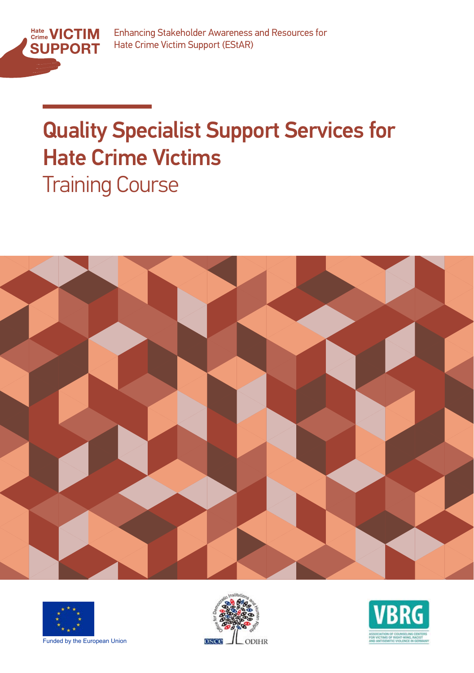

# **Quality Specialist Support Services for** Hate Crime Victims Training Course







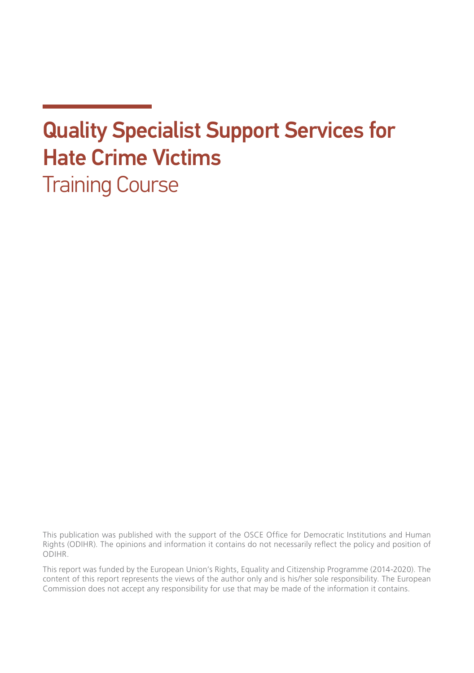# Quality Specialist Support Services for Hate Crime Victims Training Course

This publication was published with the support of the OSCE Office for Democratic Institutions and Human Rights (ODIHR). The opinions and information it contains do not necessarily reflect the policy and position of ODIHR.

This report was funded by the European Union's Rights, Equality and Citizenship Programme (2014-2020). The content of this report represents the views of the author only and is his/her sole responsibility. The European Commission does not accept any responsibility for use that may be made of the information it contains.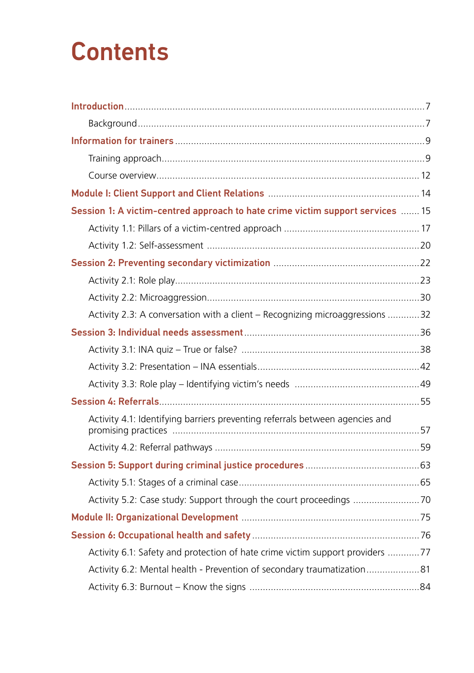# **Contents**

| Session 1: A victim-centred approach to hate crime victim support services  15 |  |
|--------------------------------------------------------------------------------|--|
|                                                                                |  |
|                                                                                |  |
|                                                                                |  |
|                                                                                |  |
|                                                                                |  |
| Activity 2.3: A conversation with a client - Recognizing microaggressions 32   |  |
|                                                                                |  |
|                                                                                |  |
|                                                                                |  |
|                                                                                |  |
|                                                                                |  |
| Activity 4.1: Identifying barriers preventing referrals between agencies and   |  |
|                                                                                |  |
|                                                                                |  |
|                                                                                |  |
| Activity 5.2: Case study: Support through the court proceedings 70             |  |
|                                                                                |  |
|                                                                                |  |
| Activity 6.1: Safety and protection of hate crime victim support providers 77  |  |
| Activity 6.2: Mental health - Prevention of secondary traumatization81         |  |
|                                                                                |  |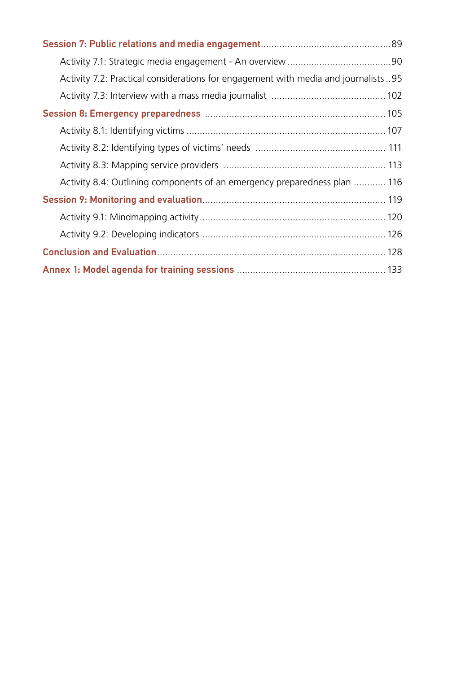| Activity 7.2: Practical considerations for engagement with media and journalists 95 |  |
|-------------------------------------------------------------------------------------|--|
|                                                                                     |  |
|                                                                                     |  |
|                                                                                     |  |
|                                                                                     |  |
|                                                                                     |  |
| Activity 8.4: Outlining components of an emergency preparedness plan  116           |  |
|                                                                                     |  |
|                                                                                     |  |
|                                                                                     |  |
|                                                                                     |  |
|                                                                                     |  |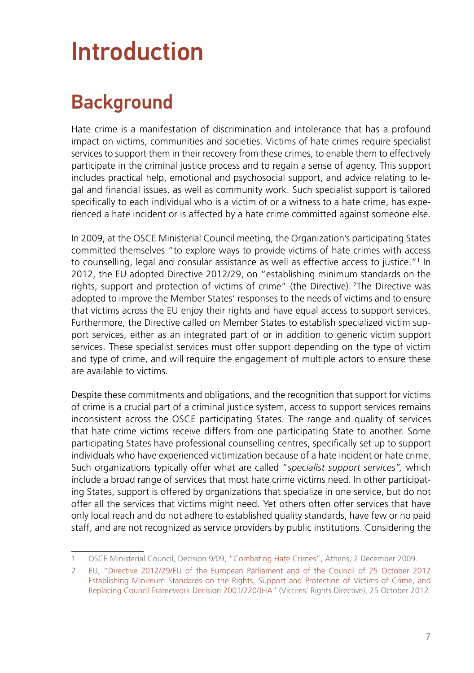# <span id="page-6-0"></span>Introduction

# **Background**

Hate crime is a manifestation of discrimination and intolerance that has a profound impact on victims, communities and societies. Victims of hate crimes require specialist services to support them in their recovery from these crimes, to enable them to effectively participate in the criminal justice process and to regain a sense of agency. This support includes practical help, emotional and psychosocial support, and advice relating to legal and financial issues, as well as community work. Such specialist support is tailored specifically to each individual who is a victim of or a witness to a hate crime, has experienced a hate incident or is affected by a hate crime committed against someone else.

In 2009, at the OSCE Ministerial Council meeting, the Organization's participating States committed themselves "to explore ways to provide victims of hate crimes with access to counselling, legal and consular assistance as well as effective access to justice."1 In 2012, the EU adopted Directive 2012/29, on "establishing minimum standards on the rights, support and protection of victims of crime" (the Directive). 2The Directive was adopted to improve the Member States' responses to the needs of victims and to ensure that victims across the EU enjoy their rights and have equal access to support services. Furthermore, the Directive called on Member States to establish specialized victim support services, either as an integrated part of or in addition to generic victim support services. These specialist services must offer support depending on the type of victim and type of crime, and will require the engagement of multiple actors to ensure these are available to victims.

Despite these commitments and obligations, and the recognition that support for victims of crime is a crucial part of a criminal justice system, access to support services remains inconsistent across the OSCE participating States. The range and quality of services that hate crime victims receive differs from one participating State to another. Some participating States have professional counselling centres, specifically set up to support individuals who have experienced victimization because of a hate incident or hate crime. Such organizations typically offer what are called "*specialist support services",* which include a broad range of services that most hate crime victims need. In other participating States, support is offered by organizations that specialize in one service, but do not offer all the services that victims might need. Yet others often offer services that have only local reach and do not adhere to established quality standards, have few or no paid staff, and are not recognized as service providers by public institutions. Considering the

<sup>1</sup> OSCE Ministerial Council, Decision 9/09, "[Combating Hate Crimes](https://www.osce.org/files/f/documents/d/9/40695.pdf)", Athens, 2 December 2009.

<sup>2</sup> EU, ["Directive 2012/29/EU of the European Parliament and of the Council of 25 October 2012](https://eur-lex.europa.eu/legal-content/EN/TXT/HTML/%3Furi%3DCELEX:32012L0029%26from%3Den) [Establishing Minimum Standards on the Rights, Support and Protection of Victims of Crime, and](https://eur-lex.europa.eu/legal-content/EN/TXT/HTML/%3Furi%3DCELEX:32012L0029%26from%3Den) [Replacing Council Framework Decision 2001/220/JHA"](https://eur-lex.europa.eu/legal-content/EN/TXT/HTML/%3Furi%3DCELEX:32012L0029%26from%3Den) (Victims' Rights Directive), 25 October 2012.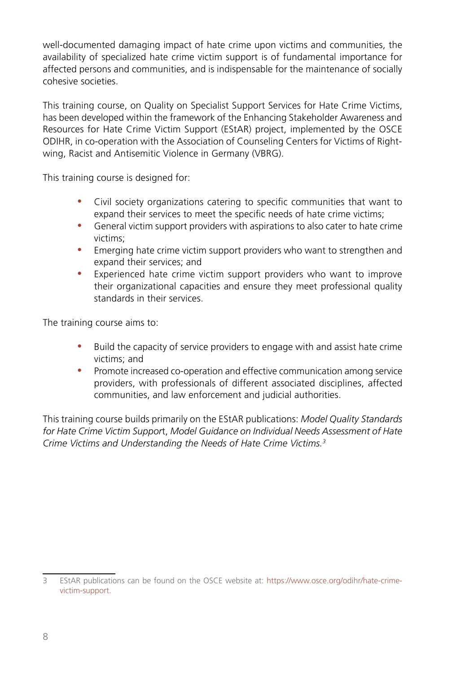well-documented damaging impact of hate crime upon victims and communities, the availability of specialized hate crime victim support is of fundamental importance for affected persons and communities, and is indispensable for the maintenance of socially cohesive societies.

This training course, on Quality on Specialist Support Services for Hate Crime Victims, has been developed within the framework of the Enhancing Stakeholder Awareness and Resources for Hate Crime Victim Support (EStAR) project, implemented by the OSCE ODIHR, in co-operation with the Association of Counseling Centers for Victims of Rightwing, Racist and Antisemitic Violence in Germany (VBRG).

This training course is designed for:

- Civil society organizations catering to specific communities that want to expand their services to meet the specific needs of hate crime victims;
- y General victim support providers with aspirations to also cater to hate crime victims;
- Emerging hate crime victim support providers who want to strengthen and expand their services; and
- Experienced hate crime victim support providers who want to improve their organizational capacities and ensure they meet professional quality standards in their services.

The training course aims to:

- y Build the capacity of service providers to engage with and assist hate crime victims; and
- Promote increased co-operation and effective communication among service providers, with professionals of different associated disciplines, affected communities, and law enforcement and judicial authorities.

This training course builds primarily on the EStAR publications: *Model Quality Standards for Hate Crime Victim Suppor*t, *Model Guidance on Individual Needs Assessment of Hate Crime Victims and Understanding the Needs of Hate Crime Victims.3*

<sup>3</sup> EStAR publications can be found on the OSCE website at: [https://www.osce.org/odihr/hate-crime](https://www.osce.org/odihr/hate-crime-victim-support)[victim-support.](https://www.osce.org/odihr/hate-crime-victim-support)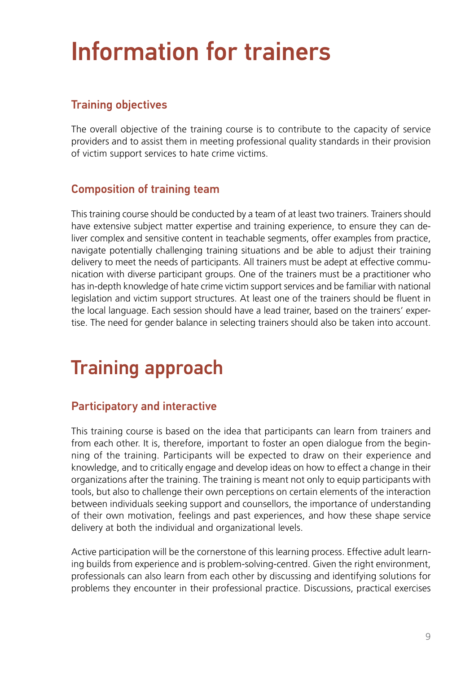# <span id="page-8-0"></span>Information for trainers

# Training objectives

The overall objective of the training course is to contribute to the capacity of service providers and to assist them in meeting professional quality standards in their provision of victim support services to hate crime victims.

#### Composition of training team

This training course should be conducted by a team of at least two trainers. Trainers should have extensive subject matter expertise and training experience, to ensure they can deliver complex and sensitive content in teachable segments, offer examples from practice, navigate potentially challenging training situations and be able to adjust their training delivery to meet the needs of participants. All trainers must be adept at effective communication with diverse participant groups. One of the trainers must be a practitioner who has in-depth knowledge of hate crime victim support services and be familiar with national legislation and victim support structures. At least one of the trainers should be fluent in the local language. Each session should have a lead trainer, based on the trainers' expertise. The need for gender balance in selecting trainers should also be taken into account.

# Training approach

#### Participatory and interactive

This training course is based on the idea that participants can learn from trainers and from each other. It is, therefore, important to foster an open dialogue from the beginning of the training. Participants will be expected to draw on their experience and knowledge, and to critically engage and develop ideas on how to effect a change in their organizations after the training. The training is meant not only to equip participants with tools, but also to challenge their own perceptions on certain elements of the interaction between individuals seeking support and counsellors, the importance of understanding of their own motivation, feelings and past experiences, and how these shape service delivery at both the individual and organizational levels.

Active participation will be the cornerstone of this learning process. Effective adult learning builds from experience and is problem-solving-centred. Given the right environment, professionals can also learn from each other by discussing and identifying solutions for problems they encounter in their professional practice. Discussions, practical exercises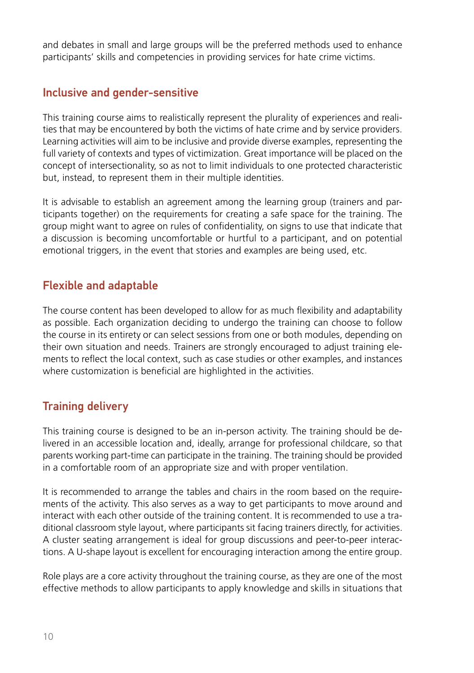and debates in small and large groups will be the preferred methods used to enhance participants' skills and competencies in providing services for hate crime victims.

### Inclusive and gender-sensitive

This training course aims to realistically represent the plurality of experiences and realities that may be encountered by both the victims of hate crime and by service providers. Learning activities will aim to be inclusive and provide diverse examples, representing the full variety of contexts and types of victimization. Great importance will be placed on the concept of intersectionality, so as not to limit individuals to one protected characteristic but, instead, to represent them in their multiple identities.

It is advisable to establish an agreement among the learning group (trainers and participants together) on the requirements for creating a safe space for the training. The group might want to agree on rules of confidentiality, on signs to use that indicate that a discussion is becoming uncomfortable or hurtful to a participant, and on potential emotional triggers, in the event that stories and examples are being used, etc.

### Flexible and adaptable

The course content has been developed to allow for as much flexibility and adaptability as possible. Each organization deciding to undergo the training can choose to follow the course in its entirety or can select sessions from one or both modules, depending on their own situation and needs. Trainers are strongly encouraged to adjust training elements to reflect the local context, such as case studies or other examples, and instances where customization is beneficial are highlighted in the activities.

## Training delivery

This training course is designed to be an in-person activity. The training should be delivered in an accessible location and, ideally, arrange for professional childcare, so that parents working part-time can participate in the training. The training should be provided in a comfortable room of an appropriate size and with proper ventilation.

It is recommended to arrange the tables and chairs in the room based on the requirements of the activity. This also serves as a way to get participants to move around and interact with each other outside of the training content. It is recommended to use a traditional classroom style layout, where participants sit facing trainers directly, for activities. A cluster seating arrangement is ideal for group discussions and peer-to-peer interactions. A U-shape layout is excellent for encouraging interaction among the entire group.

Role plays are a core activity throughout the training course, as they are one of the most effective methods to allow participants to apply knowledge and skills in situations that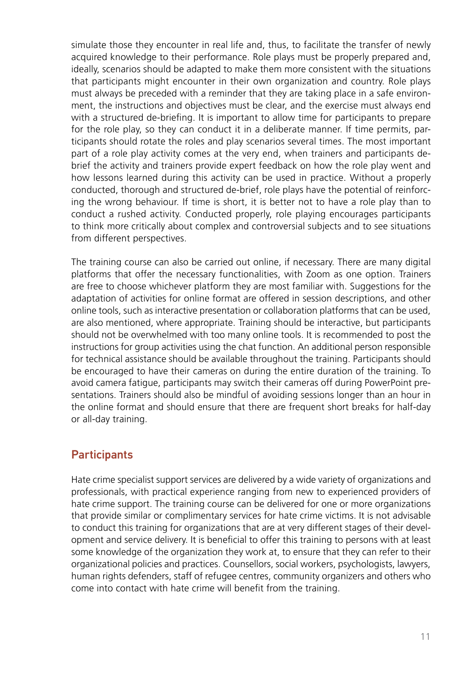simulate those they encounter in real life and, thus, to facilitate the transfer of newly acquired knowledge to their performance. Role plays must be properly prepared and, ideally, scenarios should be adapted to make them more consistent with the situations that participants might encounter in their own organization and country. Role plays must always be preceded with a reminder that they are taking place in a safe environment, the instructions and objectives must be clear, and the exercise must always end with a structured de-briefing. It is important to allow time for participants to prepare for the role play, so they can conduct it in a deliberate manner. If time permits, participants should rotate the roles and play scenarios several times. The most important part of a role play activity comes at the very end, when trainers and participants debrief the activity and trainers provide expert feedback on how the role play went and how lessons learned during this activity can be used in practice. Without a properly conducted, thorough and structured de-brief, role plays have the potential of reinforcing the wrong behaviour. If time is short, it is better not to have a role play than to conduct a rushed activity. Conducted properly, role playing encourages participants to think more critically about complex and controversial subjects and to see situations from different perspectives.

The training course can also be carried out online, if necessary. There are many digital platforms that offer the necessary functionalities, with Zoom as one option. Trainers are free to choose whichever platform they are most familiar with. Suggestions for the adaptation of activities for online format are offered in session descriptions, and other online tools, such as interactive presentation or collaboration platforms that can be used, are also mentioned, where appropriate. Training should be interactive, but participants should not be overwhelmed with too many online tools. It is recommended to post the instructions for group activities using the chat function. An additional person responsible for technical assistance should be available throughout the training. Participants should be encouraged to have their cameras on during the entire duration of the training. To avoid camera fatigue, participants may switch their cameras off during PowerPoint presentations. Trainers should also be mindful of avoiding sessions longer than an hour in the online format and should ensure that there are frequent short breaks for half-day or all-day training.

#### **Participants**

Hate crime specialist support services are delivered by a wide variety of organizations and professionals, with practical experience ranging from new to experienced providers of hate crime support. The training course can be delivered for one or more organizations that provide similar or complimentary services for hate crime victims. It is not advisable to conduct this training for organizations that are at very different stages of their development and service delivery. It is beneficial to offer this training to persons with at least some knowledge of the organization they work at, to ensure that they can refer to their organizational policies and practices. Counsellors, social workers, psychologists, lawyers, human rights defenders, staff of refugee centres, community organizers and others who come into contact with hate crime will benefit from the training.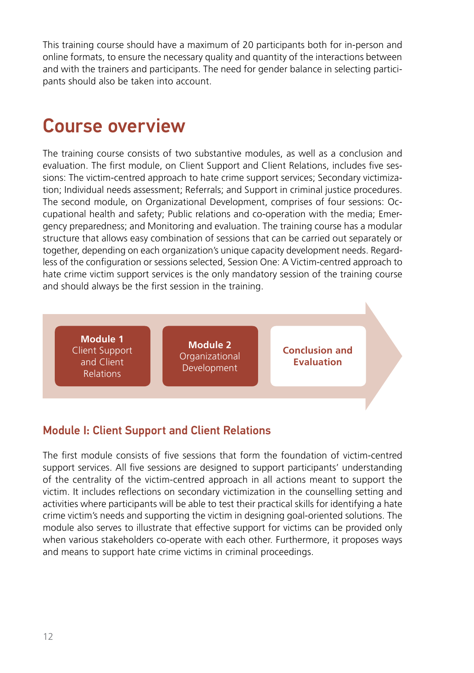<span id="page-11-0"></span>This training course should have a maximum of 20 participants both for in-person and online formats, to ensure the necessary quality and quantity of the interactions between and with the trainers and participants. The need for gender balance in selecting participants should also be taken into account.

# Course overview

The training course consists of two substantive modules, as well as a conclusion and evaluation. The first module, on Client Support and Client Relations, includes five sessions: The victim-centred approach to hate crime support services; Secondary victimization; Individual needs assessment; Referrals; and Support in criminal justice procedures. The second module, on Organizational Development, comprises of four sessions: Occupational health and safety; Public relations and co-operation with the media; Emergency preparedness; and Monitoring and evaluation. The training course has a modular structure that allows easy combination of sessions that can be carried out separately or together, depending on each organization's unique capacity development needs. Regardless of the configuration or sessions selected, Session One: A Victim-centred approach to hate crime victim support services is the only mandatory session of the training course and should always be the first session in the training.



## Module I: Client Support and Client Relations

The first module consists of five sessions that form the foundation of victim-centred support services. All five sessions are designed to support participants' understanding of the centrality of the victim-centred approach in all actions meant to support the victim. It includes reflections on secondary victimization in the counselling setting and activities where participants will be able to test their practical skills for identifying a hate crime victim's needs and supporting the victim in designing goal-oriented solutions. The module also serves to illustrate that effective support for victims can be provided only when various stakeholders co-operate with each other. Furthermore, it proposes ways and means to support hate crime victims in criminal proceedings.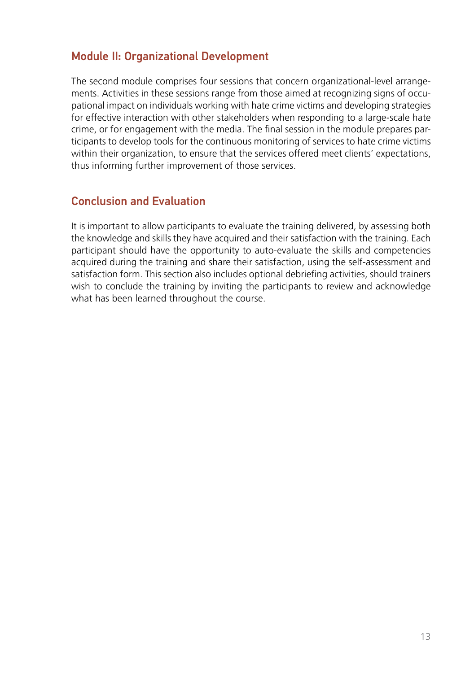### Module II: Organizational Development

The second module comprises four sessions that concern organizational-level arrangements. Activities in these sessions range from those aimed at recognizing signs of occupational impact on individuals working with hate crime victims and developing strategies for effective interaction with other stakeholders when responding to a large-scale hate crime, or for engagement with the media. The final session in the module prepares participants to develop tools for the continuous monitoring of services to hate crime victims within their organization, to ensure that the services offered meet clients' expectations, thus informing further improvement of those services.

#### Conclusion and Evaluation

It is important to allow participants to evaluate the training delivered, by assessing both the knowledge and skills they have acquired and their satisfaction with the training. Each participant should have the opportunity to auto-evaluate the skills and competencies acquired during the training and share their satisfaction, using the self-assessment and satisfaction form. This section also includes optional debriefing activities, should trainers wish to conclude the training by inviting the participants to review and acknowledge what has been learned throughout the course.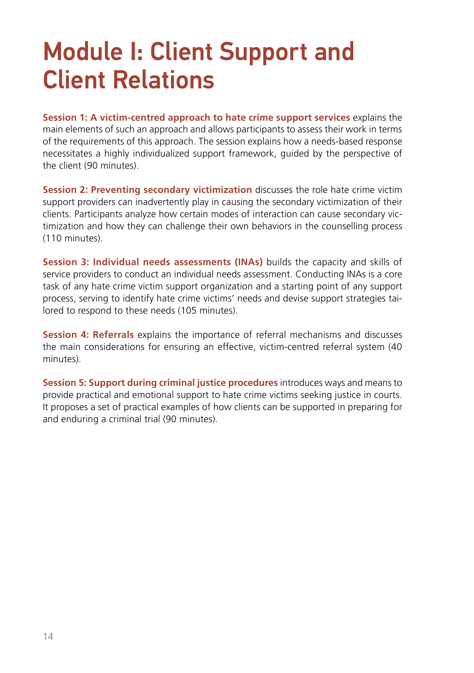# <span id="page-13-0"></span>Module I: Client Support and Client Relations

**Session 1: A victim-centred approach to hate crime support services** explains the main elements of such an approach and allows participants to assess their work in terms of the requirements of this approach. The session explains how a needs-based response necessitates a highly individualized support framework, guided by the perspective of the client (90 minutes).

**Session 2: Preventing secondary victimization** discusses the role hate crime victim support providers can inadvertently play in causing the secondary victimization of their clients. Participants analyze how certain modes of interaction can cause secondary victimization and how they can challenge their own behaviors in the counselling process (110 minutes).

**Session 3: Individual needs assessments (INAs)** builds the capacity and skills of service providers to conduct an individual needs assessment. Conducting INAs is a core task of any hate crime victim support organization and a starting point of any support process, serving to identify hate crime victims' needs and devise support strategies tailored to respond to these needs (105 minutes).

**Session 4: Referrals** explains the importance of referral mechanisms and discusses the main considerations for ensuring an effective, victim-centred referral system (40 minutes).

**Session 5: Support during criminal justice procedures** introduces ways and means to provide practical and emotional support to hate crime victims seeking justice in courts. It proposes a set of practical examples of how clients can be supported in preparing for and enduring a criminal trial (90 minutes).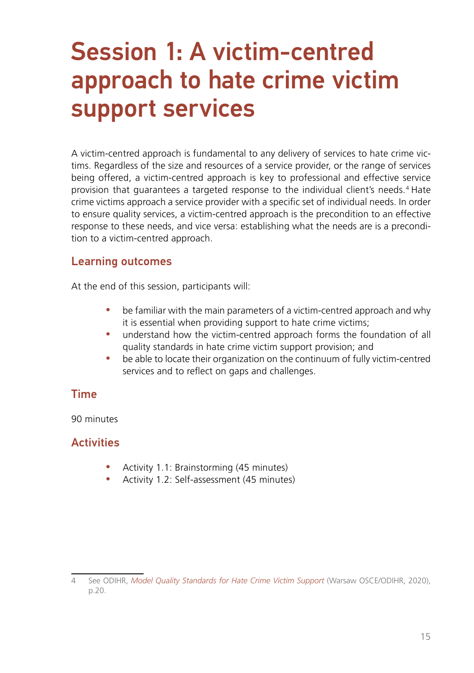# <span id="page-14-0"></span>Session 1: A victim-centred approach to hate crime victim support services

A victim-centred approach is fundamental to any delivery of services to hate crime victims. Regardless of the size and resources of a service provider, or the range of services being offered, a victim-centred approach is key to professional and effective service provision that guarantees a targeted response to the individual client's needs.4 Hate crime victims approach a service provider with a specific set of individual needs. In order to ensure quality services, a victim-centred approach is the precondition to an effective response to these needs, and vice versa: establishing what the needs are is a precondition to a victim-centred approach.

#### Learning outcomes

At the end of this session, participants will:

- be familiar with the main parameters of a victim-centred approach and why it is essential when providing support to hate crime victims;
- understand how the victim-centred approach forms the foundation of all quality standards in hate crime victim support provision; and
- be able to locate their organization on the continuum of fully victim-centred services and to reflect on gaps and challenges.

#### Time

90 minutes

## **Activities**

- Activity 1.1: Brainstorming (45 minutes)
- Activity 1.2: Self-assessment (45 minutes)

<sup>4</sup> See ODIHR, *[Model Quality Standards for Hate Crime Victim Support](https://www.osce.org/files/f/documents/1/0/485273_0.pdf)* (Warsaw OSCE/ODIHR, 2020), p.20.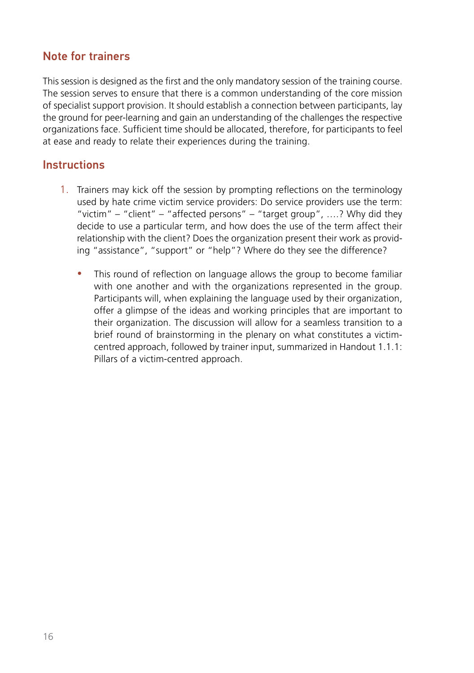### Note for trainers

This session is designed as the first and the only mandatory session of the training course. The session serves to ensure that there is a common understanding of the core mission of specialist support provision. It should establish a connection between participants, lay the ground for peer-learning and gain an understanding of the challenges the respective organizations face. Sufficient time should be allocated, therefore, for participants to feel at ease and ready to relate their experiences during the training.

#### **Instructions**

- 1. Trainers may kick off the session by prompting reflections on the terminology used by hate crime victim service providers: Do service providers use the term: "victim" – "client" – "affected persons" – "target group", ....? Why did they decide to use a particular term, and how does the use of the term affect their relationship with the client? Does the organization present their work as providing "assistance", "support" or "help"? Where do they see the difference?
	- This round of reflection on language allows the group to become familiar with one another and with the organizations represented in the group. Participants will, when explaining the language used by their organization, offer a glimpse of the ideas and working principles that are important to their organization. The discussion will allow for a seamless transition to a brief round of brainstorming in the plenary on what constitutes a victimcentred approach, followed by trainer input, summarized in Handout 1.1.1: Pillars of a victim-centred approach.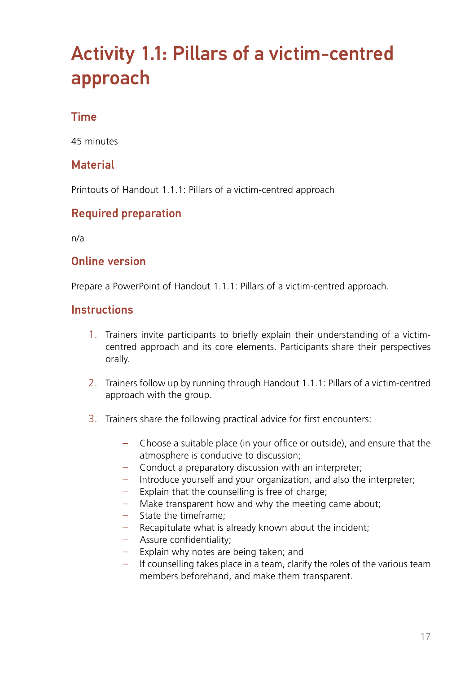# <span id="page-16-0"></span>Activity 1.1: Pillars of a victim-centred approach

### Time

45 minutes

### **Material**

Printouts of Handout 1.1.1: Pillars of a victim-centred approach

### Required preparation

n/a

#### Online version

Prepare a PowerPoint of Handout 1.1.1: Pillars of a victim-centred approach.

#### **Instructions**

- 1. Trainers invite participants to briefly explain their understanding of a victimcentred approach and its core elements. Participants share their perspectives orally.
- 2. Trainers follow up by running through Handout 1.1.1: Pillars of a victim-centred approach with the group.
- 3. Trainers share the following practical advice for first encounters:
	- Choose a suitable place (in your office or outside), and ensure that the atmosphere is conducive to discussion;
	- Conduct a preparatory discussion with an interpreter;
	- Introduce yourself and your organization, and also the interpreter;
	- Explain that the counselling is free of charge;
	- Make transparent how and why the meeting came about;
	- State the timeframe;
	- Recapitulate what is already known about the incident;
	- Assure confidentiality;
	- Explain why notes are being taken; and
	- If counselling takes place in a team, clarify the roles of the various team members beforehand, and make them transparent.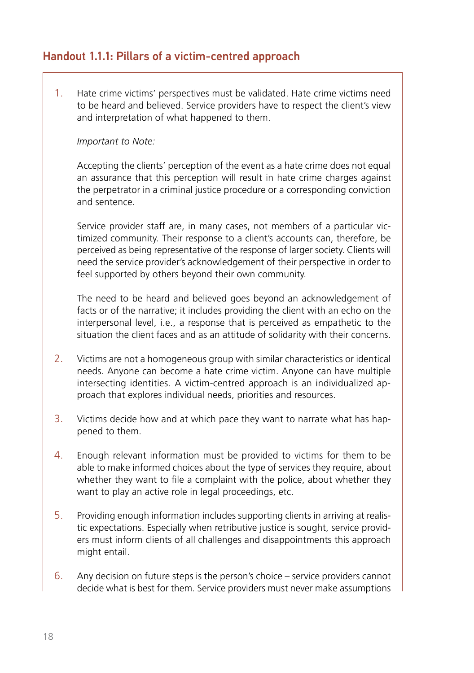#### Handout 1.1.1: Pillars of a victim-centred approach

1. Hate crime victims' perspectives must be validated. Hate crime victims need to be heard and believed. Service providers have to respect the client's view and interpretation of what happened to them.

#### *Important to Note:*

Accepting the clients' perception of the event as a hate crime does not equal an assurance that this perception will result in hate crime charges against the perpetrator in a criminal justice procedure or a corresponding conviction and sentence.

Service provider staff are, in many cases, not members of a particular victimized community. Their response to a client's accounts can, therefore, be perceived as being representative of the response of larger society. Clients will need the service provider's acknowledgement of their perspective in order to feel supported by others beyond their own community.

The need to be heard and believed goes beyond an acknowledgement of facts or of the narrative; it includes providing the client with an echo on the interpersonal level, i.e., a response that is perceived as empathetic to the situation the client faces and as an attitude of solidarity with their concerns.

- 2. Victims are not a homogeneous group with similar characteristics or identical needs. Anyone can become a hate crime victim. Anyone can have multiple intersecting identities. A victim-centred approach is an individualized approach that explores individual needs, priorities and resources.
- 3. Victims decide how and at which pace they want to narrate what has happened to them.
- 4. Enough relevant information must be provided to victims for them to be able to make informed choices about the type of services they require, about whether they want to file a complaint with the police, about whether they want to play an active role in legal proceedings, etc.
- 5. Providing enough information includes supporting clients in arriving at realistic expectations. Especially when retributive justice is sought, service providers must inform clients of all challenges and disappointments this approach might entail.
- 6. Any decision on future steps is the person's choice service providers cannot decide what is best for them. Service providers must never make assumptions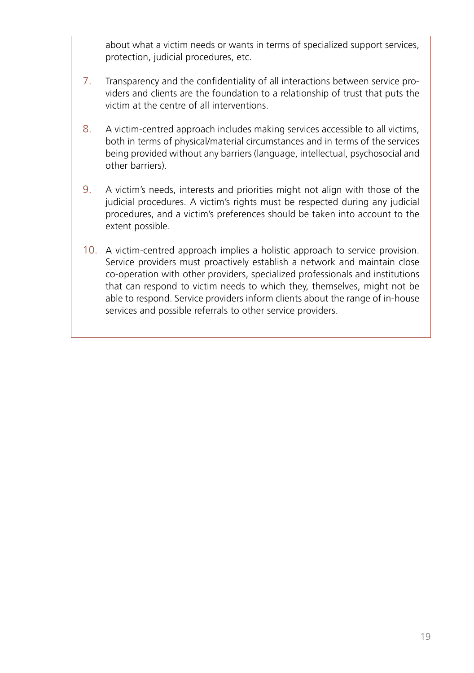about what a victim needs or wants in terms of specialized support services, protection, judicial procedures, etc.

- 7. Transparency and the confidentiality of all interactions between service providers and clients are the foundation to a relationship of trust that puts the victim at the centre of all interventions.
- 8. A victim-centred approach includes making services accessible to all victims, both in terms of physical/material circumstances and in terms of the services being provided without any barriers (language, intellectual, psychosocial and other barriers).
- 9. A victim's needs, interests and priorities might not align with those of the judicial procedures. A victim's rights must be respected during any judicial procedures, and a victim's preferences should be taken into account to the extent possible.
- 10. A victim-centred approach implies a holistic approach to service provision. Service providers must proactively establish a network and maintain close co-operation with other providers, specialized professionals and institutions that can respond to victim needs to which they, themselves, might not be able to respond. Service providers inform clients about the range of in-house services and possible referrals to other service providers.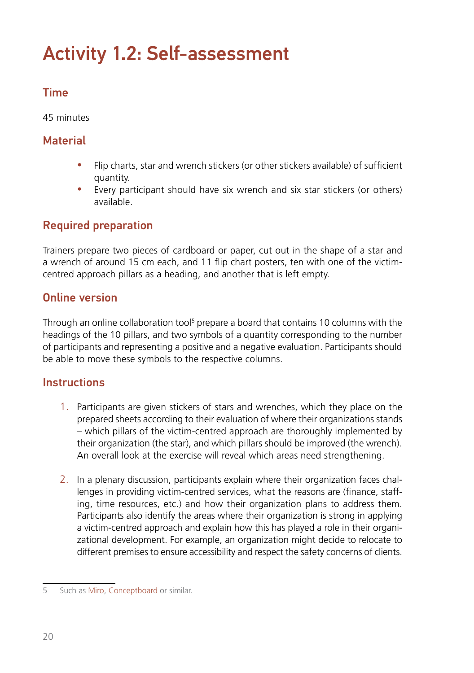# <span id="page-19-0"></span>Activity 1.2: Self-assessment

# Time

45 minutes

## **Material**

- Flip charts, star and wrench stickers (or other stickers available) of sufficient quantity.
- Every participant should have six wrench and six star stickers (or others) available.

### Required preparation

Trainers prepare two pieces of cardboard or paper, cut out in the shape of a star and a wrench of around 15 cm each, and 11 flip chart posters, ten with one of the victimcentred approach pillars as a heading, and another that is left empty.

#### Online version

Through an online collaboration tool<sup>5</sup> prepare a board that contains 10 columns with the headings of the 10 pillars, and two symbols of a quantity corresponding to the number of participants and representing a positive and a negative evaluation. Participants should be able to move these symbols to the respective columns.

#### **Instructions**

- 1. Participants are given stickers of stars and wrenches, which they place on the prepared sheets according to their evaluation of where their organizations stands – which pillars of the victim-centred approach are thoroughly implemented by their organization (the star), and which pillars should be improved (the wrench). An overall look at the exercise will reveal which areas need strengthening.
- 2. In a plenary discussion, participants explain where their organization faces challenges in providing victim-centred services, what the reasons are (finance, staffing, time resources, etc.) and how their organization plans to address them. Participants also identify the areas where their organization is strong in applying a victim-centred approach and explain how this has played a role in their organizational development. For example, an organization might decide to relocate to different premises to ensure accessibility and respect the safety concerns of clients.

<sup>5</sup> Such as [Miro](https://miro.com/), [Conceptboard](https://conceptboard.com/) or similar.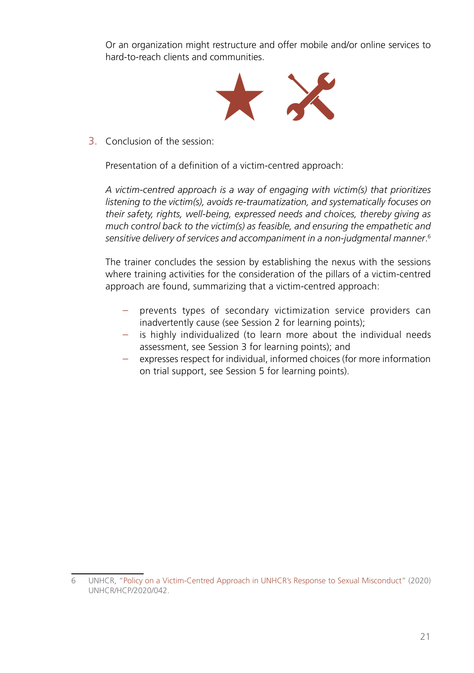Or an organization might restructure and offer mobile and/or online services to hard-to-reach clients and communities.



3. Conclusion of the session:

Presentation of a definition of a victim-centred approach:

*A victim-centred approach is a way of engaging with victim(s) that prioritizes listening to the victim(s), avoids re-traumatization, and systematically focuses on their safety, rights, well-being, expressed needs and choices, thereby giving as much control back to the victim(s) as feasible, and ensuring the empathetic and sensitive delivery of services and accompaniment in a non-judgmental manner*. 6

The trainer concludes the session by establishing the nexus with the sessions where training activities for the consideration of the pillars of a victim-centred approach are found, summarizing that a victim-centred approach:

- prevents types of secondary victimization service providers can inadvertently cause (see Session 2 for learning points);
- is highly individualized (to learn more about the individual needs assessment, see Session 3 for learning points); and
- expresses respect for individual, informed choices (for more information on trial support, see Session 5 for learning points).

<sup>6</sup> UNHCR, "[Policy on a Victim-Centred Approach in UNHCR's Response to Sexual Misconduct](https://www.unhcr.org/protection/women/5fdb345e7/policy-victim-centred-approach-unhcrs-response-sexual-misconduct.html)" (2020) UNHCR/HCP/2020/042.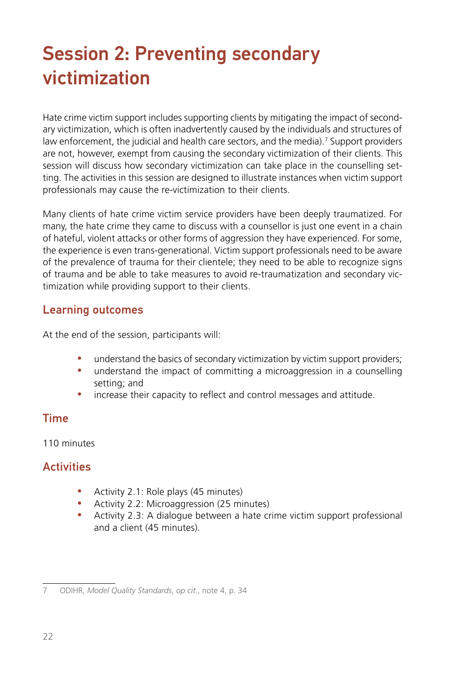# <span id="page-21-0"></span>Session 2: Preventing secondary victimization

Hate crime victim support includes supporting clients by mitigating the impact of secondary victimization, which is often inadvertently caused by the individuals and structures of law enforcement, the judicial and health care sectors, and the media).<sup>7</sup> Support providers are not, however, exempt from causing the secondary victimization of their clients. This session will discuss how secondary victimization can take place in the counselling setting. The activities in this session are designed to illustrate instances when victim support professionals may cause the re-victimization to their clients.

Many clients of hate crime victim service providers have been deeply traumatized. For many, the hate crime they came to discuss with a counsellor is just one event in a chain of hateful, violent attacks or other forms of aggression they have experienced. For some, the experience is even trans-generational. Victim support professionals need to be aware of the prevalence of trauma for their clientele; they need to be able to recognize signs of trauma and be able to take measures to avoid re-traumatization and secondary victimization while providing support to their clients.

#### Learning outcomes

At the end of the session, participants will:

- understand the basics of secondary victimization by victim support providers;
- understand the impact of committing a microaggression in a counselling setting; and
- increase their capacity to reflect and control messages and attitude.

#### Time

110 minutes

#### **Activities**

- Activity 2.1: Role plays (45 minutes)
- Activity 2.2: Microaggression (25 minutes)
- Activity 2.3: A dialogue between a hate crime victim support professional and a client (45 minutes).

<sup>7</sup> ODIHR, *Model Quality Standards*, *op cit*., note 4, p. 34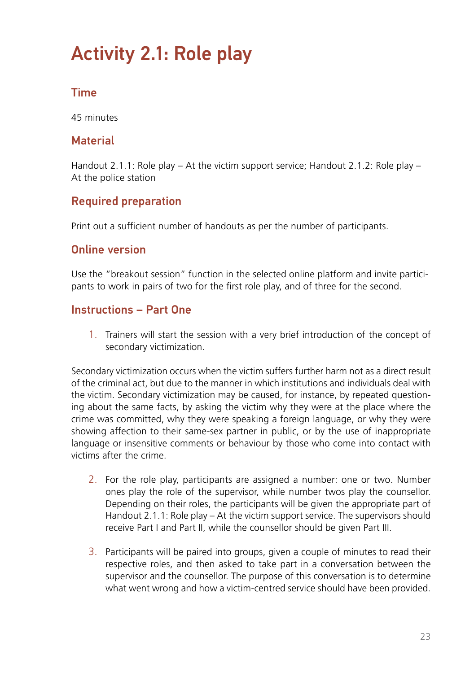# <span id="page-22-0"></span>Activity 2.1: Role play

# Time

45 minutes

#### **Material**

Handout 2.1.1: Role play – At the victim support service; Handout 2.1.2: Role play – At the police station

### Required preparation

Print out a sufficient number of handouts as per the number of participants.

#### Online version

Use the "breakout session" function in the selected online platform and invite participants to work in pairs of two for the first role play, and of three for the second.

#### Instructions – Part One

1. Trainers will start the session with a very brief introduction of the concept of secondary victimization.

Secondary victimization occurs when the victim suffers further harm not as a direct result of the criminal act, but due to the manner in which institutions and individuals deal with the victim. Secondary victimization may be caused, for instance, by repeated questioning about the same facts, by asking the victim why they were at the place where the crime was committed, why they were speaking a foreign language, or why they were showing affection to their same-sex partner in public, or by the use of inappropriate language or insensitive comments or behaviour by those who come into contact with victims after the crime.

- 2. For the role play, participants are assigned a number: one or two. Number ones play the role of the supervisor, while number twos play the counsellor. Depending on their roles, the participants will be given the appropriate part of Handout 2.1.1: Role play – At the victim support service. The supervisors should receive Part I and Part II, while the counsellor should be given Part III.
- 3. Participants will be paired into groups, given a couple of minutes to read their respective roles, and then asked to take part in a conversation between the supervisor and the counsellor. The purpose of this conversation is to determine what went wrong and how a victim-centred service should have been provided.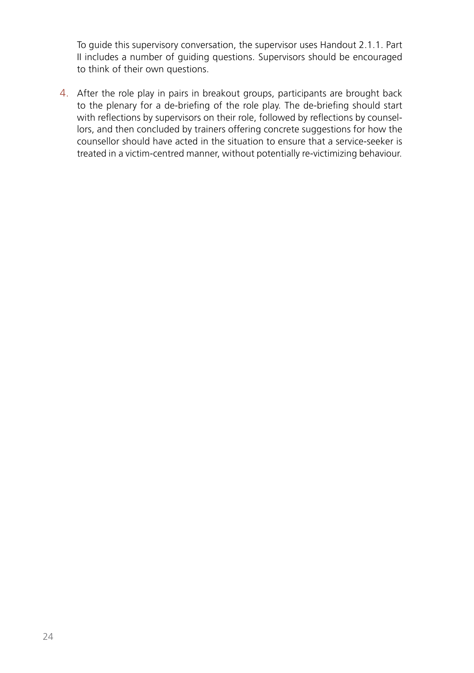To guide this supervisory conversation, the supervisor uses Handout 2.1.1. Part II includes a number of guiding questions. Supervisors should be encouraged to think of their own questions.

4. After the role play in pairs in breakout groups, participants are brought back to the plenary for a de-briefing of the role play. The de-briefing should start with reflections by supervisors on their role, followed by reflections by counsellors, and then concluded by trainers offering concrete suggestions for how the counsellor should have acted in the situation to ensure that a service-seeker is treated in a victim-centred manner, without potentially re-victimizing behaviour.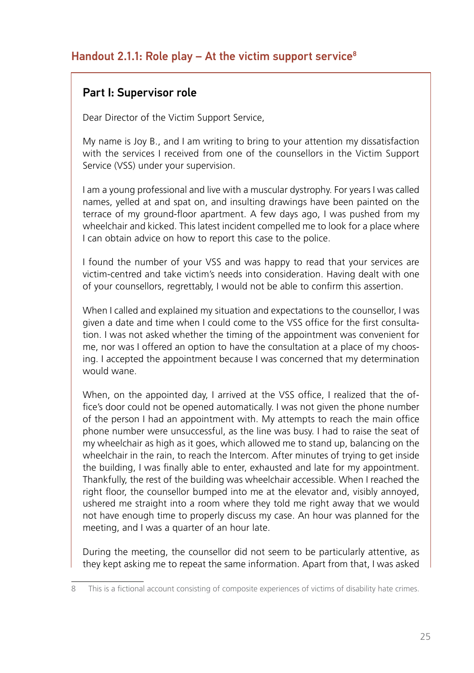#### Handout 2.1.1: Role play  $-$  At the victim support service<sup>8</sup>

#### Part I: Supervisor role

Dear Director of the Victim Support Service,

My name is Joy B., and I am writing to bring to your attention my dissatisfaction with the services I received from one of the counsellors in the Victim Support Service (VSS) under your supervision.

I am a young professional and live with a muscular dystrophy. For years I was called names, yelled at and spat on, and insulting drawings have been painted on the terrace of my ground-floor apartment. A few days ago, I was pushed from my wheelchair and kicked. This latest incident compelled me to look for a place where I can obtain advice on how to report this case to the police.

I found the number of your VSS and was happy to read that your services are victim-centred and take victim's needs into consideration. Having dealt with one of your counsellors, regrettably, I would not be able to confirm this assertion.

When I called and explained my situation and expectations to the counsellor, I was given a date and time when I could come to the VSS office for the first consultation. I was not asked whether the timing of the appointment was convenient for me, nor was I offered an option to have the consultation at a place of my choosing. I accepted the appointment because I was concerned that my determination would wane.

When, on the appointed day, I arrived at the VSS office, I realized that the office's door could not be opened automatically. I was not given the phone number of the person I had an appointment with. My attempts to reach the main office phone number were unsuccessful, as the line was busy. I had to raise the seat of my wheelchair as high as it goes, which allowed me to stand up, balancing on the wheelchair in the rain, to reach the Intercom. After minutes of trying to get inside the building, I was finally able to enter, exhausted and late for my appointment. Thankfully, the rest of the building was wheelchair accessible. When I reached the right floor, the counsellor bumped into me at the elevator and, visibly annoyed, ushered me straight into a room where they told me right away that we would not have enough time to properly discuss my case. An hour was planned for the meeting, and I was a quarter of an hour late.

During the meeting, the counsellor did not seem to be particularly attentive, as they kept asking me to repeat the same information. Apart from that, I was asked

<sup>8</sup> This is a fictional account consisting of composite experiences of victims of disability hate crimes.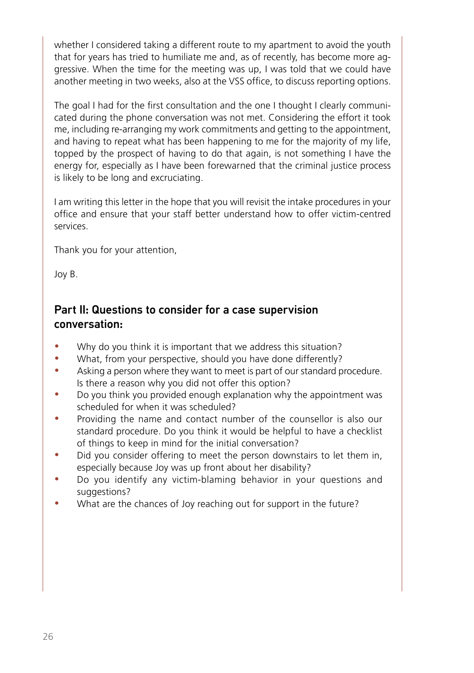whether I considered taking a different route to my apartment to avoid the youth that for years has tried to humiliate me and, as of recently, has become more aggressive. When the time for the meeting was up, I was told that we could have another meeting in two weeks, also at the VSS office, to discuss reporting options.

The goal I had for the first consultation and the one I thought I clearly communicated during the phone conversation was not met. Considering the effort it took me, including re-arranging my work commitments and getting to the appointment, and having to repeat what has been happening to me for the majority of my life, topped by the prospect of having to do that again, is not something I have the energy for, especially as I have been forewarned that the criminal justice process is likely to be long and excruciating.

I am writing this letter in the hope that you will revisit the intake procedures in your office and ensure that your staff better understand how to offer victim-centred services.

Thank you for your attention,

Joy B.

### Part II: Questions to consider for a case supervision conversation:

- Why do you think it is important that we address this situation?
- What, from your perspective, should you have done differently?
- Asking a person where they want to meet is part of our standard procedure. Is there a reason why you did not offer this option?
- Do you think you provided enough explanation why the appointment was scheduled for when it was scheduled?
- Providing the name and contact number of the counsellor is also our standard procedure. Do you think it would be helpful to have a checklist of things to keep in mind for the initial conversation?
- Did you consider offering to meet the person downstairs to let them in, especially because Joy was up front about her disability?
- Do you identify any victim-blaming behavior in your questions and suggestions?
- What are the chances of Joy reaching out for support in the future?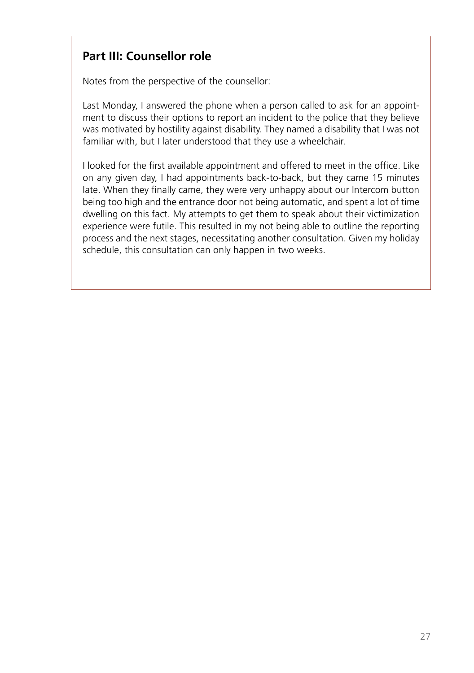# **Part III: Counsellor role**

Notes from the perspective of the counsellor:

Last Monday, I answered the phone when a person called to ask for an appointment to discuss their options to report an incident to the police that they believe was motivated by hostility against disability. They named a disability that I was not familiar with, but I later understood that they use a wheelchair.

I looked for the first available appointment and offered to meet in the office. Like on any given day, I had appointments back-to-back, but they came 15 minutes late. When they finally came, they were very unhappy about our Intercom button being too high and the entrance door not being automatic, and spent a lot of time dwelling on this fact. My attempts to get them to speak about their victimization experience were futile. This resulted in my not being able to outline the reporting process and the next stages, necessitating another consultation. Given my holiday schedule, this consultation can only happen in two weeks.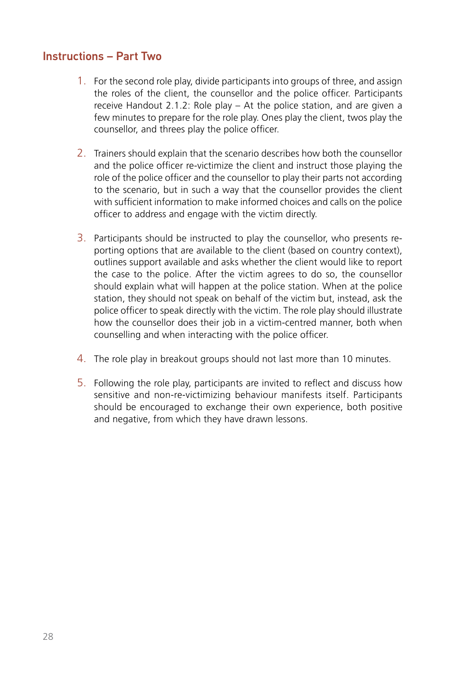#### Instructions – Part Two

- 1. For the second role play, divide participants into groups of three, and assign the roles of the client, the counsellor and the police officer. Participants receive Handout 2.1.2: Role play – At the police station, and are given a few minutes to prepare for the role play. Ones play the client, twos play the counsellor, and threes play the police officer.
- 2. Trainers should explain that the scenario describes how both the counsellor and the police officer re-victimize the client and instruct those playing the role of the police officer and the counsellor to play their parts not according to the scenario, but in such a way that the counsellor provides the client with sufficient information to make informed choices and calls on the police officer to address and engage with the victim directly.
- 3. Participants should be instructed to play the counsellor, who presents reporting options that are available to the client (based on country context), outlines support available and asks whether the client would like to report the case to the police. After the victim agrees to do so, the counsellor should explain what will happen at the police station. When at the police station, they should not speak on behalf of the victim but, instead, ask the police officer to speak directly with the victim. The role play should illustrate how the counsellor does their job in a victim-centred manner, both when counselling and when interacting with the police officer.
- 4. The role play in breakout groups should not last more than 10 minutes.
- 5. Following the role play, participants are invited to reflect and discuss how sensitive and non-re-victimizing behaviour manifests itself. Participants should be encouraged to exchange their own experience, both positive and negative, from which they have drawn lessons.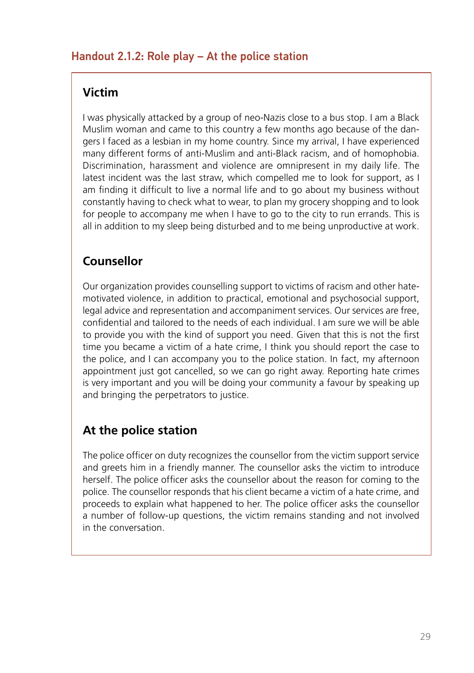## **Victim**

I was physically attacked by a group of neo-Nazis close to a bus stop. I am a Black Muslim woman and came to this country a few months ago because of the dangers I faced as a lesbian in my home country. Since my arrival, I have experienced many different forms of anti-Muslim and anti-Black racism, and of homophobia. Discrimination, harassment and violence are omnipresent in my daily life. The latest incident was the last straw, which compelled me to look for support, as I am finding it difficult to live a normal life and to go about my business without constantly having to check what to wear, to plan my grocery shopping and to look for people to accompany me when I have to go to the city to run errands. This is all in addition to my sleep being disturbed and to me being unproductive at work.

## **Counsellor**

Our organization provides counselling support to victims of racism and other hatemotivated violence, in addition to practical, emotional and psychosocial support, legal advice and representation and accompaniment services. Our services are free, confidential and tailored to the needs of each individual. I am sure we will be able to provide you with the kind of support you need. Given that this is not the first time you became a victim of a hate crime, I think you should report the case to the police, and I can accompany you to the police station. In fact, my afternoon appointment just got cancelled, so we can go right away. Reporting hate crimes is very important and you will be doing your community a favour by speaking up and bringing the perpetrators to justice.

# **At the police station**

The police officer on duty recognizes the counsellor from the victim support service and greets him in a friendly manner. The counsellor asks the victim to introduce herself. The police officer asks the counsellor about the reason for coming to the police. The counsellor responds that his client became a victim of a hate crime, and proceeds to explain what happened to her. The police officer asks the counsellor a number of follow-up questions, the victim remains standing and not involved in the conversation.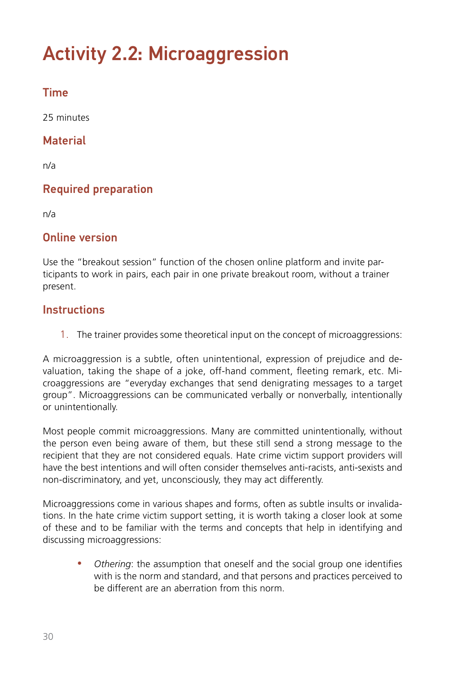# <span id="page-29-0"></span>Activity 2.2: Microaggression

# Time

25 minutes

## **Material**

n/a

# Required preparation

n/a

#### Online version

Use the "breakout session" function of the chosen online platform and invite participants to work in pairs, each pair in one private breakout room, without a trainer present.

#### **Instructions**

1. The trainer provides some theoretical input on the concept of microaggressions:

A microaggression is a subtle, often unintentional, expression of prejudice and devaluation, taking the shape of a joke, off-hand comment, fleeting remark, etc. Microaggressions are "everyday exchanges that send denigrating messages to a target group". Microaggressions can be communicated verbally or nonverbally, intentionally or unintentionally.

Most people commit microaggressions. Many are committed unintentionally, without the person even being aware of them, but these still send a strong message to the recipient that they are not considered equals. Hate crime victim support providers will have the best intentions and will often consider themselves anti-racists, anti-sexists and non-discriminatory, and yet, unconsciously, they may act differently.

Microaggressions come in various shapes and forms, often as subtle insults or invalidations. In the hate crime victim support setting, it is worth taking a closer look at some of these and to be familiar with the terms and concepts that help in identifying and discussing microaggressions:

• *Othering*: the assumption that oneself and the social group one identifies with is the norm and standard, and that persons and practices perceived to be different are an aberration from this norm.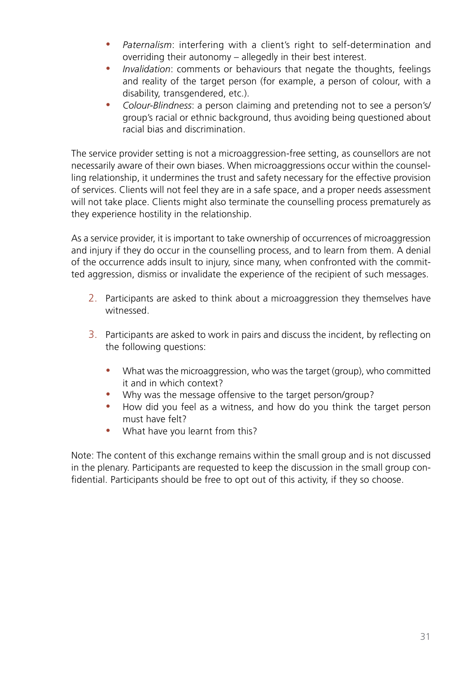- *Paternalism*: interfering with a client's right to self-determination and overriding their autonomy – allegedly in their best interest.
- *Invalidation*: comments or behaviours that negate the thoughts, feelings and reality of the target person (for example, a person of colour, with a disability, transgendered, etc.).
- *Colour-Blindness*: a person claiming and pretending not to see a person's/ group's racial or ethnic background, thus avoiding being questioned about racial bias and discrimination.

The service provider setting is not a microaggression-free setting, as counsellors are not necessarily aware of their own biases. When microaggressions occur within the counselling relationship, it undermines the trust and safety necessary for the effective provision of services. Clients will not feel they are in a safe space, and a proper needs assessment will not take place. Clients might also terminate the counselling process prematurely as they experience hostility in the relationship.

As a service provider, it is important to take ownership of occurrences of microaggression and injury if they do occur in the counselling process, and to learn from them. A denial of the occurrence adds insult to injury, since many, when confronted with the committed aggression, dismiss or invalidate the experience of the recipient of such messages.

- 2. Participants are asked to think about a microaggression they themselves have witnessed.
- 3. Participants are asked to work in pairs and discuss the incident, by reflecting on the following questions:
	- What was the microaggression, who was the target (group), who committed it and in which context?
	- Why was the message offensive to the target person/group?
	- How did you feel as a witness, and how do you think the target person must have felt?
	- What have you learnt from this?

Note: The content of this exchange remains within the small group and is not discussed in the plenary. Participants are requested to keep the discussion in the small group confidential. Participants should be free to opt out of this activity, if they so choose.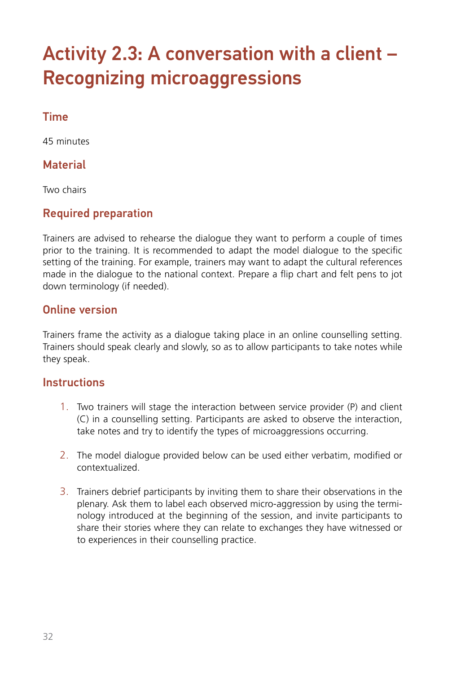# <span id="page-31-0"></span>Activity 2.3: A conversation with a client – Recognizing microaggressions

# Time

45 minutes

#### **Material**

Two chairs

### Required preparation

Trainers are advised to rehearse the dialogue they want to perform a couple of times prior to the training. It is recommended to adapt the model dialogue to the specific setting of the training. For example, trainers may want to adapt the cultural references made in the dialogue to the national context. Prepare a flip chart and felt pens to jot down terminology (if needed).

#### Online version

Trainers frame the activity as a dialogue taking place in an online counselling setting. Trainers should speak clearly and slowly, so as to allow participants to take notes while they speak.

#### **Instructions**

- 1. Two trainers will stage the interaction between service provider (P) and client (C) in a counselling setting. Participants are asked to observe the interaction, take notes and try to identify the types of microaggressions occurring.
- 2. The model dialogue provided below can be used either verbatim, modified or contextualized.
- 3. Trainers debrief participants by inviting them to share their observations in the plenary. Ask them to label each observed micro-aggression by using the terminology introduced at the beginning of the session, and invite participants to share their stories where they can relate to exchanges they have witnessed or to experiences in their counselling practice.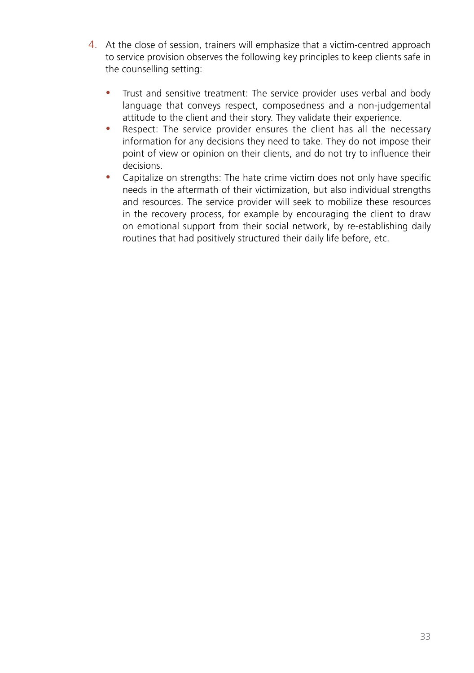- 4. At the close of session, trainers will emphasize that a victim-centred approach to service provision observes the following key principles to keep clients safe in the counselling setting:
	- Trust and sensitive treatment: The service provider uses verbal and body language that conveys respect, composedness and a non-judgemental attitude to the client and their story. They validate their experience.
	- Respect: The service provider ensures the client has all the necessary information for any decisions they need to take. They do not impose their point of view or opinion on their clients, and do not try to influence their decisions.
	- Capitalize on strengths: The hate crime victim does not only have specific needs in the aftermath of their victimization, but also individual strengths and resources. The service provider will seek to mobilize these resources in the recovery process, for example by encouraging the client to draw on emotional support from their social network, by re-establishing daily routines that had positively structured their daily life before, etc.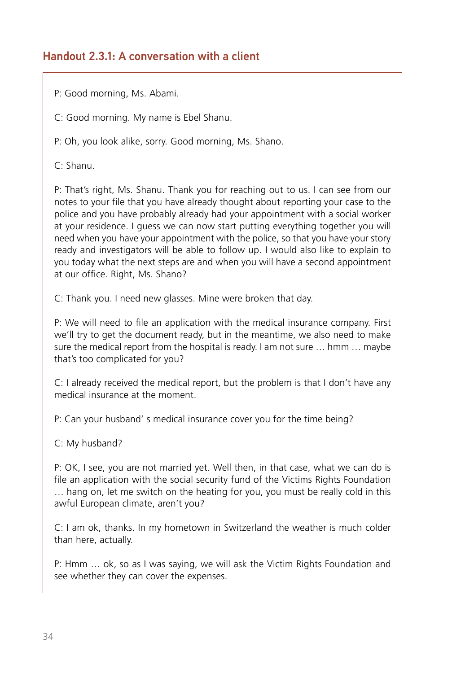#### Handout 2.3.1: A conversation with a client

P: Good morning, Ms. Abami.

C: Good morning. My name is Ebel Shanu.

P: Oh, you look alike, sorry. Good morning, Ms. Shano.

C: Shanu.

P: That's right, Ms. Shanu. Thank you for reaching out to us. I can see from our notes to your file that you have already thought about reporting your case to the police and you have probably already had your appointment with a social worker at your residence. I guess we can now start putting everything together you will need when you have your appointment with the police, so that you have your story ready and investigators will be able to follow up. I would also like to explain to you today what the next steps are and when you will have a second appointment at our office. Right, Ms. Shano?

C: Thank you. I need new glasses. Mine were broken that day.

P: We will need to file an application with the medical insurance company. First we'll try to get the document ready, but in the meantime, we also need to make sure the medical report from the hospital is ready. I am not sure … hmm … maybe that's too complicated for you?

C: I already received the medical report, but the problem is that I don't have any medical insurance at the moment.

P: Can your husband' s medical insurance cover you for the time being?

C: My husband?

P: OK, I see, you are not married yet. Well then, in that case, what we can do is file an application with the social security fund of the Victims Rights Foundation … hang on, let me switch on the heating for you, you must be really cold in this awful European climate, aren't you?

C: I am ok, thanks. In my hometown in Switzerland the weather is much colder than here, actually.

P: Hmm … ok, so as I was saying, we will ask the Victim Rights Foundation and see whether they can cover the expenses.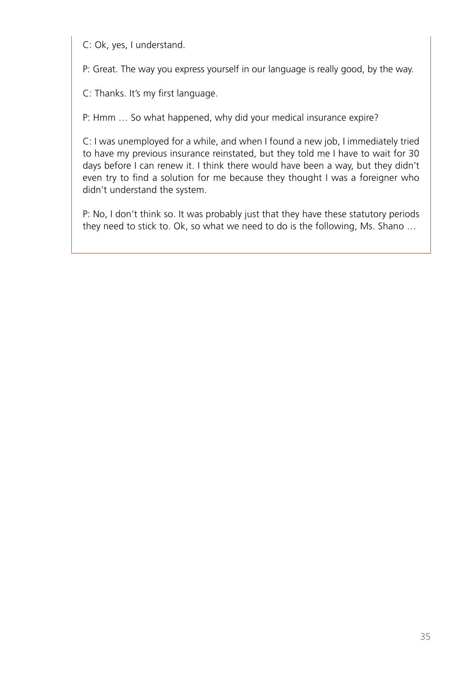C: Ok, yes, I understand.

P: Great. The way you express yourself in our language is really good, by the way.

C: Thanks. It's my first language.

P: Hmm … So what happened, why did your medical insurance expire?

C: I was unemployed for a while, and when I found a new job, I immediately tried to have my previous insurance reinstated, but they told me I have to wait for 30 days before I can renew it. I think there would have been a way, but they didn't even try to find a solution for me because they thought I was a foreigner who didn't understand the system.

P: No, I don't think so. It was probably just that they have these statutory periods they need to stick to. Ok, so what we need to do is the following, Ms. Shano …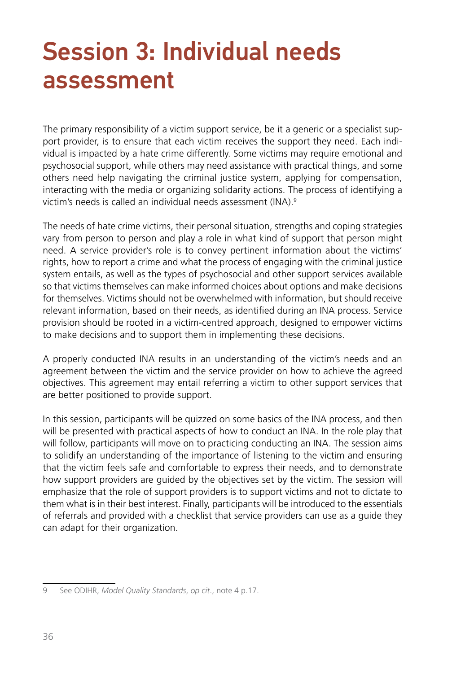# <span id="page-35-0"></span>Session 3: Individual needs assessment

The primary responsibility of a victim support service, be it a generic or a specialist support provider, is to ensure that each victim receives the support they need. Each individual is impacted by a hate crime differently. Some victims may require emotional and psychosocial support, while others may need assistance with practical things, and some others need help navigating the criminal justice system, applying for compensation, interacting with the media or organizing solidarity actions. The process of identifying a victim's needs is called an individual needs assessment (INA).<sup>9</sup>

The needs of hate crime victims, their personal situation, strengths and coping strategies vary from person to person and play a role in what kind of support that person might need. A service provider's role is to convey pertinent information about the victims' rights, how to report a crime and what the process of engaging with the criminal justice system entails, as well as the types of psychosocial and other support services available so that victims themselves can make informed choices about options and make decisions for themselves. Victims should not be overwhelmed with information, but should receive relevant information, based on their needs, as identified during an INA process. Service provision should be rooted in a victim-centred approach, designed to empower victims to make decisions and to support them in implementing these decisions.

A properly conducted INA results in an understanding of the victim's needs and an agreement between the victim and the service provider on how to achieve the agreed objectives. This agreement may entail referring a victim to other support services that are better positioned to provide support.

In this session, participants will be quizzed on some basics of the INA process, and then will be presented with practical aspects of how to conduct an INA. In the role play that will follow, participants will move on to practicing conducting an INA. The session aims to solidify an understanding of the importance of listening to the victim and ensuring that the victim feels safe and comfortable to express their needs, and to demonstrate how support providers are guided by the objectives set by the victim. The session will emphasize that the role of support providers is to support victims and not to dictate to them what is in their best interest. Finally, participants will be introduced to the essentials of referrals and provided with a checklist that service providers can use as a guide they can adapt for their organization.

<sup>9</sup> See ODIHR, *Model Quality Standards*, *op cit*., note 4 p.17.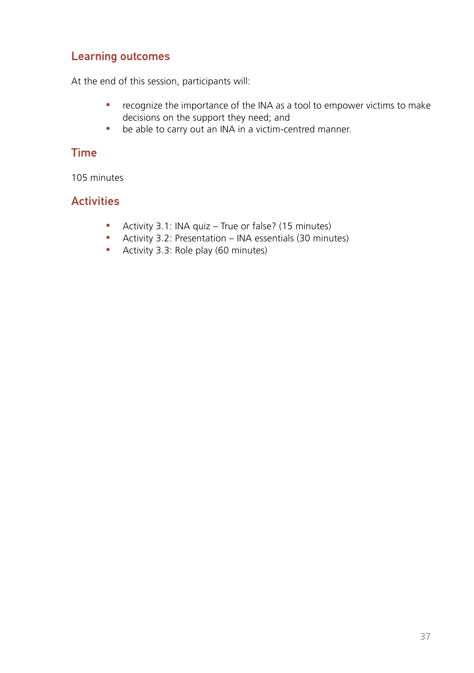### Learning outcomes

At the end of this session, participants will:

- recognize the importance of the INA as a tool to empower victims to make decisions on the support they need; and
- be able to carry out an INA in a victim-centred manner.

# Time

105 minutes

### **Activities**

- Activity 3.1: INA quiz True or false? (15 minutes)
- y Activity 3.2: Presentation INA essentials (30 minutes)
- Activity 3.3: Role play (60 minutes)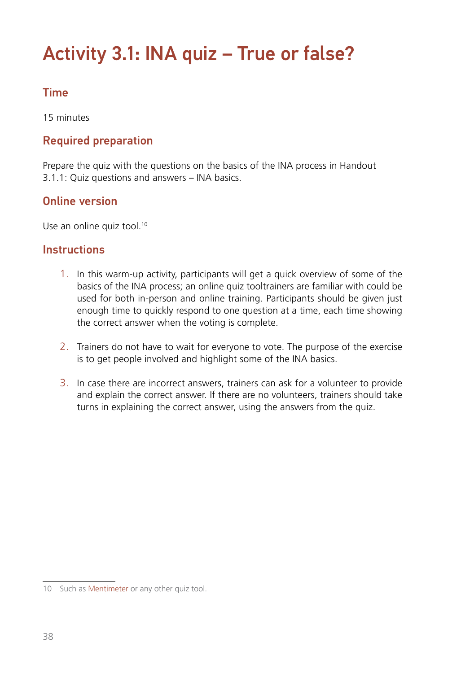# Activity 3.1: INA quiz – True or false?

# Time

15 minutes

# Required preparation

Prepare the quiz with the questions on the basics of the INA process in Handout 3.1.1: Quiz questions and answers – INA basics.

## Online version

Use an online quiz tool.<sup>10</sup>

### **Instructions**

- 1. In this warm-up activity, participants will get a quick overview of some of the basics of the INA process; an online quiz tooltrainers are familiar with could be used for both in-person and online training. Participants should be given just enough time to quickly respond to one question at a time, each time showing the correct answer when the voting is complete.
- 2. Trainers do not have to wait for everyone to vote. The purpose of the exercise is to get people involved and highlight some of the INA basics.
- 3. In case there are incorrect answers, trainers can ask for a volunteer to provide and explain the correct answer. If there are no volunteers, trainers should take turns in explaining the correct answer, using the answers from the quiz.

<sup>10</sup> Such as [Mentimeter](https://www.mentimeter.com/) or any other quiz tool.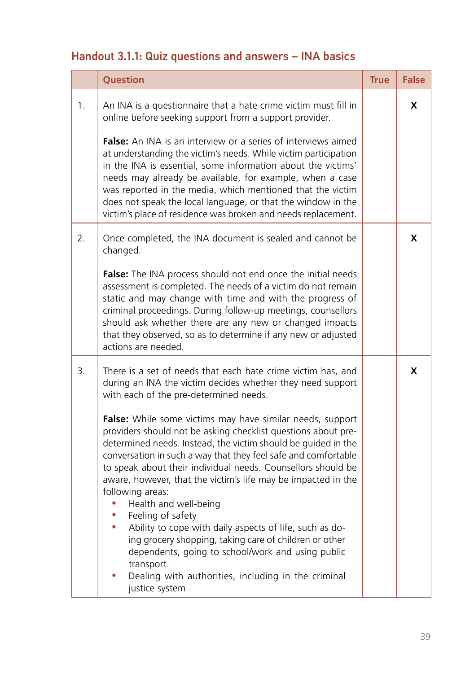# Handout 3.1.1: Quiz questions and answers – INA basics

|                | Question                                                                                                                                                                                                                                                                                                                                                                                                                                                                                                                                                                                                                                                                                                                                                                                                                                                                                                       | <b>True</b> | <b>False</b> |
|----------------|----------------------------------------------------------------------------------------------------------------------------------------------------------------------------------------------------------------------------------------------------------------------------------------------------------------------------------------------------------------------------------------------------------------------------------------------------------------------------------------------------------------------------------------------------------------------------------------------------------------------------------------------------------------------------------------------------------------------------------------------------------------------------------------------------------------------------------------------------------------------------------------------------------------|-------------|--------------|
| 1 <sub>1</sub> | An INA is a questionnaire that a hate crime victim must fill in<br>online before seeking support from a support provider.<br><b>False:</b> An INA is an interview or a series of interviews aimed<br>at understanding the victim's needs. While victim participation<br>in the INA is essential, some information about the victims'<br>needs may already be available, for example, when a case<br>was reported in the media, which mentioned that the victim<br>does not speak the local language, or that the window in the<br>victim's place of residence was broken and needs replacement.                                                                                                                                                                                                                                                                                                                |             | X            |
| 2.             | Once completed, the INA document is sealed and cannot be<br>changed.<br>False: The INA process should not end once the initial needs<br>assessment is completed. The needs of a victim do not remain<br>static and may change with time and with the progress of<br>criminal proceedings. During follow-up meetings, counsellors<br>should ask whether there are any new or changed impacts<br>that they observed, so as to determine if any new or adjusted<br>actions are needed.                                                                                                                                                                                                                                                                                                                                                                                                                            |             | X            |
| 3.             | There is a set of needs that each hate crime victim has, and<br>during an INA the victim decides whether they need support<br>with each of the pre-determined needs.<br>False: While some victims may have similar needs, support<br>providers should not be asking checklist questions about pre-<br>determined needs. Instead, the victim should be guided in the<br>conversation in such a way that they feel safe and comfortable<br>to speak about their individual needs. Counsellors should be<br>aware, however, that the victim's life may be impacted in the<br>following areas:<br>Health and well-being<br>Feeling of safety<br>۰<br>Ability to cope with daily aspects of life, such as do-<br>ing grocery shopping, taking care of children or other<br>dependents, going to school/work and using public<br>transport.<br>Dealing with authorities, including in the criminal<br>justice system |             | x            |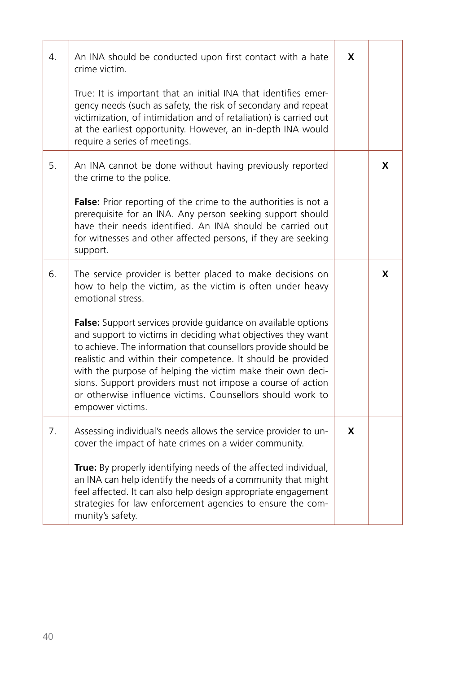| 4. | An INA should be conducted upon first contact with a hate<br>crime victim.<br>True: It is important that an initial INA that identifies emer-<br>gency needs (such as safety, the risk of secondary and repeat<br>victimization, of intimidation and of retaliation) is carried out<br>at the earliest opportunity. However, an in-depth INA would<br>require a series of meetings.                                                                                                                                                                                                                                              | X |   |
|----|----------------------------------------------------------------------------------------------------------------------------------------------------------------------------------------------------------------------------------------------------------------------------------------------------------------------------------------------------------------------------------------------------------------------------------------------------------------------------------------------------------------------------------------------------------------------------------------------------------------------------------|---|---|
| 5. | An INA cannot be done without having previously reported<br>the crime to the police.<br>False: Prior reporting of the crime to the authorities is not a<br>prerequisite for an INA. Any person seeking support should<br>have their needs identified. An INA should be carried out<br>for witnesses and other affected persons, if they are seeking<br>support.                                                                                                                                                                                                                                                                  |   | X |
| 6. | The service provider is better placed to make decisions on<br>how to help the victim, as the victim is often under heavy<br>emotional stress.<br>False: Support services provide quidance on available options<br>and support to victims in deciding what objectives they want<br>to achieve. The information that counsellors provide should be<br>realistic and within their competence. It should be provided<br>with the purpose of helping the victim make their own deci-<br>sions. Support providers must not impose a course of action<br>or otherwise influence victims. Counsellors should work to<br>empower victims. |   | X |
| 7. | Assessing individual's needs allows the service provider to un-<br>cover the impact of hate crimes on a wider community.<br>True: By properly identifying needs of the affected individual,<br>an INA can help identify the needs of a community that might<br>feel affected. It can also help design appropriate engagement<br>strategies for law enforcement agencies to ensure the com-<br>munity's safety.                                                                                                                                                                                                                   | X |   |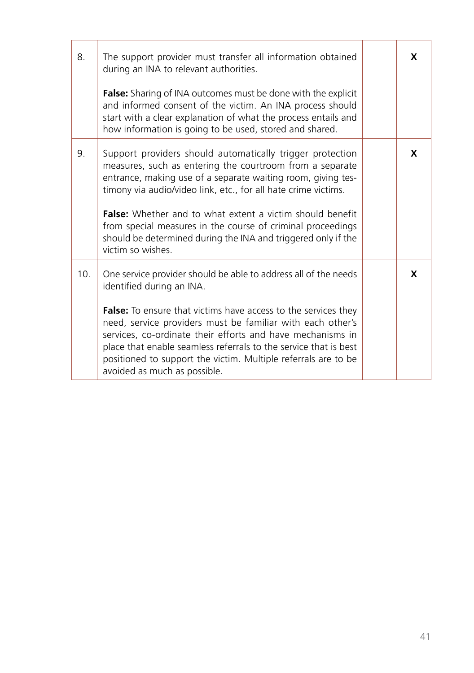| 8.              | The support provider must transfer all information obtained<br>during an INA to relevant authorities.<br><b>False:</b> Sharing of INA outcomes must be done with the explicit<br>and informed consent of the victim. An INA process should<br>start with a clear explanation of what the process entails and<br>how information is going to be used, stored and shared.                                                                                                          | X |
|-----------------|----------------------------------------------------------------------------------------------------------------------------------------------------------------------------------------------------------------------------------------------------------------------------------------------------------------------------------------------------------------------------------------------------------------------------------------------------------------------------------|---|
| 9.              | Support providers should automatically trigger protection<br>measures, such as entering the courtroom from a separate<br>entrance, making use of a separate waiting room, giving tes-<br>timony via audio/video link, etc., for all hate crime victims.<br><b>False:</b> Whether and to what extent a victim should benefit<br>from special measures in the course of criminal proceedings<br>should be determined during the INA and triggered only if the<br>victim so wishes. | X |
| 10 <sub>1</sub> | One service provider should be able to address all of the needs<br>identified during an INA.<br><b>False:</b> To ensure that victims have access to the services they<br>need, service providers must be familiar with each other's<br>services, co-ordinate their efforts and have mechanisms in<br>place that enable seamless referrals to the service that is best<br>positioned to support the victim. Multiple referrals are to be<br>avoided as much as possible.          | X |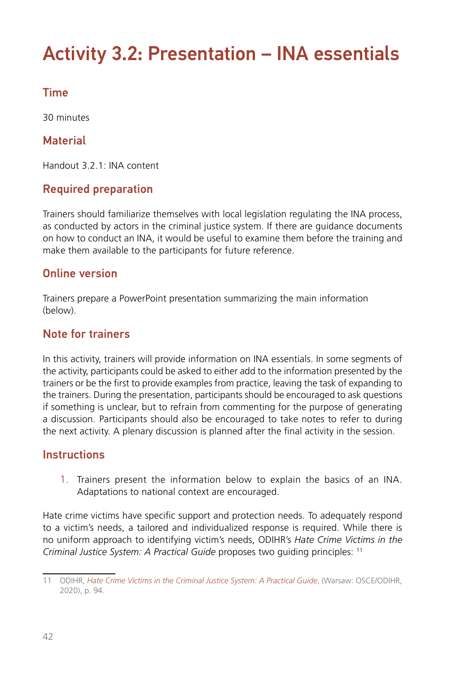# Activity 3.2: Presentation – INA essentials

# Time

30 minutes

## **Material**

Handout 3.2.1: INA content

## Required preparation

Trainers should familiarize themselves with local legislation regulating the INA process, as conducted by actors in the criminal justice system. If there are guidance documents on how to conduct an INA, it would be useful to examine them before the training and make them available to the participants for future reference.

### Online version

Trainers prepare a PowerPoint presentation summarizing the main information (below).

### Note for trainers

In this activity, trainers will provide information on INA essentials. In some segments of the activity, participants could be asked to either add to the information presented by the trainers or be the first to provide examples from practice, leaving the task of expanding to the trainers. During the presentation, participants should be encouraged to ask questions if something is unclear, but to refrain from commenting for the purpose of generating a discussion. Participants should also be encouraged to take notes to refer to during the next activity. A plenary discussion is planned after the final activity in the session.

### **Instructions**

1. Trainers present the information below to explain the basics of an INA. Adaptations to national context are encouraged.

Hate crime victims have specific support and protection needs. To adequately respond to a victim's needs, a tailored and individualized response is required. While there is no uniform approach to identifying victim's needs, ODIHR's *Hate Crime Victims in the Criminal Justice System: A Practical Guide* proposes two guiding principles: 11

<sup>11</sup> ODIHR, *[Hate Crime Victims in the Criminal Justice System: A Practical Guide](https://www.osce.org/odihr/447028)*, (Warsaw: OSCE/ODIHR, 2020), p. 94.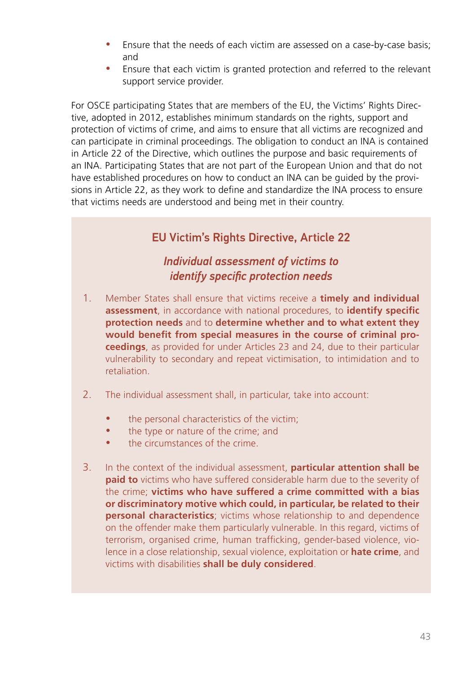- Ensure that the needs of each victim are assessed on a case-by-case basis; and
- Ensure that each victim is granted protection and referred to the relevant support service provider.

For OSCE participating States that are members of the EU, the Victims' Rights Directive, adopted in 2012, establishes minimum standards on the rights, support and protection of victims of crime, and aims to ensure that all victims are recognized and can participate in criminal proceedings. The obligation to conduct an INA is contained in Article 22 of the Directive, which outlines the purpose and basic requirements of an INA. Participating States that are not part of the European Union and that do not have established procedures on how to conduct an INA can be guided by the provisions in Article 22, as they work to define and standardize the INA process to ensure that victims needs are understood and being met in their country.

# EU Victim's Rights Directive, Article 22

### *Individual assessment of victims to identify specific protection needs*

- 1. Member States shall ensure that victims receive a **timely and individual assessment**, in accordance with national procedures, to **identify specific protection needs** and to **determine whether and to what extent they would benefit from special measures in the course of criminal proceedings**, as provided for under Articles 23 and 24, due to their particular vulnerability to secondary and repeat victimisation, to intimidation and to retaliation.
- 2. The individual assessment shall, in particular, take into account:
	- the personal characteristics of the victim;
	- the type or nature of the crime; and
	- the circumstances of the crime.
- 3. In the context of the individual assessment, **particular attention shall be paid to** victims who have suffered considerable harm due to the severity of the crime; **victims who have suffered a crime committed with a bias or discriminatory motive which could, in particular, be related to their personal characteristics**; victims whose relationship to and dependence on the offender make them particularly vulnerable. In this regard, victims of terrorism, organised crime, human trafficking, gender-based violence, violence in a close relationship, sexual violence, exploitation or **hate crime**, and victims with disabilities **shall be duly considered**.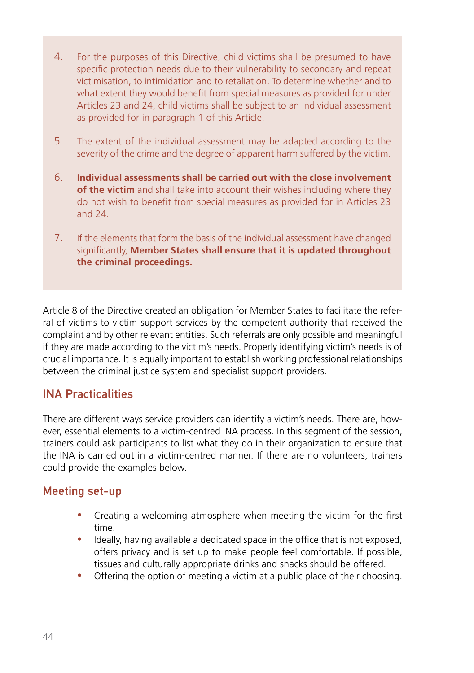- 4. For the purposes of this Directive, child victims shall be presumed to have specific protection needs due to their vulnerability to secondary and repeat victimisation, to intimidation and to retaliation. To determine whether and to what extent they would benefit from special measures as provided for under Articles 23 and 24, child victims shall be subject to an individual assessment as provided for in paragraph 1 of this Article.
- 5. The extent of the individual assessment may be adapted according to the severity of the crime and the degree of apparent harm suffered by the victim.
- 6. **Individual assessments shall be carried out with the close involvement of the victim** and shall take into account their wishes including where they do not wish to benefit from special measures as provided for in Articles 23 and 24.
- 7. If the elements that form the basis of the individual assessment have changed significantly, **Member States shall ensure that it is updated throughout the criminal proceedings.**

Article 8 of the Directive created an obligation for Member States to facilitate the referral of victims to victim support services by the competent authority that received the complaint and by other relevant entities. Such referrals are only possible and meaningful if they are made according to the victim's needs. Properly identifying victim's needs is of crucial importance. It is equally important to establish working professional relationships between the criminal justice system and specialist support providers.

### INA Practicalities

There are different ways service providers can identify a victim's needs. There are, however, essential elements to a victim-centred INA process. In this segment of the session, trainers could ask participants to list what they do in their organization to ensure that the INA is carried out in a victim-centred manner. If there are no volunteers, trainers could provide the examples below.

### Meeting set-up

- Creating a welcoming atmosphere when meeting the victim for the first time.
- Ideally, having available a dedicated space in the office that is not exposed, offers privacy and is set up to make people feel comfortable. If possible, tissues and culturally appropriate drinks and snacks should be offered.
- Offering the option of meeting a victim at a public place of their choosing.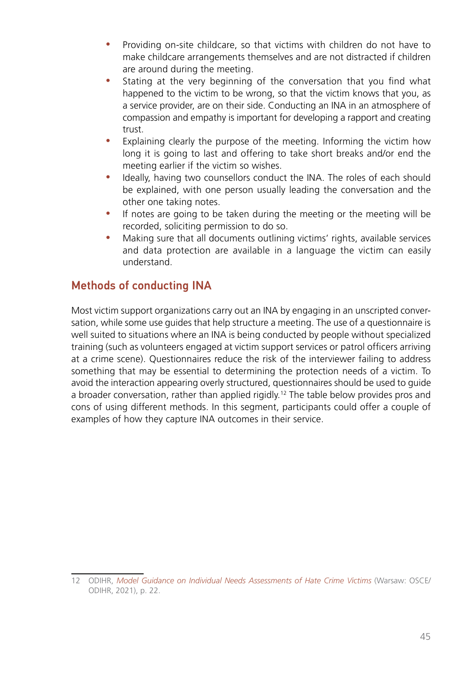- Providing on-site childcare, so that victims with children do not have to make childcare arrangements themselves and are not distracted if children are around during the meeting.
- Stating at the very beginning of the conversation that you find what happened to the victim to be wrong, so that the victim knows that you, as a service provider, are on their side. Conducting an INA in an atmosphere of compassion and empathy is important for developing a rapport and creating trust.
- Explaining clearly the purpose of the meeting. Informing the victim how long it is going to last and offering to take short breaks and/or end the meeting earlier if the victim so wishes.
- Ideally, having two counsellors conduct the INA. The roles of each should be explained, with one person usually leading the conversation and the other one taking notes.
- If notes are going to be taken during the meeting or the meeting will be recorded, soliciting permission to do so.
- Making sure that all documents outlining victims' rights, available services and data protection are available in a language the victim can easily understand.

# Methods of conducting INA

Most victim support organizations carry out an INA by engaging in an unscripted conversation, while some use guides that help structure a meeting. The use of a questionnaire is well suited to situations where an INA is being conducted by people without specialized training (such as volunteers engaged at victim support services or patrol officers arriving at a crime scene). Questionnaires reduce the risk of the interviewer failing to address something that may be essential to determining the protection needs of a victim. To avoid the interaction appearing overly structured, questionnaires should be used to guide a broader conversation, rather than applied rigidly.12 The table below provides pros and cons of using different methods. In this segment, participants could offer a couple of examples of how they capture INA outcomes in their service.

<sup>12</sup> ODIHR, *[Model Guidance on Individual Needs Assessments of Hate Crime Victims](https://www.osce.org/files/f/documents/5/9/489782_0.pdf)* (Warsaw: OSCE/ ODIHR, 2021), p. 22.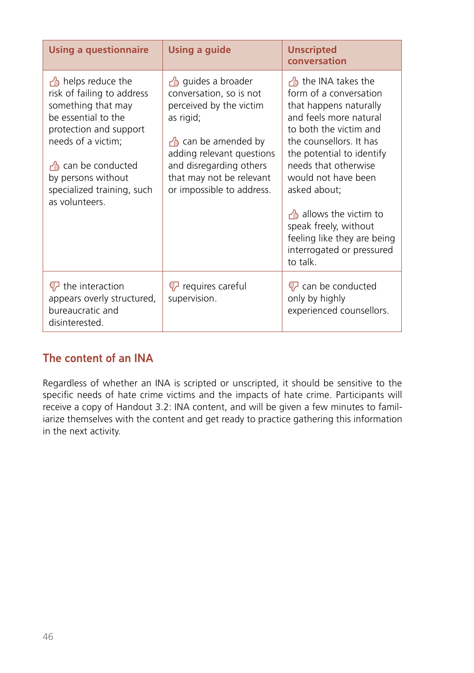| <b>Using a questionnaire</b>                                                                                                                                                                                                                       | <b>Using a guide</b>                                                                                                                                                                                                                    | <b>Unscripted</b><br>conversation                                                                                                                                                                                                                                                                                                                                                      |
|----------------------------------------------------------------------------------------------------------------------------------------------------------------------------------------------------------------------------------------------------|-----------------------------------------------------------------------------------------------------------------------------------------------------------------------------------------------------------------------------------------|----------------------------------------------------------------------------------------------------------------------------------------------------------------------------------------------------------------------------------------------------------------------------------------------------------------------------------------------------------------------------------------|
| $\sqrt{2}$ helps reduce the<br>risk of failing to address<br>something that may<br>be essential to the<br>protection and support<br>needs of a victim;<br>└ can be conducted<br>by persons without<br>specialized training, such<br>as volunteers. | ouides a broader<br>conversation, so is not<br>perceived by the victim<br>as rigid;<br>$\frac{1}{2}$ can be amended by<br>adding relevant questions<br>and disregarding others<br>that may not be relevant<br>or impossible to address. | the INA takes the<br>form of a conversation<br>that happens naturally<br>and feels more natural<br>to both the victim and<br>the counsellors It has<br>the potential to identify<br>needs that otherwise<br>would not have been<br>asked about;<br>$\frac{1}{2}$ allows the victim to<br>speak freely, without<br>feeling like they are being<br>interrogated or pressured<br>to talk. |
| <b></b> the interaction<br>appears overly structured,<br>bureaucratic and<br>disinterested.                                                                                                                                                        | U requires careful<br>supervision.                                                                                                                                                                                                      | $\bigtriangledown$ can be conducted<br>only by highly<br>experienced counsellors.                                                                                                                                                                                                                                                                                                      |

# The content of an INA

Regardless of whether an INA is scripted or unscripted, it should be sensitive to the specific needs of hate crime victims and the impacts of hate crime. Participants will receive a copy of Handout 3.2: INA content, and will be given a few minutes to familiarize themselves with the content and get ready to practice gathering this information in the next activity.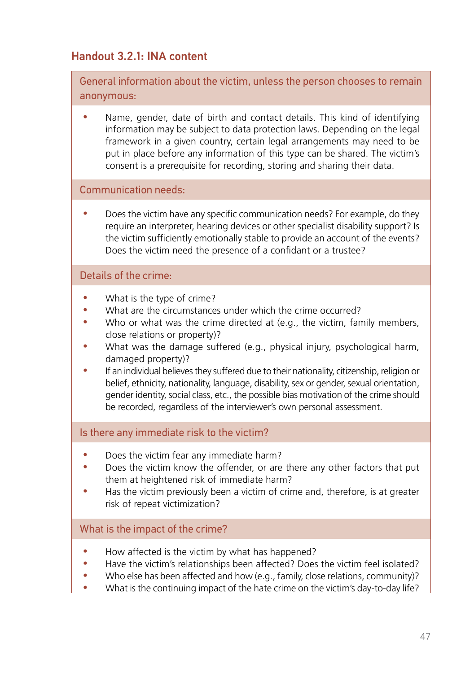# Handout 3.2.1: INA content

General information about the victim, unless the person chooses to remain anonymous:

Name, gender, date of birth and contact details. This kind of identifying information may be subject to data protection laws. Depending on the legal framework in a given country, certain legal arrangements may need to be put in place before any information of this type can be shared. The victim's consent is a prerequisite for recording, storing and sharing their data.

#### Communication needs:

Does the victim have any specific communication needs? For example, do they require an interpreter, hearing devices or other specialist disability support? Is the victim sufficiently emotionally stable to provide an account of the events? Does the victim need the presence of a confidant or a trustee?

#### Details of the crime:

- What is the type of crime?
- What are the circumstances under which the crime occurred?
- Who or what was the crime directed at (e.g., the victim, family members, close relations or property)?
- What was the damage suffered (e.g., physical injury, psychological harm, damaged property)?
- y If an individual believes they suffered due to their nationality, citizenship, religion or belief, ethnicity, nationality, language, disability, sex or gender, sexual orientation, gender identity, social class, etc., the possible bias motivation of the crime should be recorded, regardless of the interviewer's own personal assessment.

#### Is there any immediate risk to the victim?

- Does the victim fear any immediate harm?
- Does the victim know the offender, or are there any other factors that put them at heightened risk of immediate harm?
- Has the victim previously been a victim of crime and, therefore, is at greater risk of repeat victimization?

#### What is the impact of the crime?

- How affected is the victim by what has happened?
- Have the victim's relationships been affected? Does the victim feel isolated?
- Who else has been affected and how (e.g., family, close relations, community)?
- What is the continuing impact of the hate crime on the victim's day-to-day life?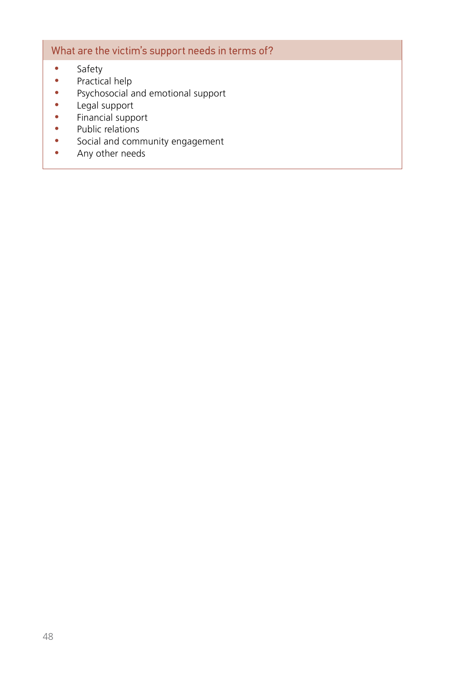### What are the victim's support needs in terms of?

- Safety
- $\bullet$  Practical help
- Psychosocial and emotional support
- Legal support
- Financial support
- Public relations
- Social and community engagement
- Any other needs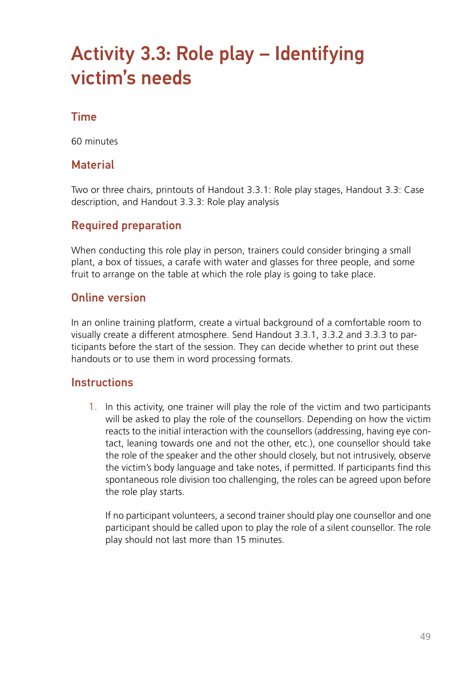# Activity 3.3: Role play – Identifying victim's needs

### Time

60 minutes

### **Material**

Two or three chairs, printouts of Handout 3.3.1: Role play stages, Handout 3.3: Case description, and Handout 3.3.3: Role play analysis

### Required preparation

When conducting this role play in person, trainers could consider bringing a small plant, a box of tissues, a carafe with water and glasses for three people, and some fruit to arrange on the table at which the role play is going to take place.

### Online version

In an online training platform, create a virtual background of a comfortable room to visually create a different atmosphere. Send Handout 3.3.1, 3.3.2 and 3.3.3 to participants before the start of the session. They can decide whether to print out these handouts or to use them in word processing formats.

### **Instructions**

1. In this activity, one trainer will play the role of the victim and two participants will be asked to play the role of the counsellors. Depending on how the victim reacts to the initial interaction with the counsellors (addressing, having eye contact, leaning towards one and not the other, etc.), one counsellor should take the role of the speaker and the other should closely, but not intrusively, observe the victim's body language and take notes, if permitted. If participants find this spontaneous role division too challenging, the roles can be agreed upon before the role play starts.

If no participant volunteers, a second trainer should play one counsellor and one participant should be called upon to play the role of a silent counsellor. The role play should not last more than 15 minutes.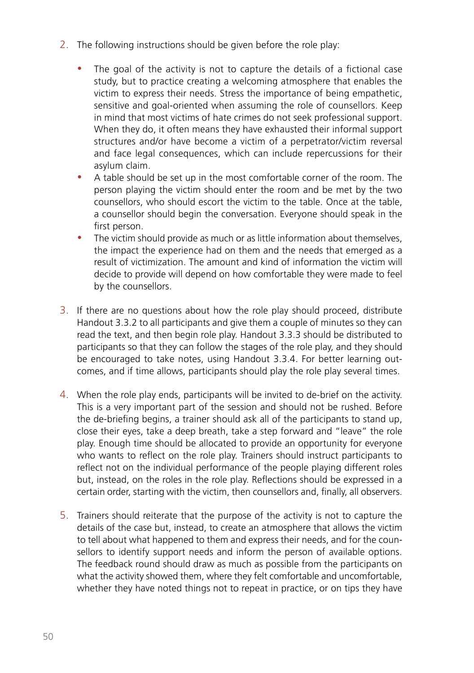- 2. The following instructions should be given before the role play:
	- The goal of the activity is not to capture the details of a fictional case study, but to practice creating a welcoming atmosphere that enables the victim to express their needs. Stress the importance of being empathetic, sensitive and goal-oriented when assuming the role of counsellors. Keep in mind that most victims of hate crimes do not seek professional support. When they do, it often means they have exhausted their informal support structures and/or have become a victim of a perpetrator/victim reversal and face legal consequences, which can include repercussions for their asylum claim.
	- A table should be set up in the most comfortable corner of the room. The person playing the victim should enter the room and be met by the two counsellors, who should escort the victim to the table. Once at the table, a counsellor should begin the conversation. Everyone should speak in the first person.
	- The victim should provide as much or as little information about themselves, the impact the experience had on them and the needs that emerged as a result of victimization. The amount and kind of information the victim will decide to provide will depend on how comfortable they were made to feel by the counsellors.
- 3. If there are no questions about how the role play should proceed, distribute Handout 3.3.2 to all participants and give them a couple of minutes so they can read the text, and then begin role play. Handout 3.3.3 should be distributed to participants so that they can follow the stages of the role play, and they should be encouraged to take notes, using Handout 3.3.4. For better learning outcomes, and if time allows, participants should play the role play several times.
- 4. When the role play ends, participants will be invited to de-brief on the activity. This is a very important part of the session and should not be rushed. Before the de-briefing begins, a trainer should ask all of the participants to stand up, close their eyes, take a deep breath, take a step forward and "leave" the role play. Enough time should be allocated to provide an opportunity for everyone who wants to reflect on the role play. Trainers should instruct participants to reflect not on the individual performance of the people playing different roles but, instead, on the roles in the role play. Reflections should be expressed in a certain order, starting with the victim, then counsellors and, finally, all observers.
- 5. Trainers should reiterate that the purpose of the activity is not to capture the details of the case but, instead, to create an atmosphere that allows the victim to tell about what happened to them and express their needs, and for the counsellors to identify support needs and inform the person of available options. The feedback round should draw as much as possible from the participants on what the activity showed them, where they felt comfortable and uncomfortable, whether they have noted things not to repeat in practice, or on tips they have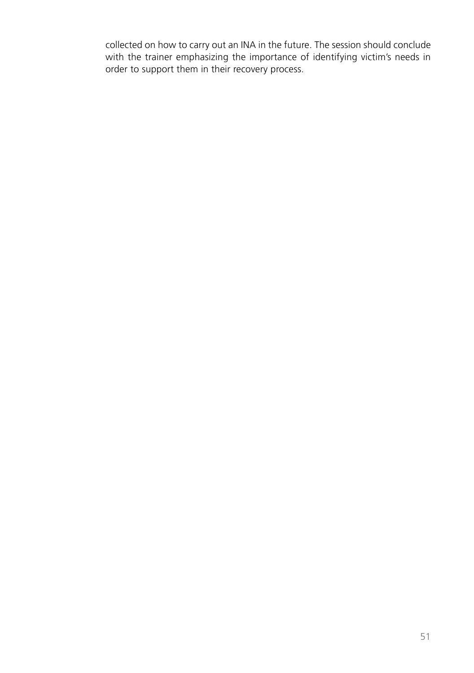collected on how to carry out an INA in the future. The session should conclude with the trainer emphasizing the importance of identifying victim's needs in order to support them in their recovery process.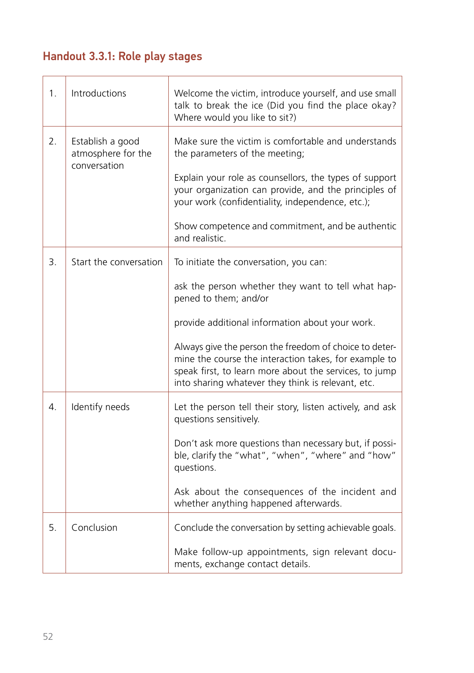# Handout 3.3.1: Role play stages

| 1.                                                           | Introductions                                                      | Welcome the victim, introduce yourself, and use small<br>talk to break the ice (Did you find the place okay?<br>Where would you like to sit?)                                                                                   |
|--------------------------------------------------------------|--------------------------------------------------------------------|---------------------------------------------------------------------------------------------------------------------------------------------------------------------------------------------------------------------------------|
| 2.<br>Establish a good<br>atmosphere for the<br>conversation |                                                                    | Make sure the victim is comfortable and understands<br>the parameters of the meeting;                                                                                                                                           |
|                                                              |                                                                    | Explain your role as counsellors, the types of support<br>your organization can provide, and the principles of<br>your work (confidentiality, independence, etc.);                                                              |
|                                                              | Show competence and commitment, and be authentic<br>and realistic. |                                                                                                                                                                                                                                 |
| 3.                                                           | Start the conversation                                             | To initiate the conversation, you can:                                                                                                                                                                                          |
|                                                              |                                                                    | ask the person whether they want to tell what hap-<br>pened to them; and/or                                                                                                                                                     |
|                                                              |                                                                    | provide additional information about your work.                                                                                                                                                                                 |
|                                                              |                                                                    | Always give the person the freedom of choice to deter-<br>mine the course the interaction takes, for example to<br>speak first, to learn more about the services, to jump<br>into sharing whatever they think is relevant, etc. |
| 4.                                                           | Identify needs                                                     | Let the person tell their story, listen actively, and ask<br>questions sensitively.                                                                                                                                             |
|                                                              |                                                                    | Don't ask more questions than necessary but, if possi-<br>ble, clarify the "what", "when", "where" and "how"<br>questions.                                                                                                      |
|                                                              |                                                                    | Ask about the consequences of the incident and<br>whether anything happened afterwards.                                                                                                                                         |
| 5.                                                           | Conclusion                                                         | Conclude the conversation by setting achievable goals.                                                                                                                                                                          |
|                                                              |                                                                    | Make follow-up appointments, sign relevant docu-<br>ments, exchange contact details.                                                                                                                                            |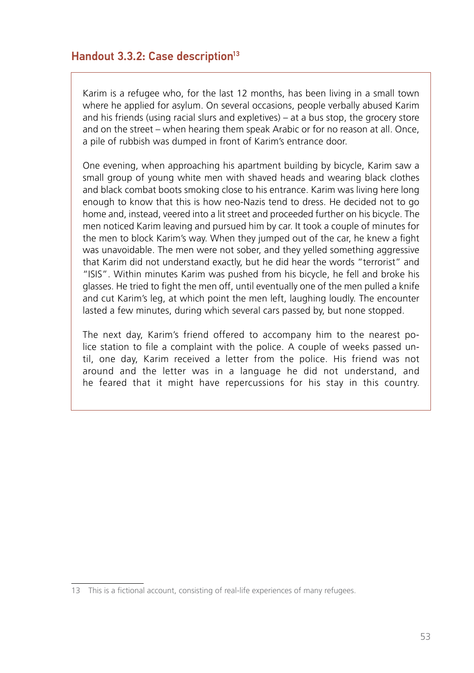### Handout 3.3.2: Case description<sup>13</sup>

Karim is a refugee who, for the last 12 months, has been living in a small town where he applied for asylum. On several occasions, people verbally abused Karim and his friends (using racial slurs and expletives) – at a bus stop, the grocery store and on the street – when hearing them speak Arabic or for no reason at all. Once, a pile of rubbish was dumped in front of Karim's entrance door.

One evening, when approaching his apartment building by bicycle, Karim saw a small group of young white men with shaved heads and wearing black clothes and black combat boots smoking close to his entrance. Karim was living here long enough to know that this is how neo-Nazis tend to dress. He decided not to go home and, instead, veered into a lit street and proceeded further on his bicycle. The men noticed Karim leaving and pursued him by car. It took a couple of minutes for the men to block Karim's way. When they jumped out of the car, he knew a fight was unavoidable. The men were not sober, and they yelled something aggressive that Karim did not understand exactly, but he did hear the words "terrorist" and "ISIS". Within minutes Karim was pushed from his bicycle, he fell and broke his glasses. He tried to fight the men off, until eventually one of the men pulled a knife and cut Karim's leg, at which point the men left, laughing loudly. The encounter lasted a few minutes, during which several cars passed by, but none stopped.

The next day, Karim's friend offered to accompany him to the nearest police station to file a complaint with the police. A couple of weeks passed until, one day, Karim received a letter from the police. His friend was not around and the letter was in a language he did not understand, and he feared that it might have repercussions for his stay in this country.

<sup>13</sup> This is a fictional account, consisting of real-life experiences of many refugees.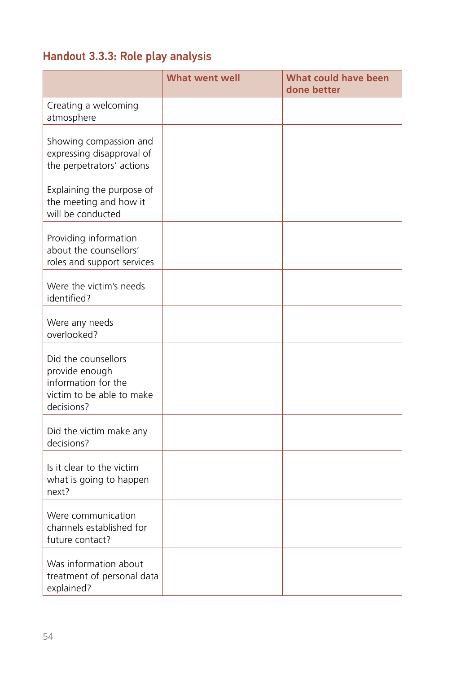# Handout 3.3.3: Role play analysis

|                                                                                                         | <b>What went well</b> | <b>What could have been</b><br>done better |
|---------------------------------------------------------------------------------------------------------|-----------------------|--------------------------------------------|
| Creating a welcoming<br>atmosphere                                                                      |                       |                                            |
| Showing compassion and<br>expressing disapproval of<br>the perpetrators' actions                        |                       |                                            |
| Explaining the purpose of<br>the meeting and how it<br>will be conducted                                |                       |                                            |
| Providing information<br>about the counsellors'<br>roles and support services                           |                       |                                            |
| Were the victim's needs<br>identified?                                                                  |                       |                                            |
| Were any needs<br>overlooked?                                                                           |                       |                                            |
| Did the counsellors<br>provide enough<br>information for the<br>victim to be able to make<br>decisions? |                       |                                            |
| Did the victim make any<br>decisions?                                                                   |                       |                                            |
| Is it clear to the victim<br>what is going to happen<br>next?                                           |                       |                                            |
| Were communication<br>channels established for<br>future contact?                                       |                       |                                            |
| Was information about<br>treatment of personal data<br>explained?                                       |                       |                                            |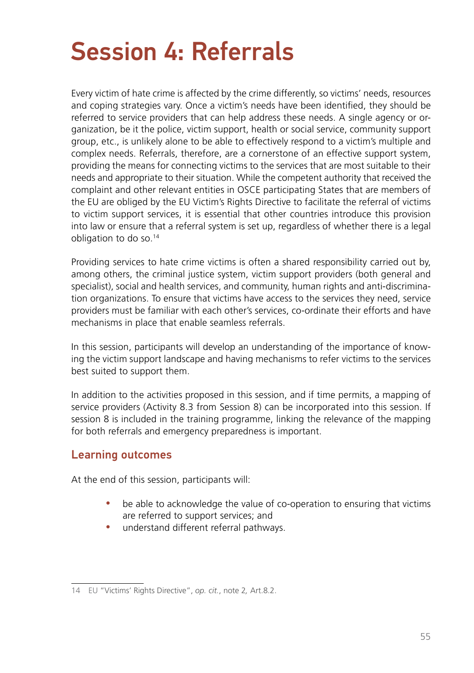# Session 4: Referrals

Every victim of hate crime is affected by the crime differently, so victims' needs, resources and coping strategies vary. Once a victim's needs have been identified, they should be referred to service providers that can help address these needs. A single agency or organization, be it the police, victim support, health or social service, community support group, etc., is unlikely alone to be able to effectively respond to a victim's multiple and complex needs. Referrals, therefore, are a cornerstone of an effective support system, providing the means for connecting victims to the services that are most suitable to their needs and appropriate to their situation. While the competent authority that received the complaint and other relevant entities in OSCE participating States that are members of the EU are obliged by the EU Victim's Rights Directive to facilitate the referral of victims to victim support services, it is essential that other countries introduce this provision into law or ensure that a referral system is set up, regardless of whether there is a legal obligation to do so.14

Providing services to hate crime victims is often a shared responsibility carried out by, among others, the criminal justice system, victim support providers (both general and specialist), social and health services, and community, human rights and anti-discrimination organizations. To ensure that victims have access to the services they need, service providers must be familiar with each other's services, co-ordinate their efforts and have mechanisms in place that enable seamless referrals.

In this session, participants will develop an understanding of the importance of knowing the victim support landscape and having mechanisms to refer victims to the services best suited to support them.

In addition to the activities proposed in this session, and if time permits, a mapping of service providers (Activity 8.3 from Session 8) can be incorporated into this session. If session 8 is included in the training programme, linking the relevance of the mapping for both referrals and emergency preparedness is important.

### Learning outcomes

At the end of this session, participants will:

- be able to acknowledge the value of co-operation to ensuring that victims are referred to support services; and
- understand different referral pathways.

<sup>14</sup> EU "Victims' Rights Directive", *op. cit.*, note 2*,* Art.8.2.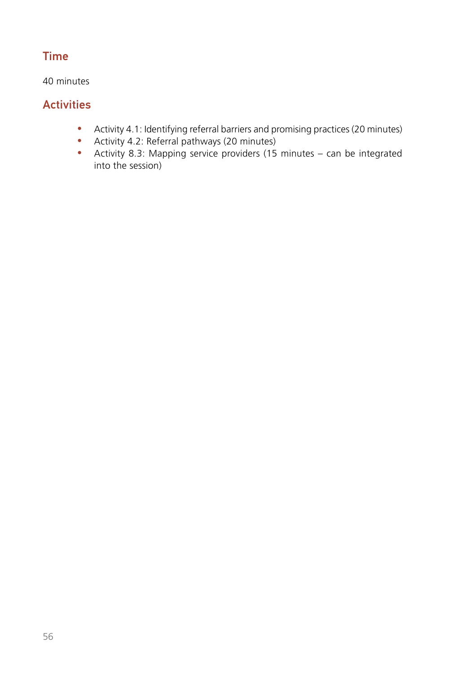# Time

40 minutes

# **Activities**

- Activity 4.1: Identifying referral barriers and promising practices (20 minutes)
- Activity 4.2: Referral pathways (20 minutes)
- Activity 8.3: Mapping service providers (15 minutes can be integrated into the session)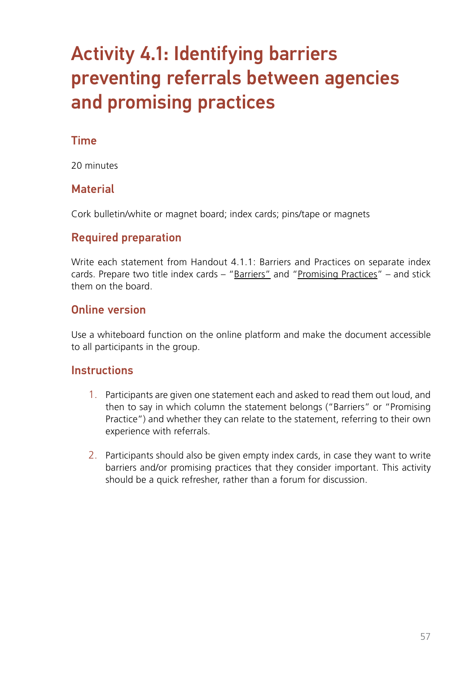# Activity 4.1: Identifying barriers preventing referrals between agencies and promising practices

### Time

20 minutes

## **Material**

Cork bulletin/white or magnet board; index cards; pins/tape or magnets

# Required preparation

Write each statement from Handout 4.1.1: Barriers and Practices on separate index cards. Prepare two title index cards – "Barriers" and "Promising Practices" – and stick them on the board.

### Online version

Use a whiteboard function on the online platform and make the document accessible to all participants in the group.

### **Instructions**

- 1. Participants are given one statement each and asked to read them out loud, and then to say in which column the statement belongs ("Barriers" or "Promising Practice") and whether they can relate to the statement, referring to their own experience with referrals.
- 2. Participants should also be given empty index cards, in case they want to write barriers and/or promising practices that they consider important. This activity should be a quick refresher, rather than a forum for discussion.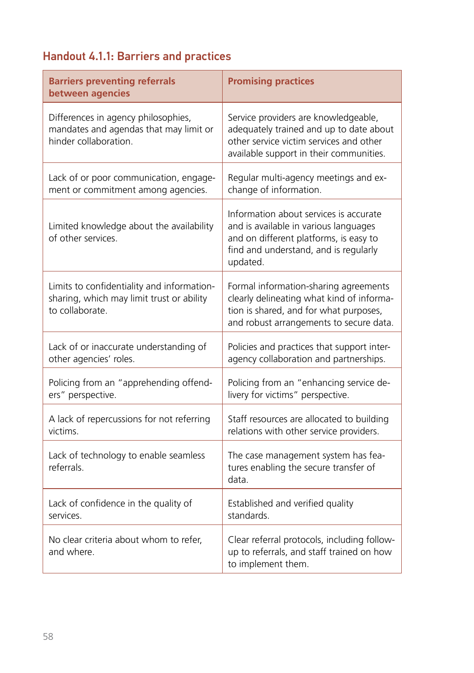# Handout 4.1.1: Barriers and practices

| <b>Barriers preventing referrals</b><br>between agencies                                                   | <b>Promising practices</b>                                                                                                                                                     |
|------------------------------------------------------------------------------------------------------------|--------------------------------------------------------------------------------------------------------------------------------------------------------------------------------|
| Differences in agency philosophies,<br>mandates and agendas that may limit or<br>hinder collaboration      | Service providers are knowledgeable,<br>adequately trained and up to date about<br>other service victim services and other<br>available support in their communities.          |
| Lack of or poor communication, engage-<br>ment or commitment among agencies.                               | Regular multi-agency meetings and ex-<br>change of information.                                                                                                                |
| Limited knowledge about the availability<br>of other services.                                             | Information about services is accurate<br>and is available in various languages<br>and on different platforms, is easy to<br>find and understand, and is regularly<br>updated. |
| Limits to confidentiality and information-<br>sharing, which may limit trust or ability<br>to collaborate. | Formal information-sharing agreements<br>clearly delineating what kind of informa-<br>tion is shared, and for what purposes,<br>and robust arrangements to secure data.        |
| Lack of or inaccurate understanding of<br>other agencies' roles.                                           | Policies and practices that support inter-<br>agency collaboration and partnerships.                                                                                           |
| Policing from an "apprehending offend-<br>ers" perspective.                                                | Policing from an "enhancing service de-<br>livery for victims" perspective.                                                                                                    |
| A lack of repercussions for not referring<br>victims.                                                      | Staff resources are allocated to building<br>relations with other service providers.                                                                                           |
| Lack of technology to enable seamless<br>referrals.                                                        | The case management system has fea-<br>tures enabling the secure transfer of<br>data.                                                                                          |
| Lack of confidence in the quality of<br>services                                                           | Established and verified quality<br>standards                                                                                                                                  |
| No clear criteria about whom to refer,<br>and where.                                                       | Clear referral protocols, including follow-<br>up to referrals, and staff trained on how<br>to implement them.                                                                 |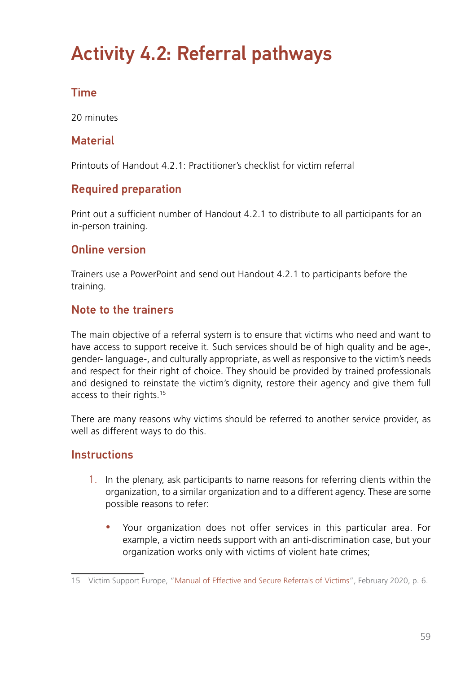# Activity 4.2: Referral pathways

# Time

20 minutes

# **Material**

Printouts of Handout 4.2.1: Practitioner's checklist for victim referral

# Required preparation

Print out a sufficient number of Handout 4.2.1 to distribute to all participants for an in-person training.

## Online version

Trainers use a PowerPoint and send out Handout 4.2.1 to participants before the training.

### Note to the trainers

The main objective of a referral system is to ensure that victims who need and want to have access to support receive it. Such services should be of high quality and be age-, gender- language-, and culturally appropriate, as well as responsive to the victim's needs and respect for their right of choice. They should be provided by trained professionals and designed to reinstate the victim's dignity, restore their agency and give them full access to their rights.15

There are many reasons why victims should be referred to another service provider, as well as different ways to do this.

### **Instructions**

- 1. In the plenary, ask participants to name reasons for referring clients within the organization, to a similar organization and to a different agency. These are some possible reasons to refer:
	- Your organization does not offer services in this particular area. For example, a victim needs support with an anti-discrimination case, but your organization works only with victims of violent hate crimes;

<sup>15</sup> Victim Support Europe, "[Manual of Effective and Secure Referrals of Victims](https://victim-support.eu/wp-content/uploads/2021/02/Manual-final-for-print.pdf)", February 2020, p. 6.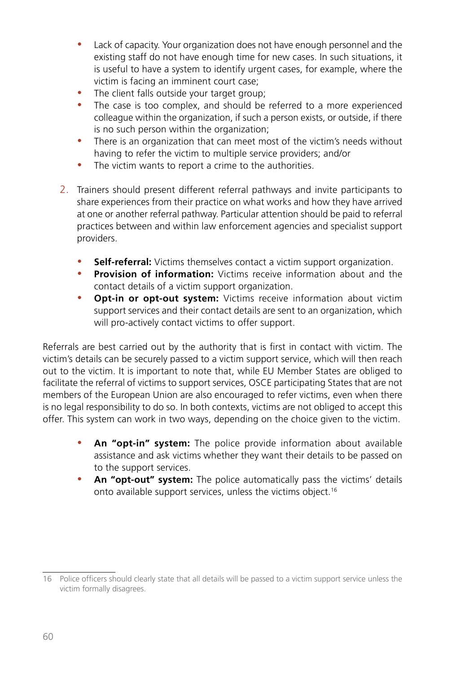- Lack of capacity. Your organization does not have enough personnel and the existing staff do not have enough time for new cases. In such situations, it is useful to have a system to identify urgent cases, for example, where the victim is facing an imminent court case;
- The client falls outside your target group;
- The case is too complex, and should be referred to a more experienced colleague within the organization, if such a person exists, or outside, if there is no such person within the organization;
- There is an organization that can meet most of the victim's needs without having to refer the victim to multiple service providers; and/or
- The victim wants to report a crime to the authorities.
- 2. Trainers should present different referral pathways and invite participants to share experiences from their practice on what works and how they have arrived at one or another referral pathway. Particular attention should be paid to referral practices between and within law enforcement agencies and specialist support providers.
	- **Self-referral:** Victims themselves contact a victim support organization.
	- **Provision of information:** Victims receive information about and the contact details of a victim support organization.
	- **Opt-in or opt-out system:** Victims receive information about victim support services and their contact details are sent to an organization, which will pro-actively contact victims to offer support.

Referrals are best carried out by the authority that is first in contact with victim. The victim's details can be securely passed to a victim support service, which will then reach out to the victim. It is important to note that, while EU Member States are obliged to facilitate the referral of victims to support services, OSCE participating States that are not members of the European Union are also encouraged to refer victims, even when there is no legal responsibility to do so. In both contexts, victims are not obliged to accept this offer. This system can work in two ways, depending on the choice given to the victim.

- An "opt-in" system: The police provide information about available assistance and ask victims whether they want their details to be passed on to the support services.
- An "opt-out" system: The police automatically pass the victims' details onto available support services, unless the victims object.16

<sup>16</sup> Police officers should clearly state that all details will be passed to a victim support service unless the victim formally disagrees.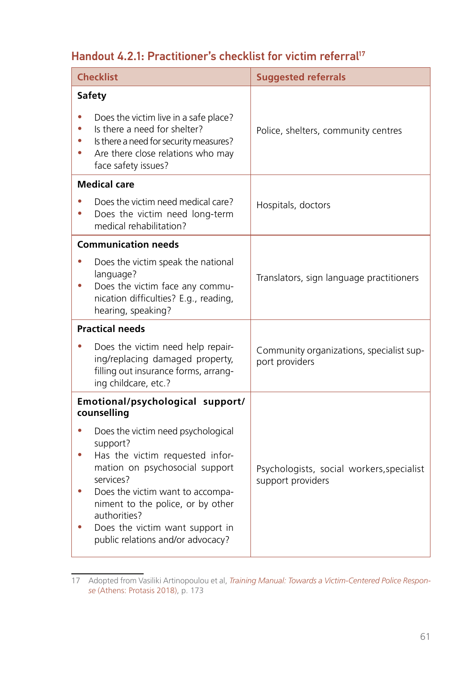# Handout 4.2.1: Practitioner's checklist for victim referral<sup>17</sup>

| <b>Checklist</b>                                                                                                                                                                                                                                                                                            | <b>Suggested referrals</b>                                     |
|-------------------------------------------------------------------------------------------------------------------------------------------------------------------------------------------------------------------------------------------------------------------------------------------------------------|----------------------------------------------------------------|
| Safety<br>Does the victim live in a safe place?<br>Is there a need for shelter?<br>Is there a need for security measures?<br>$\bullet$<br>Are there close relations who may<br>face safety issues?                                                                                                          | Police, shelters, community centres                            |
| <b>Medical care</b>                                                                                                                                                                                                                                                                                         |                                                                |
| Does the victim need medical care?<br>Does the victim need long-term<br>۰<br>medical rehabilitation?                                                                                                                                                                                                        | Hospitals, doctors                                             |
| <b>Communication needs</b><br>Does the victim speak the national<br>language?<br>Does the victim face any commu-<br>۰<br>nication difficulties? E.g., reading,<br>hearing, speaking?                                                                                                                        | Translators, sign language practitioners                       |
| <b>Practical needs</b>                                                                                                                                                                                                                                                                                      |                                                                |
| Does the victim need help repair-<br>۰<br>ing/replacing damaged property,<br>filling out insurance forms, arrang-<br>ing childcare, etc.?                                                                                                                                                                   | Community organizations, specialist sup-<br>port providers     |
| Emotional/psychological support/<br>counselling                                                                                                                                                                                                                                                             |                                                                |
| Does the victim need psychological<br>support?<br>Has the victim requested infor-<br>٠<br>mation on psychosocial support<br>services?<br>Does the victim want to accompa-<br>۰<br>niment to the police, or by other<br>authorities?<br>Does the victim want support in<br>public relations and/or advocacy? | Psychologists, social workers, specialist<br>support providers |

<sup>17</sup> Adopted from Vasiliki Artinopoulou et al, *[Training Manual: Towards a Victim-Centered Police Respon](http://www.eurocrime.eu/wp-content/uploads/2019/01/PROTASIS_Training-Manual.pdf)[se](http://www.eurocrime.eu/wp-content/uploads/2019/01/PROTASIS_Training-Manual.pdf)* (Athens: Protasis 2018), p. 173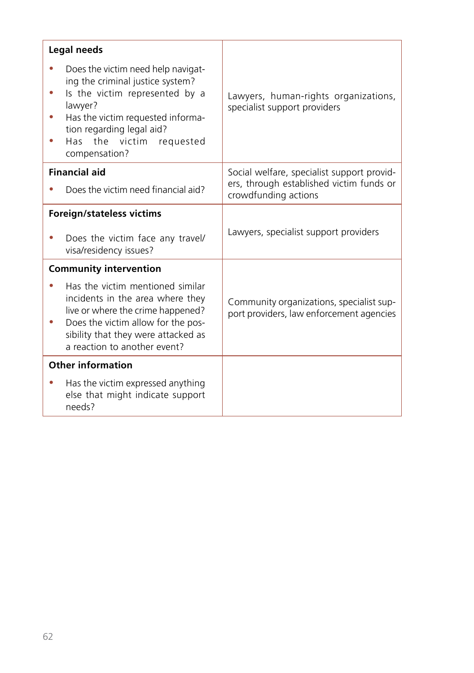|           | Legal needs                                                                                                                                                                                                                                             |                                                                                                                |
|-----------|---------------------------------------------------------------------------------------------------------------------------------------------------------------------------------------------------------------------------------------------------------|----------------------------------------------------------------------------------------------------------------|
| $\bullet$ | Does the victim need help navigat-<br>ing the criminal justice system?<br>Is the victim represented by a<br>lawyer?<br>Has the victim requested informa-<br>tion regarding legal aid?<br>Has the victim requested<br>compensation?                      | Lawyers, human-rights organizations,<br>specialist support providers                                           |
|           | <b>Financial aid</b><br>Does the victim need financial aid?                                                                                                                                                                                             | Social welfare, specialist support provid-<br>ers, through established victim funds or<br>crowdfunding actions |
|           | <b>Foreign/stateless victims</b><br>Does the victim face any travel/<br>visa/residency issues?                                                                                                                                                          | Lawyers, specialist support providers                                                                          |
|           | <b>Community intervention</b><br>Has the victim mentioned similar<br>incidents in the area where they<br>live or where the crime happened?<br>Does the victim allow for the pos-<br>sibility that they were attacked as<br>a reaction to another event? | Community organizations, specialist sup-<br>port providers, law enforcement agencies                           |
|           | <b>Other information</b><br>Has the victim expressed anything<br>else that might indicate support<br>needs?                                                                                                                                             |                                                                                                                |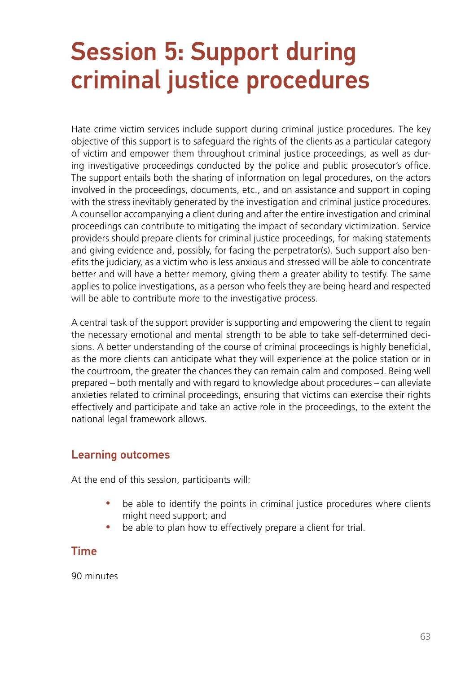# Session 5: Support during criminal justice procedures

Hate crime victim services include support during criminal justice procedures. The key objective of this support is to safeguard the rights of the clients as a particular category of victim and empower them throughout criminal justice proceedings, as well as during investigative proceedings conducted by the police and public prosecutor's office. The support entails both the sharing of information on legal procedures, on the actors involved in the proceedings, documents, etc., and on assistance and support in coping with the stress inevitably generated by the investigation and criminal justice procedures. A counsellor accompanying a client during and after the entire investigation and criminal proceedings can contribute to mitigating the impact of secondary victimization. Service providers should prepare clients for criminal justice proceedings, for making statements and giving evidence and, possibly, for facing the perpetrator(s). Such support also benefits the judiciary, as a victim who is less anxious and stressed will be able to concentrate better and will have a better memory, giving them a greater ability to testify. The same applies to police investigations, as a person who feels they are being heard and respected will be able to contribute more to the investigative process.

A central task of the support provider is supporting and empowering the client to regain the necessary emotional and mental strength to be able to take self-determined decisions. A better understanding of the course of criminal proceedings is highly beneficial, as the more clients can anticipate what they will experience at the police station or in the courtroom, the greater the chances they can remain calm and composed. Being well prepared – both mentally and with regard to knowledge about procedures – can alleviate anxieties related to criminal proceedings, ensuring that victims can exercise their rights effectively and participate and take an active role in the proceedings, to the extent the national legal framework allows.

### Learning outcomes

At the end of this session, participants will:

- be able to identify the points in criminal justice procedures where clients might need support; and
- be able to plan how to effectively prepare a client for trial.

### Time

90 minutes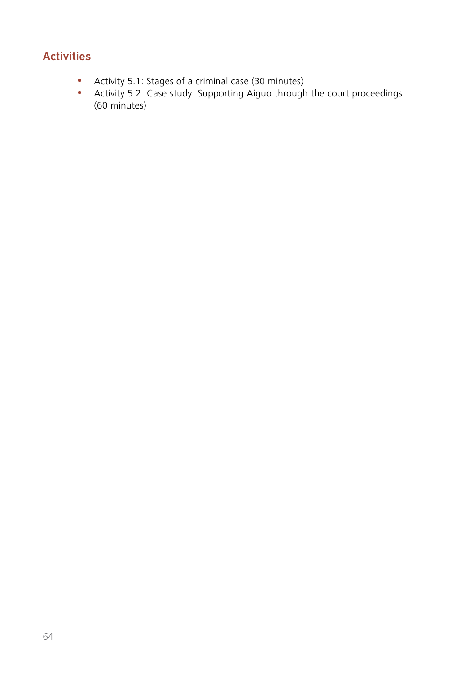# **Activities**

- Activity 5.1: Stages of a criminal case (30 minutes)
- Activity 5.2: Case study: Supporting Aiguo through the court proceedings (60 minutes)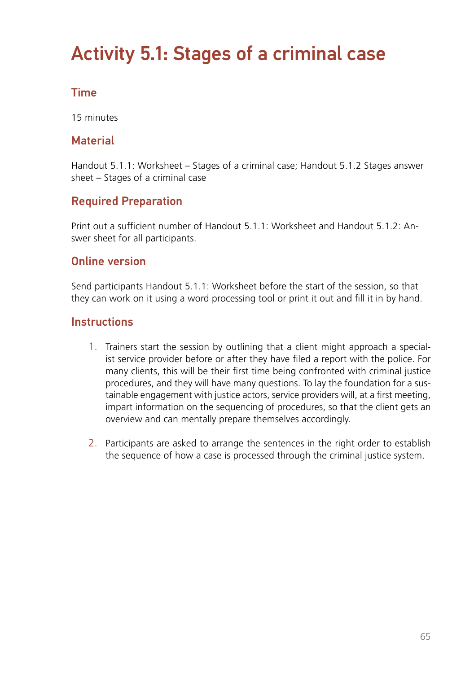# Activity 5.1: Stages of a criminal case

# Time

15 minutes

### **Material**

Handout 5.1.1: Worksheet – Stages of a criminal case; Handout 5.1.2 Stages answer sheet – Stages of a criminal case

### Required Preparation

Print out a sufficient number of Handout 5.1.1: Worksheet and Handout 5.1.2: Answer sheet for all participants.

### Online version

Send participants Handout 5.1.1: Worksheet before the start of the session, so that they can work on it using a word processing tool or print it out and fill it in by hand.

### **Instructions**

- 1. Trainers start the session by outlining that a client might approach a specialist service provider before or after they have filed a report with the police. For many clients, this will be their first time being confronted with criminal justice procedures, and they will have many questions. To lay the foundation for a sustainable engagement with justice actors, service providers will, at a first meeting, impart information on the sequencing of procedures, so that the client gets an overview and can mentally prepare themselves accordingly.
- 2. Participants are asked to arrange the sentences in the right order to establish the sequence of how a case is processed through the criminal justice system.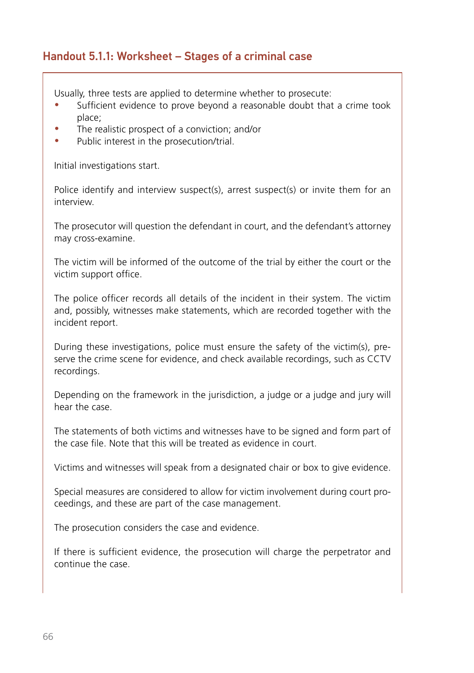### Handout 5.1.1: Worksheet – Stages of a criminal case

Usually, three tests are applied to determine whether to prosecute:

- Sufficient evidence to prove beyond a reasonable doubt that a crime took place;
- The realistic prospect of a conviction; and/or
- Public interest in the prosecution/trial.

Initial investigations start.

Police identify and interview suspect(s), arrest suspect(s) or invite them for an interview.

The prosecutor will question the defendant in court, and the defendant's attorney may cross-examine.

The victim will be informed of the outcome of the trial by either the court or the victim support office.

The police officer records all details of the incident in their system. The victim and, possibly, witnesses make statements, which are recorded together with the incident report.

During these investigations, police must ensure the safety of the victim(s), preserve the crime scene for evidence, and check available recordings, such as CCTV recordings.

Depending on the framework in the jurisdiction, a judge or a judge and jury will hear the case.

The statements of both victims and witnesses have to be signed and form part of the case file. Note that this will be treated as evidence in court.

Victims and witnesses will speak from a designated chair or box to give evidence.

Special measures are considered to allow for victim involvement during court proceedings, and these are part of the case management.

The prosecution considers the case and evidence.

If there is sufficient evidence, the prosecution will charge the perpetrator and continue the case.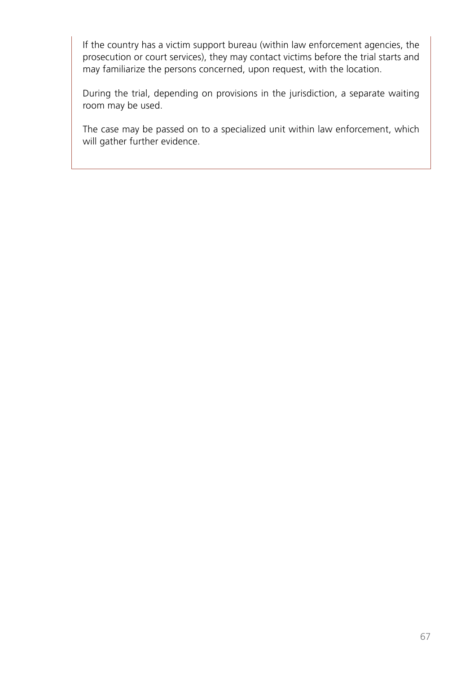If the country has a victim support bureau (within law enforcement agencies, the prosecution or court services), they may contact victims before the trial starts and may familiarize the persons concerned, upon request, with the location.

During the trial, depending on provisions in the jurisdiction, a separate waiting room may be used.

The case may be passed on to a specialized unit within law enforcement, which will gather further evidence.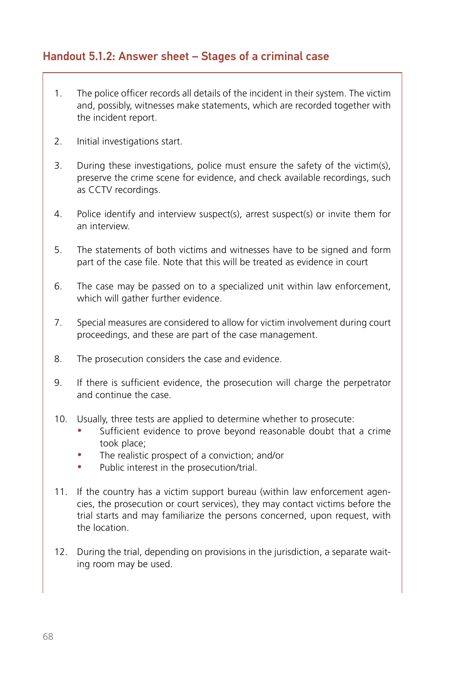### Handout 5.1.2: Answer sheet – Stages of a criminal case

- 1. The police officer records all details of the incident in their system. The victim and, possibly, witnesses make statements, which are recorded together with the incident report.
- 2. Initial investigations start.
- 3. During these investigations, police must ensure the safety of the victim(s), preserve the crime scene for evidence, and check available recordings, such as CCTV recordings.
- 4. Police identify and interview suspect(s), arrest suspect(s) or invite them for an interview.
- 5. The statements of both victims and witnesses have to be signed and form part of the case file. Note that this will be treated as evidence in court
- 6. The case may be passed on to a specialized unit within law enforcement, which will gather further evidence.
- 7. Special measures are considered to allow for victim involvement during court proceedings, and these are part of the case management.
- 8. The prosecution considers the case and evidence.
- 9. If there is sufficient evidence, the prosecution will charge the perpetrator and continue the case.
- 10. Usually, three tests are applied to determine whether to prosecute:
	- Sufficient evidence to prove beyond reasonable doubt that a crime took place;
	- The realistic prospect of a conviction; and/or
	- Public interest in the prosecution/trial.
- 11. If the country has a victim support bureau (within law enforcement agencies, the prosecution or court services), they may contact victims before the trial starts and may familiarize the persons concerned, upon request, with the location.
- 12. During the trial, depending on provisions in the jurisdiction, a separate waiting room may be used.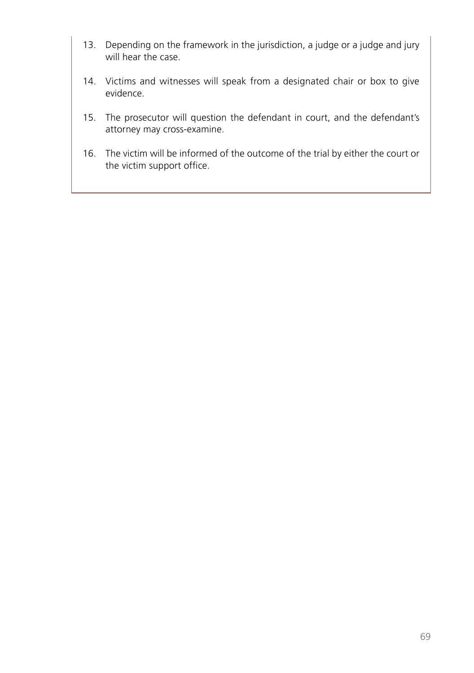- 13. Depending on the framework in the jurisdiction, a judge or a judge and jury will hear the case.
- 14. Victims and witnesses will speak from a designated chair or box to give evidence.
- 15. The prosecutor will question the defendant in court, and the defendant's attorney may cross-examine.
- 16. The victim will be informed of the outcome of the trial by either the court or the victim support office.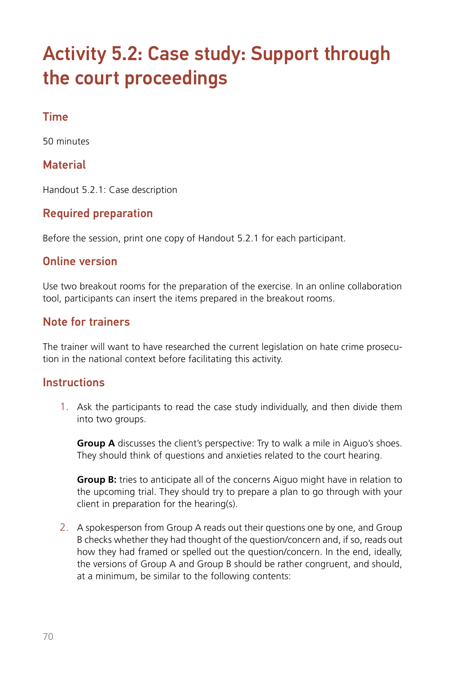# Activity 5.2: Case study: Support through the court proceedings

# Time

50 minutes

### **Material**

Handout 5.2.1: Case description

### Required preparation

Before the session, print one copy of Handout 5.2.1 for each participant.

### Online version

Use two breakout rooms for the preparation of the exercise. In an online collaboration tool, participants can insert the items prepared in the breakout rooms.

### Note for trainers

The trainer will want to have researched the current legislation on hate crime prosecution in the national context before facilitating this activity.

### **Instructions**

1. Ask the participants to read the case study individually, and then divide them into two groups.

**Group A** discusses the client's perspective: Try to walk a mile in Aiguo's shoes. They should think of questions and anxieties related to the court hearing.

**Group B:** tries to anticipate all of the concerns Aiguo might have in relation to the upcoming trial. They should try to prepare a plan to go through with your client in preparation for the hearing(s).

2. A spokesperson from Group A reads out their questions one by one, and Group B checks whether they had thought of the question/concern and, if so, reads out how they had framed or spelled out the question/concern. In the end, ideally, the versions of Group A and Group B should be rather congruent, and should, at a minimum, be similar to the following contents: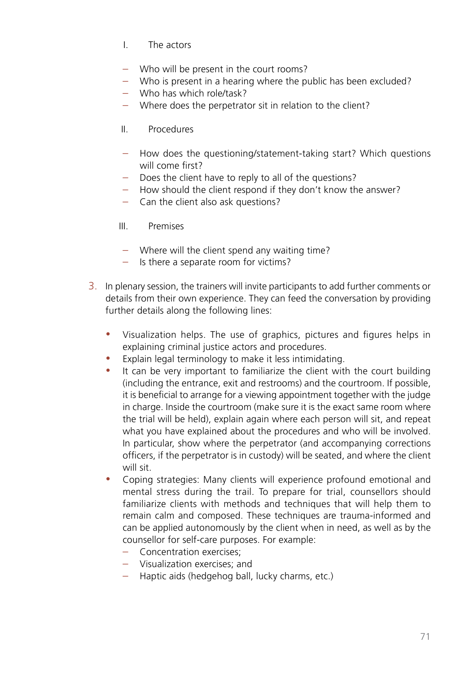- I. The actors
- Who will be present in the court rooms?
- Who is present in a hearing where the public has been excluded?
- Who has which role/task?
- Where does the perpetrator sit in relation to the client?
- II. Procedures
- How does the questioning/statement-taking start? Which questions will come first?
- Does the client have to reply to all of the questions?
- How should the client respond if they don't know the answer?
- Can the client also ask questions?
- III. Premises
- Where will the client spend any waiting time?
- Is there a separate room for victims?
- 3. In plenary session, the trainers will invite participants to add further comments or details from their own experience. They can feed the conversation by providing further details along the following lines:
	- y Visualization helps. The use of graphics, pictures and figures helps in explaining criminal justice actors and procedures.
	- Explain legal terminology to make it less intimidating.
	- It can be very important to familiarize the client with the court building (including the entrance, exit and restrooms) and the courtroom. If possible, it is beneficial to arrange for a viewing appointment together with the judge in charge. Inside the courtroom (make sure it is the exact same room where the trial will be held), explain again where each person will sit, and repeat what you have explained about the procedures and who will be involved. In particular, show where the perpetrator (and accompanying corrections officers, if the perpetrator is in custody) will be seated, and where the client will sit.
	- Coping strategies: Many clients will experience profound emotional and mental stress during the trail. To prepare for trial, counsellors should familiarize clients with methods and techniques that will help them to remain calm and composed. These techniques are trauma-informed and can be applied autonomously by the client when in need, as well as by the counsellor for self-care purposes. For example:
		- Concentration exercises;
		- Visualization exercises; and
		- Haptic aids (hedgehog ball, lucky charms, etc.)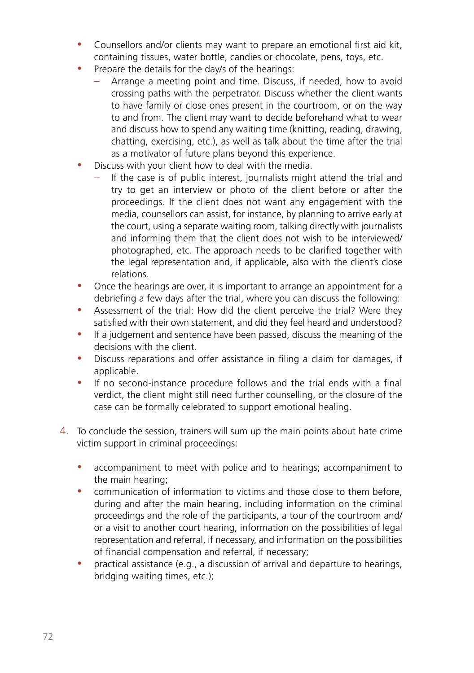- Counsellors and/or clients may want to prepare an emotional first aid kit, containing tissues, water bottle, candies or chocolate, pens, toys, etc.
- Prepare the details for the day/s of the hearings:
	- Arrange a meeting point and time. Discuss, if needed, how to avoid crossing paths with the perpetrator. Discuss whether the client wants to have family or close ones present in the courtroom, or on the way to and from. The client may want to decide beforehand what to wear and discuss how to spend any waiting time (knitting, reading, drawing, chatting, exercising, etc.), as well as talk about the time after the trial as a motivator of future plans beyond this experience.
- Discuss with your client how to deal with the media.
	- If the case is of public interest, journalists might attend the trial and try to get an interview or photo of the client before or after the proceedings. If the client does not want any engagement with the media, counsellors can assist, for instance, by planning to arrive early at the court, using a separate waiting room, talking directly with journalists and informing them that the client does not wish to be interviewed/ photographed, etc. The approach needs to be clarified together with the legal representation and, if applicable, also with the client's close relations.
- Once the hearings are over, it is important to arrange an appointment for a debriefing a few days after the trial, where you can discuss the following:
- Assessment of the trial: How did the client perceive the trial? Were they satisfied with their own statement, and did they feel heard and understood?
- If a judgement and sentence have been passed, discuss the meaning of the decisions with the client.
- Discuss reparations and offer assistance in filing a claim for damages, if applicable.
- If no second-instance procedure follows and the trial ends with a final verdict, the client might still need further counselling, or the closure of the case can be formally celebrated to support emotional healing.
- 4. To conclude the session, trainers will sum up the main points about hate crime victim support in criminal proceedings:
	- accompaniment to meet with police and to hearings; accompaniment to the main hearing;
	- communication of information to victims and those close to them before, during and after the main hearing, including information on the criminal proceedings and the role of the participants, a tour of the courtroom and/ or a visit to another court hearing, information on the possibilities of legal representation and referral, if necessary, and information on the possibilities of financial compensation and referral, if necessary;
	- practical assistance (e.g., a discussion of arrival and departure to hearings, bridging waiting times, etc.);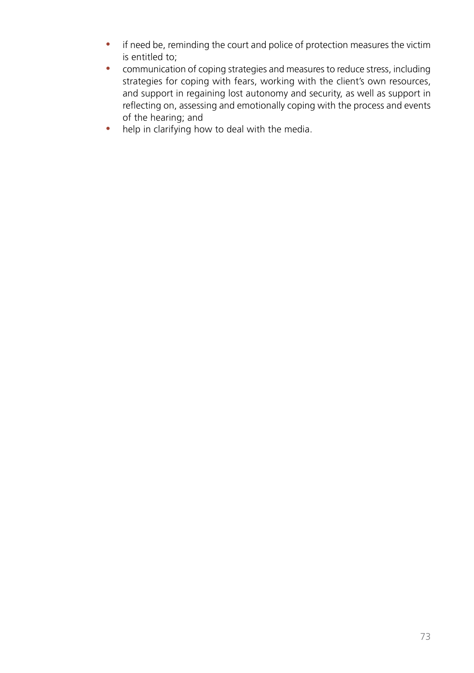- if need be, reminding the court and police of protection measures the victim is entitled to;
- communication of coping strategies and measures to reduce stress, including strategies for coping with fears, working with the client's own resources, and support in regaining lost autonomy and security, as well as support in reflecting on, assessing and emotionally coping with the process and events of the hearing; and
- $\bullet$  help in clarifying how to deal with the media.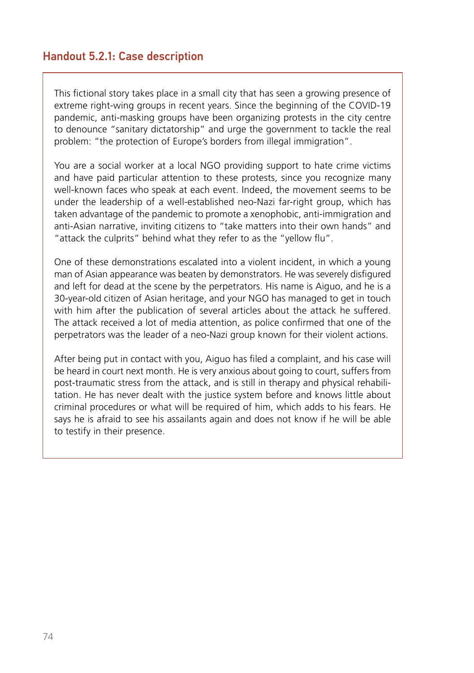## Handout 5.2.1: Case description

This fictional story takes place in a small city that has seen a growing presence of extreme right-wing groups in recent years. Since the beginning of the COVID-19 pandemic, anti-masking groups have been organizing protests in the city centre to denounce "sanitary dictatorship" and urge the government to tackle the real problem: "the protection of Europe's borders from illegal immigration".

You are a social worker at a local NGO providing support to hate crime victims and have paid particular attention to these protests, since you recognize many well-known faces who speak at each event. Indeed, the movement seems to be under the leadership of a well-established neo-Nazi far-right group, which has taken advantage of the pandemic to promote a xenophobic, anti-immigration and anti-Asian narrative, inviting citizens to "take matters into their own hands" and "attack the culprits" behind what they refer to as the "yellow flu".

One of these demonstrations escalated into a violent incident, in which a young man of Asian appearance was beaten by demonstrators. He was severely disfigured and left for dead at the scene by the perpetrators. His name is Aiguo, and he is a 30-year-old citizen of Asian heritage, and your NGO has managed to get in touch with him after the publication of several articles about the attack he suffered. The attack received a lot of media attention, as police confirmed that one of the perpetrators was the leader of a neo-Nazi group known for their violent actions.

After being put in contact with you, Aiguo has filed a complaint, and his case will be heard in court next month. He is very anxious about going to court, suffers from post-traumatic stress from the attack, and is still in therapy and physical rehabilitation. He has never dealt with the justice system before and knows little about criminal procedures or what will be required of him, which adds to his fears. He says he is afraid to see his assailants again and does not know if he will be able to testify in their presence.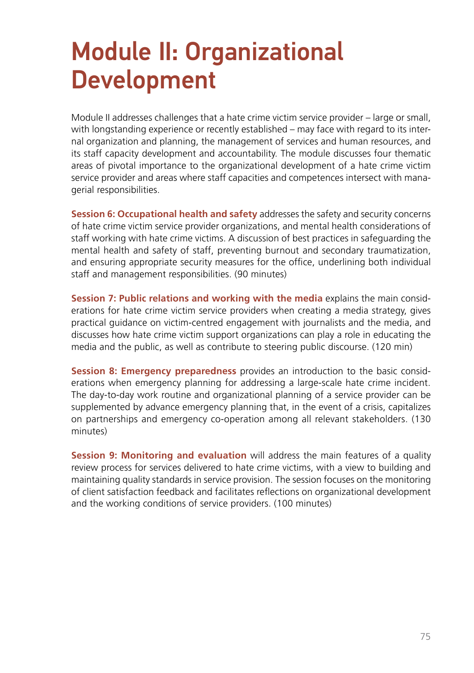# Module II: Organizational Development

Module II addresses challenges that a hate crime victim service provider – large or small, with longstanding experience or recently established – may face with regard to its internal organization and planning, the management of services and human resources, and its staff capacity development and accountability. The module discusses four thematic areas of pivotal importance to the organizational development of a hate crime victim service provider and areas where staff capacities and competences intersect with managerial responsibilities.

**Session 6: Occupational health and safety** addresses the safety and security concerns of hate crime victim service provider organizations, and mental health considerations of staff working with hate crime victims. A discussion of best practices in safeguarding the mental health and safety of staff, preventing burnout and secondary traumatization, and ensuring appropriate security measures for the office, underlining both individual staff and management responsibilities. (90 minutes)

**Session 7: Public relations and working with the media** explains the main considerations for hate crime victim service providers when creating a media strategy, gives practical guidance on victim-centred engagement with journalists and the media, and discusses how hate crime victim support organizations can play a role in educating the media and the public, as well as contribute to steering public discourse. (120 min)

**Session 8: Emergency preparedness** provides an introduction to the basic considerations when emergency planning for addressing a large-scale hate crime incident. The day-to-day work routine and organizational planning of a service provider can be supplemented by advance emergency planning that, in the event of a crisis, capitalizes on partnerships and emergency co-operation among all relevant stakeholders. (130 minutes)

**Session 9: Monitoring and evaluation** will address the main features of a quality review process for services delivered to hate crime victims, with a view to building and maintaining quality standards in service provision. The session focuses on the monitoring of client satisfaction feedback and facilitates reflections on organizational development and the working conditions of service providers. (100 minutes)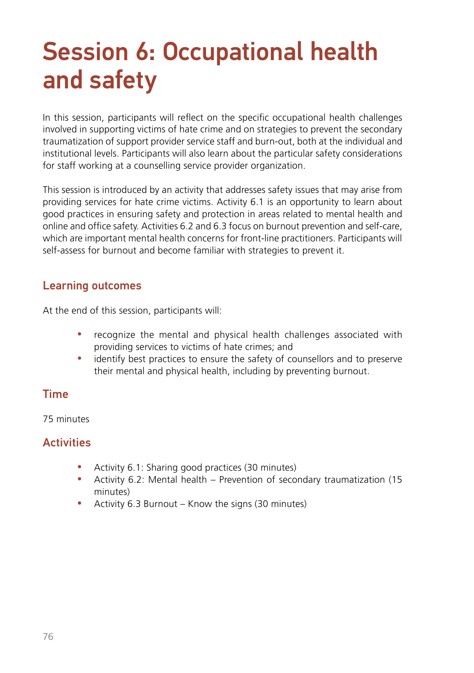# Session 6: Occupational health and safety

In this session, participants will reflect on the specific occupational health challenges involved in supporting victims of hate crime and on strategies to prevent the secondary traumatization of support provider service staff and burn-out, both at the individual and institutional levels. Participants will also learn about the particular safety considerations for staff working at a counselling service provider organization.

This session is introduced by an activity that addresses safety issues that may arise from providing services for hate crime victims. Activity 6.1 is an opportunity to learn about good practices in ensuring safety and protection in areas related to mental health and online and office safety. Activities 6.2 and 6.3 focus on burnout prevention and self-care, which are important mental health concerns for front-line practitioners. Participants will self-assess for burnout and become familiar with strategies to prevent it.

#### Learning outcomes

At the end of this session, participants will:

- recognize the mental and physical health challenges associated with providing services to victims of hate crimes; and
- identify best practices to ensure the safety of counsellors and to preserve their mental and physical health, including by preventing burnout.

# Time

75 minutes

# **Activities**

- Activity 6.1: Sharing good practices (30 minutes)
- Activity 6.2: Mental health Prevention of secondary traumatization (15 minutes)
- Activity 6.3 Burnout Know the signs (30 minutes)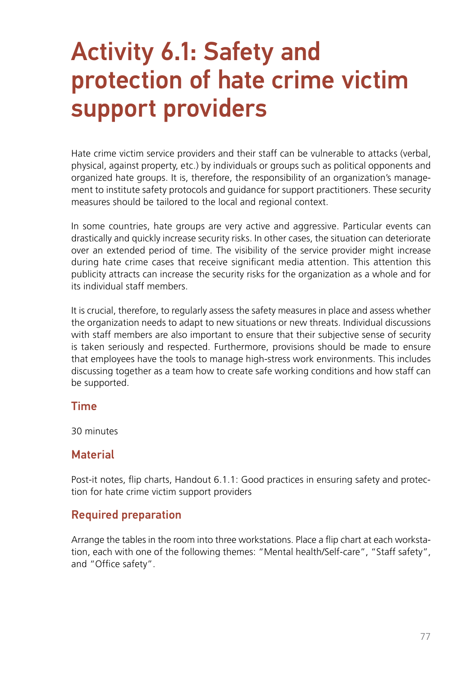# Activity 6.1: Safety and protection of hate crime victim support providers

Hate crime victim service providers and their staff can be vulnerable to attacks (verbal, physical, against property, etc.) by individuals or groups such as political opponents and organized hate groups. It is, therefore, the responsibility of an organization's management to institute safety protocols and guidance for support practitioners. These security measures should be tailored to the local and regional context.

In some countries, hate groups are very active and aggressive. Particular events can drastically and quickly increase security risks. In other cases, the situation can deteriorate over an extended period of time. The visibility of the service provider might increase during hate crime cases that receive significant media attention. This attention this publicity attracts can increase the security risks for the organization as a whole and for its individual staff members.

It is crucial, therefore, to regularly assess the safety measures in place and assess whether the organization needs to adapt to new situations or new threats. Individual discussions with staff members are also important to ensure that their subjective sense of security is taken seriously and respected. Furthermore, provisions should be made to ensure that employees have the tools to manage high-stress work environments. This includes discussing together as a team how to create safe working conditions and how staff can be supported.

#### Time

30 minutes

#### **Material**

Post-it notes, flip charts, Handout 6.1.1: Good practices in ensuring safety and protection for hate crime victim support providers

#### Required preparation

Arrange the tables in the room into three workstations. Place a flip chart at each workstation, each with one of the following themes: "Mental health/Self-care", "Staff safety", and "Office safety".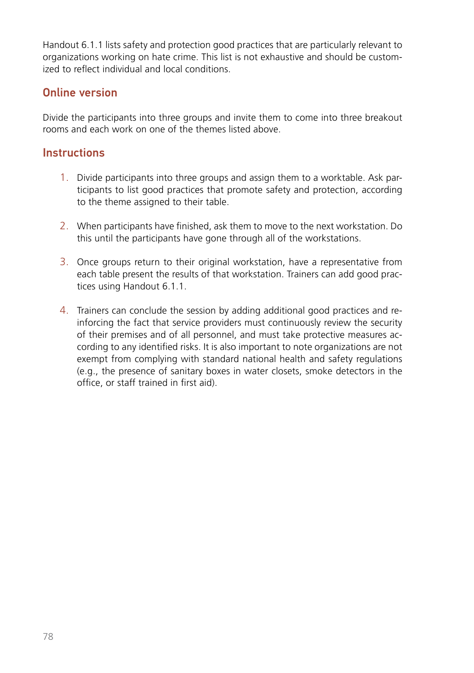Handout 6.1.1 lists safety and protection good practices that are particularly relevant to organizations working on hate crime. This list is not exhaustive and should be customized to reflect individual and local conditions.

# Online version

Divide the participants into three groups and invite them to come into three breakout rooms and each work on one of the themes listed above.

#### **Instructions**

- 1. Divide participants into three groups and assign them to a worktable. Ask participants to list good practices that promote safety and protection, according to the theme assigned to their table.
- 2. When participants have finished, ask them to move to the next workstation. Do this until the participants have gone through all of the workstations.
- 3. Once groups return to their original workstation, have a representative from each table present the results of that workstation. Trainers can add good practices using Handout 6.1.1.
- 4. Trainers can conclude the session by adding additional good practices and reinforcing the fact that service providers must continuously review the security of their premises and of all personnel, and must take protective measures according to any identified risks. It is also important to note organizations are not exempt from complying with standard national health and safety regulations (e.g., the presence of sanitary boxes in water closets, smoke detectors in the office, or staff trained in first aid).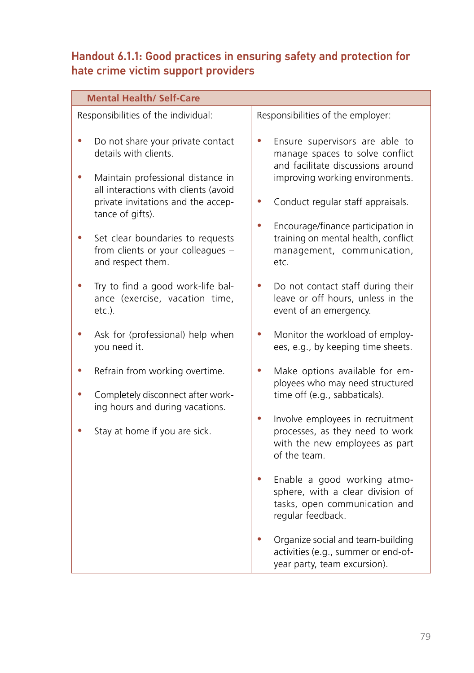# Handout 6.1.1: Good practices in ensuring safety and protection for hate crime victim support providers

| <b>Mental Health/ Self-Care</b> |                                                                                                                                                   |                                                                                                                                                |  |  |  |  |
|---------------------------------|---------------------------------------------------------------------------------------------------------------------------------------------------|------------------------------------------------------------------------------------------------------------------------------------------------|--|--|--|--|
|                                 | Responsibilities of the individual:                                                                                                               | Responsibilities of the employer:                                                                                                              |  |  |  |  |
|                                 | Do not share your private contact<br>details with clients.<br>Maintain professional distance in<br>all interactions with clients (avoid           | Ensure supervisors are able to<br>0<br>manage spaces to solve conflict<br>and facilitate discussions around<br>improving working environments. |  |  |  |  |
|                                 | private invitations and the accep-<br>tance of gifts).                                                                                            | Conduct regular staff appraisals.                                                                                                              |  |  |  |  |
|                                 | Set clear boundaries to requests<br>from clients or your colleagues -<br>and respect them.                                                        | Encourage/finance participation in<br>0<br>training on mental health, conflict<br>management, communication,<br>etc.                           |  |  |  |  |
|                                 | Try to find a good work-life bal-<br>ance (exercise, vacation time,<br>$etc.$ ).                                                                  | Do not contact staff during their<br>leave or off hours, unless in the<br>event of an emergency.                                               |  |  |  |  |
|                                 | Ask for (professional) help when<br>you need it.                                                                                                  | Monitor the workload of employ-<br>ees, e.g., by keeping time sheets.                                                                          |  |  |  |  |
|                                 | Refrain from working overtime.<br>0<br>Completely disconnect after work-<br>ing hours and during vacations.<br>0<br>Stay at home if you are sick. | Make options available for em-<br>ployees who may need structured<br>time off (e.g., sabbaticals).                                             |  |  |  |  |
|                                 |                                                                                                                                                   | Involve employees in recruitment<br>processes, as they need to work<br>with the new employees as part<br>of the team.                          |  |  |  |  |
|                                 |                                                                                                                                                   | Enable a good working atmo-<br>0<br>sphere, with a clear division of<br>tasks, open communication and<br>regular feedback.                     |  |  |  |  |
|                                 |                                                                                                                                                   | Organize social and team-building<br>activities (e.g., summer or end-of-<br>year party, team excursion).                                       |  |  |  |  |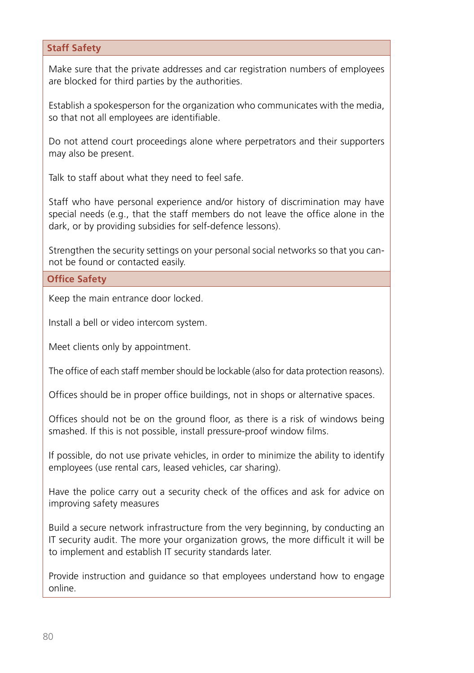#### **Staff Safety**

Make sure that the private addresses and car registration numbers of employees are blocked for third parties by the authorities.

Establish a spokesperson for the organization who communicates with the media, so that not all employees are identifiable.

Do not attend court proceedings alone where perpetrators and their supporters may also be present.

Talk to staff about what they need to feel safe.

Staff who have personal experience and/or history of discrimination may have special needs (e.g., that the staff members do not leave the office alone in the dark, or by providing subsidies for self-defence lessons).

Strengthen the security settings on your personal social networks so that you cannot be found or contacted easily.

**Office Safety**

Keep the main entrance door locked.

Install a bell or video intercom system.

Meet clients only by appointment.

The office of each staff member should be lockable (also for data protection reasons).

Offices should be in proper office buildings, not in shops or alternative spaces.

Offices should not be on the ground floor, as there is a risk of windows being smashed. If this is not possible, install pressure-proof window films.

If possible, do not use private vehicles, in order to minimize the ability to identify employees (use rental cars, leased vehicles, car sharing).

Have the police carry out a security check of the offices and ask for advice on improving safety measures

Build a secure network infrastructure from the very beginning, by conducting an IT security audit. The more your organization grows, the more difficult it will be to implement and establish IT security standards later.

Provide instruction and guidance so that employees understand how to engage online.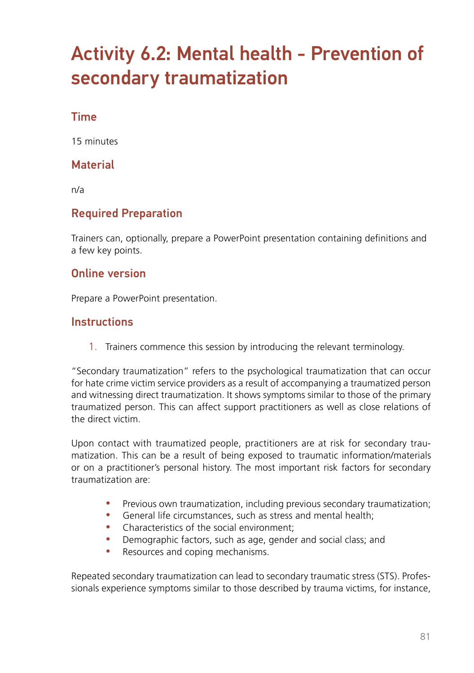# Activity 6.2: Mental health - Prevention of secondary traumatization

# Time

15 minutes

## **Material**

n/a

# Required Preparation

Trainers can, optionally, prepare a PowerPoint presentation containing definitions and a few key points.

### Online version

Prepare a PowerPoint presentation.

### **Instructions**

1. Trainers commence this session by introducing the relevant terminology.

"Secondary traumatization" refers to the psychological traumatization that can occur for hate crime victim service providers as a result of accompanying a traumatized person and witnessing direct traumatization. It shows symptoms similar to those of the primary traumatized person. This can affect support practitioners as well as close relations of the direct victim.

Upon contact with traumatized people, practitioners are at risk for secondary traumatization. This can be a result of being exposed to traumatic information/materials or on a practitioner's personal history. The most important risk factors for secondary traumatization are:

- Previous own traumatization, including previous secondary traumatization;
- General life circumstances, such as stress and mental health;
- Characteristics of the social environment:
- Demographic factors, such as age, gender and social class; and
- Resources and coping mechanisms.

Repeated secondary traumatization can lead to secondary traumatic stress (STS). Professionals experience symptoms similar to those described by trauma victims, for instance,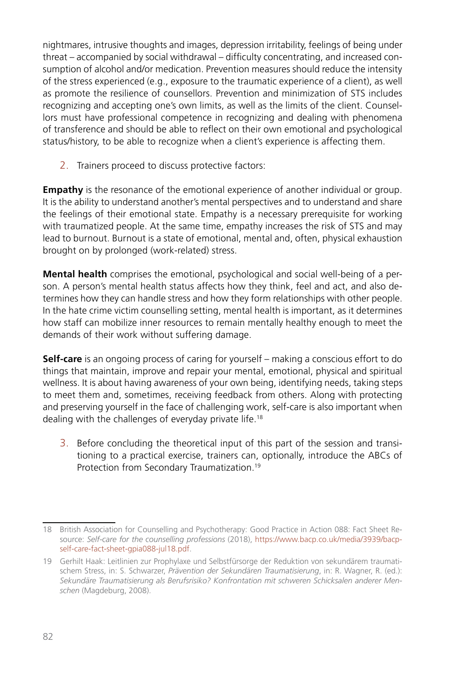nightmares, intrusive thoughts and images, depression irritability, feelings of being under threat – accompanied by social withdrawal – difficulty concentrating, and increased consumption of alcohol and/or medication. Prevention measures should reduce the intensity of the stress experienced (e.g., exposure to the traumatic experience of a client), as well as promote the resilience of counsellors. Prevention and minimization of STS includes recognizing and accepting one's own limits, as well as the limits of the client. Counsellors must have professional competence in recognizing and dealing with phenomena of transference and should be able to reflect on their own emotional and psychological status/history, to be able to recognize when a client's experience is affecting them.

2. Trainers proceed to discuss protective factors:

**Empathy** is the resonance of the emotional experience of another individual or group. It is the ability to understand another's mental perspectives and to understand and share the feelings of their emotional state. Empathy is a necessary prerequisite for working with traumatized people. At the same time, empathy increases the risk of STS and may lead to burnout. Burnout is a state of emotional, mental and, often, physical exhaustion brought on by prolonged (work-related) stress.

**Mental health** comprises the emotional, psychological and social well-being of a person. A person's mental health status affects how they think, feel and act, and also determines how they can handle stress and how they form relationships with other people. In the hate crime victim counselling setting, mental health is important, as it determines how staff can mobilize inner resources to remain mentally healthy enough to meet the demands of their work without suffering damage.

**Self-care** is an ongoing process of caring for yourself – making a conscious effort to do things that maintain, improve and repair your mental, emotional, physical and spiritual wellness. It is about having awareness of your own being, identifying needs, taking steps to meet them and, sometimes, receiving feedback from others. Along with protecting and preserving yourself in the face of challenging work, self-care is also important when dealing with the challenges of everyday private life.18

3. Before concluding the theoretical input of this part of the session and transitioning to a practical exercise, trainers can, optionally, introduce the ABCs of Protection from Secondary Traumatization.19

<sup>18</sup> British Association for Counselling and Psychotherapy: Good Practice in Action 088: Fact Sheet Resource: *Self-care for the counselling professions* (2018), [https://www.bacp.co.uk/media/3939/bacp](https://www.bacp.co.uk/media/3939/bacp-self-care-fact-sheet-gpia088-jul18.pdf)[self-care-fact-sheet-gpia088-jul18.pdf](https://www.bacp.co.uk/media/3939/bacp-self-care-fact-sheet-gpia088-jul18.pdf).

<sup>19</sup> Gerhilt Haak: Leitlinien zur Prophylaxe und Selbstfürsorge der Reduktion von sekundärem traumatischem Stress, in: S. Schwarzer, *Prävention der Sekundären Traumatisierung*, in: R. Wagner, R. (ed.): *Sekundäre Traumatisierung als Berufsrisiko? Konfrontation mit schweren Schicksalen anderer Menschen* (Magdeburg, 2008).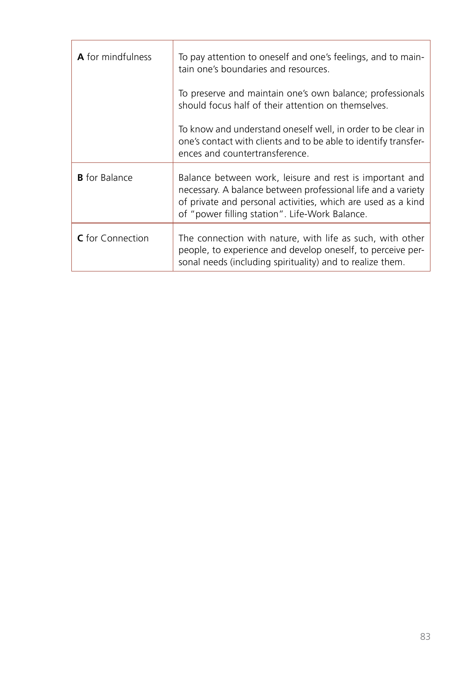| A for mindfulness       | To pay attention to oneself and one's feelings, and to main-<br>tain one's boundaries and resources.                                                                                                                                      |
|-------------------------|-------------------------------------------------------------------------------------------------------------------------------------------------------------------------------------------------------------------------------------------|
|                         | To preserve and maintain one's own balance; professionals<br>should focus half of their attention on themselves.                                                                                                                          |
|                         | To know and understand oneself well, in order to be clear in<br>one's contact with clients and to be able to identify transfer-<br>ences and countertransference.                                                                         |
| <b>B</b> for Balance    | Balance between work, leisure and rest is important and<br>necessary. A balance between professional life and a variety<br>of private and personal activities, which are used as a kind<br>of "power filling station". Life-Work Balance. |
| <b>C</b> for Connection | The connection with nature, with life as such, with other<br>people, to experience and develop oneself, to perceive per-<br>sonal needs (including spirituality) and to realize them.                                                     |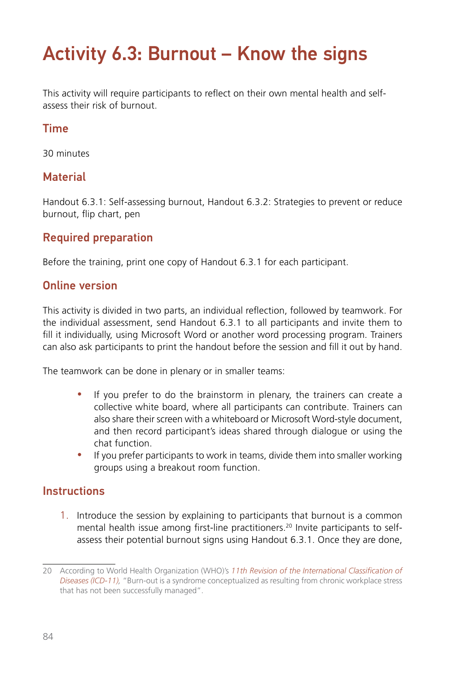# Activity 6.3: Burnout – Know the signs

This activity will require participants to reflect on their own mental health and selfassess their risk of burnout.

# Time

30 minutes

# **Material**

Handout 6.3.1: Self-assessing burnout, Handout 6.3.2: Strategies to prevent or reduce burnout, flip chart, pen

# Required preparation

Before the training, print one copy of Handout 6.3.1 for each participant.

### Online version

This activity is divided in two parts, an individual reflection, followed by teamwork. For the individual assessment, send Handout 6.3.1 to all participants and invite them to fill it individually, using Microsoft Word or another word processing program. Trainers can also ask participants to print the handout before the session and fill it out by hand.

The teamwork can be done in plenary or in smaller teams:

- If you prefer to do the brainstorm in plenary, the trainers can create a collective white board, where all participants can contribute. Trainers can also share their screen with a whiteboard or Microsoft Word-style document, and then record participant's ideas shared through dialogue or using the chat function.
- If you prefer participants to work in teams, divide them into smaller working groups using a breakout room function.

# **Instructions**

1. Introduce the session by explaining to participants that burnout is a common mental health issue among first-line practitioners.<sup>20</sup> Invite participants to selfassess their potential burnout signs using Handout 6.3.1. Once they are done,

<sup>20</sup> According to World Health Organization (WHO)'s *[11th Revision of the International Classification of](https://icd.who.int/browse11/l-m/en)  [Diseases \(ICD-11\),](https://icd.who.int/browse11/l-m/en)* "Burn-out is a syndrome conceptualized as resulting from chronic workplace stress that has not been successfully managed".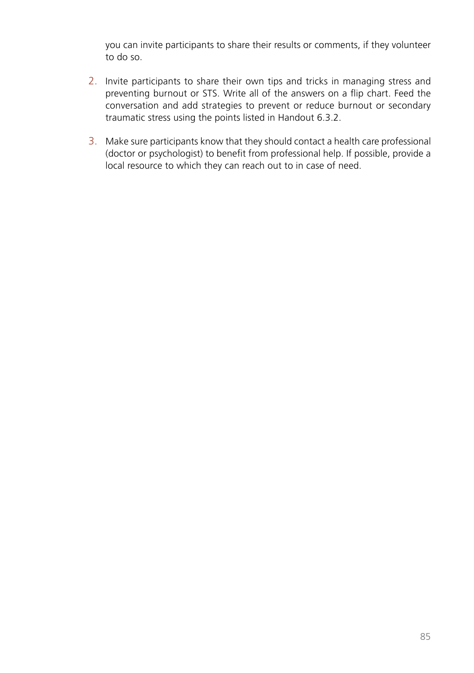you can invite participants to share their results or comments, if they volunteer to do so.

- 2. Invite participants to share their own tips and tricks in managing stress and preventing burnout or STS. Write all of the answers on a flip chart. Feed the conversation and add strategies to prevent or reduce burnout or secondary traumatic stress using the points listed in Handout 6.3.2.
- 3. Make sure participants know that they should contact a health care professional (doctor or psychologist) to benefit from professional help. If possible, provide a local resource to which they can reach out to in case of need.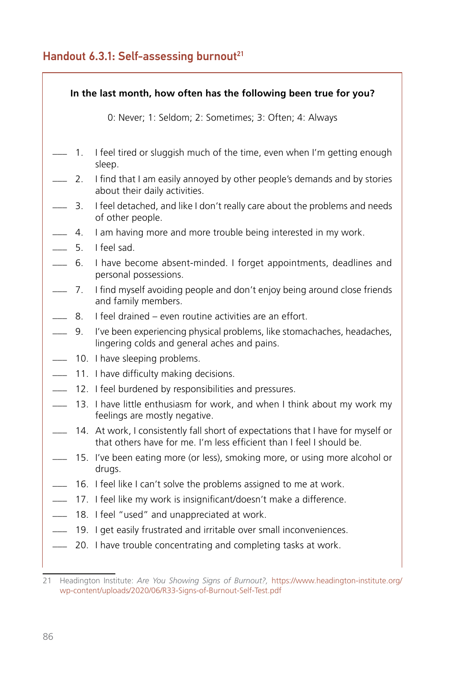# Handout 6.3.1: Self-assessing burnout<sup>21</sup>

| In the last month, how often has the following been true for you? |             |                                                                                                                                                          |  |  |  |
|-------------------------------------------------------------------|-------------|----------------------------------------------------------------------------------------------------------------------------------------------------------|--|--|--|
|                                                                   |             | 0: Never; 1: Seldom; 2: Sometimes; 3: Often; 4: Always                                                                                                   |  |  |  |
| $\overline{\phantom{a}}$                                          | 1.          | I feel tired or sluggish much of the time, even when I'm getting enough<br>sleep.                                                                        |  |  |  |
| $\overline{\phantom{0}}$                                          | 2.          | I find that I am easily annoyed by other people's demands and by stories<br>about their daily activities.                                                |  |  |  |
| $\overline{\phantom{0}}$                                          | 3.          | I feel detached, and like I don't really care about the problems and needs<br>of other people.                                                           |  |  |  |
| L.                                                                | $4_{\cdot}$ | I am having more and more trouble being interested in my work.                                                                                           |  |  |  |
| $\sim$                                                            | 5.          | I feel sad.                                                                                                                                              |  |  |  |
| $\overline{\phantom{a}}$                                          | 6.          | I have become absent-minded. I forget appointments, deadlines and<br>personal possessions.                                                               |  |  |  |
| $\sim$                                                            | 7.          | I find myself avoiding people and don't enjoy being around close friends<br>and family members.                                                          |  |  |  |
| $\sim$                                                            | 8.          | I feel drained – even routine activities are an effort.                                                                                                  |  |  |  |
| $\sim$                                                            | 9.          | I've been experiencing physical problems, like stomachaches, headaches,<br>lingering colds and general aches and pains.                                  |  |  |  |
| L.                                                                |             | 10. I have sleeping problems.                                                                                                                            |  |  |  |
| L.                                                                |             | 11. I have difficulty making decisions.                                                                                                                  |  |  |  |
|                                                                   |             | 12. I feel burdened by responsibilities and pressures.                                                                                                   |  |  |  |
| $\overline{\phantom{a}}$                                          |             | 13. I have little enthusiasm for work, and when I think about my work my<br>feelings are mostly negative.                                                |  |  |  |
|                                                                   |             | 14. At work, I consistently fall short of expectations that I have for myself or<br>that others have for me. I'm less efficient than I feel I should be. |  |  |  |
|                                                                   |             | 15. I've been eating more (or less), smoking more, or using more alcohol or<br>drugs.                                                                    |  |  |  |
| $\overline{\phantom{0}}$                                          |             | 16. I feel like I can't solve the problems assigned to me at work.                                                                                       |  |  |  |
|                                                                   |             | 17. I feel like my work is insignificant/doesn't make a difference.                                                                                      |  |  |  |
|                                                                   |             | 18. I feel "used" and unappreciated at work.                                                                                                             |  |  |  |
|                                                                   |             | 19. I get easily frustrated and irritable over small inconveniences.                                                                                     |  |  |  |
|                                                                   |             | 20. I have trouble concentrating and completing tasks at work.                                                                                           |  |  |  |

<sup>21</sup> Headington Institute: *Are You Showing Signs of Burnout?,* [https://www.headington-institute.org/](https://www.headington-institute.org/wp-content/uploads/2020/06/R33-Signs-of-Burnout-Self-Test.pdf) [wp-content/uploads/2020/06/R33-Signs-of-Burnout-Self-Test.pdf](https://www.headington-institute.org/wp-content/uploads/2020/06/R33-Signs-of-Burnout-Self-Test.pdf)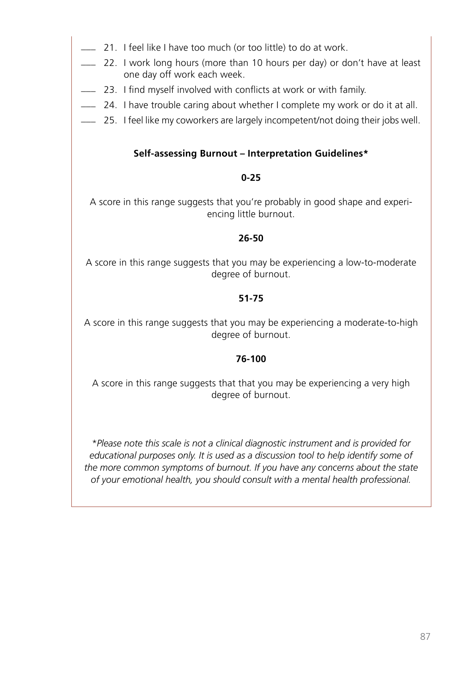- \_\_\_ 21. I feel like I have too much (or too little) to do at work.
- \_\_\_ 22. I work long hours (more than 10 hours per day) or don't have at least one day off work each week.
- \_\_\_ 23. I find myself involved with conflicts at work or with family.
- \_\_\_ 24. I have trouble caring about whether I complete my work or do it at all.
- \_\_\_ 25. I feel like my coworkers are largely incompetent/not doing their jobs well.

#### **Self-assessing Burnout – Interpretation Guidelines\***

#### **0-25**

A score in this range suggests that you're probably in good shape and experiencing little burnout.

#### **26-50**

A score in this range suggests that you may be experiencing a low-to-moderate degree of burnout.

#### **51-75**

A score in this range suggests that you may be experiencing a moderate-to-high degree of burnout.

#### **76-100**

A score in this range suggests that that you may be experiencing a very high degree of burnout.

*\*Please note this scale is not a clinical diagnostic instrument and is provided for educational purposes only. It is used as a discussion tool to help identify some of the more common symptoms of burnout. If you have any concerns about the state of your emotional health, you should consult with a mental health professional.*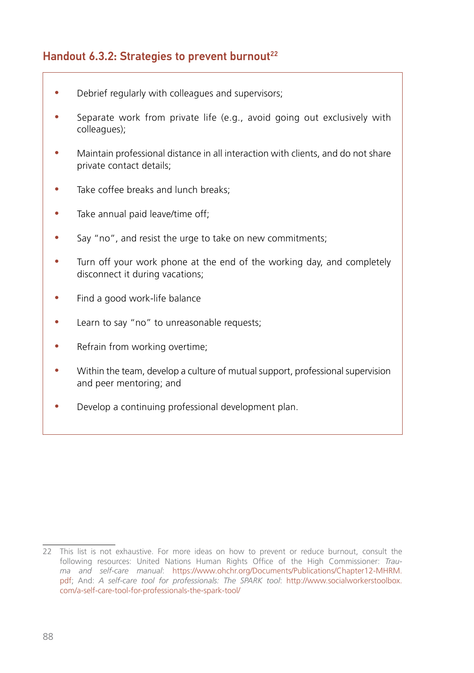# Handout 6.3.2: Strategies to prevent burnout<sup>22</sup>

- Debrief regularly with colleagues and supervisors;
- Separate work from private life (e.g., avoid going out exclusively with colleagues);
- Maintain professional distance in all interaction with clients, and do not share private contact details;
- Take coffee breaks and lunch breaks:
- Take annual paid leave/time off;
- Say "no", and resist the urge to take on new commitments;
- Turn off your work phone at the end of the working day, and completely disconnect it during vacations;
- Find a good work-life balance
- Learn to say "no" to unreasonable requests;
- Refrain from working overtime;
- Within the team, develop a culture of mutual support, professional supervision and peer mentoring; and
- Develop a continuing professional development plan.

<sup>22</sup> This list is not exhaustive. For more ideas on how to prevent or reduce burnout, consult the following resources: United Nations Human Rights Office of the High Commissioner: *Trauma and self-care manual*: https://www.ohchr.org/Documents/Publications/Chapter12-MHRM. pdf; And: *A self-care tool for professionals: The SPARK tool*: [http://www.socialworkerstoolbox.](http://www.socialworkerstoolbox.com/a-self-care-tool-for-professionals-the-spark-tool/%20) [com/a-self-care-tool-for-professionals-the-spark-tool/](http://www.socialworkerstoolbox.com/a-self-care-tool-for-professionals-the-spark-tool/%20)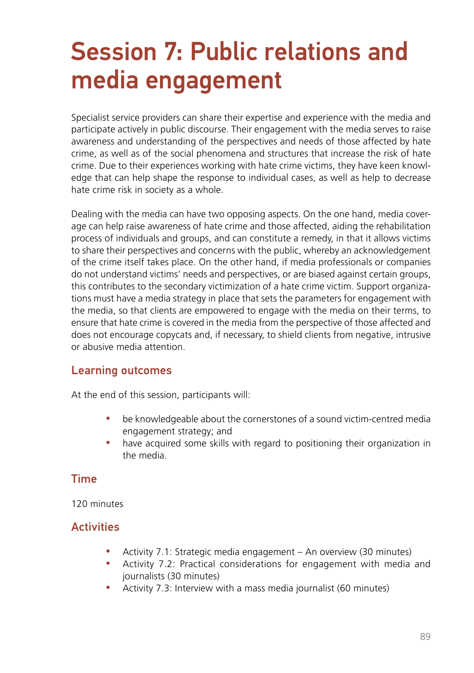# Session 7: Public relations and media engagement

Specialist service providers can share their expertise and experience with the media and participate actively in public discourse. Their engagement with the media serves to raise awareness and understanding of the perspectives and needs of those affected by hate crime, as well as of the social phenomena and structures that increase the risk of hate crime. Due to their experiences working with hate crime victims, they have keen knowledge that can help shape the response to individual cases, as well as help to decrease hate crime risk in society as a whole.

Dealing with the media can have two opposing aspects. On the one hand, media coverage can help raise awareness of hate crime and those affected, aiding the rehabilitation process of individuals and groups, and can constitute a remedy, in that it allows victims to share their perspectives and concerns with the public, whereby an acknowledgement of the crime itself takes place. On the other hand, if media professionals or companies do not understand victims' needs and perspectives, or are biased against certain groups, this contributes to the secondary victimization of a hate crime victim. Support organizations must have a media strategy in place that sets the parameters for engagement with the media, so that clients are empowered to engage with the media on their terms, to ensure that hate crime is covered in the media from the perspective of those affected and does not encourage copycats and, if necessary, to shield clients from negative, intrusive or abusive media attention.

#### Learning outcomes

At the end of this session, participants will:

- be knowledgeable about the cornerstones of a sound victim-centred media engagement strategy; and
- have acquired some skills with regard to positioning their organization in the media.

#### Time

120 minutes

# **Activities**

- Activity 7.1: Strategic media engagement An overview (30 minutes)
- Activity 7.2: Practical considerations for engagement with media and journalists (30 minutes)
- Activity 7.3: Interview with a mass media journalist (60 minutes)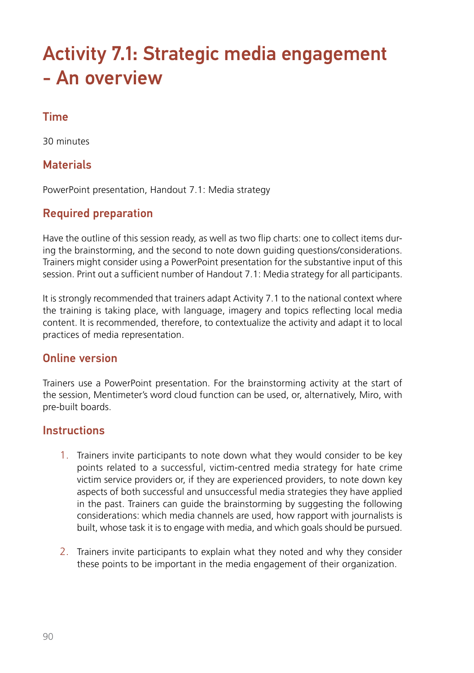# Activity 7.1: Strategic media engagement - An overview

# Time

30 minutes

# **Materials**

PowerPoint presentation, Handout 7.1: Media strategy

# Required preparation

Have the outline of this session ready, as well as two flip charts: one to collect items during the brainstorming, and the second to note down guiding questions/considerations. Trainers might consider using a PowerPoint presentation for the substantive input of this session. Print out a sufficient number of Handout 7.1: Media strategy for all participants.

It is strongly recommended that trainers adapt Activity 7.1 to the national context where the training is taking place, with language, imagery and topics reflecting local media content. It is recommended, therefore, to contextualize the activity and adapt it to local practices of media representation.

# Online version

Trainers use a PowerPoint presentation. For the brainstorming activity at the start of the session, Mentimeter's word cloud function can be used, or, alternatively, Miro, with pre-built boards.

#### **Instructions**

- 1. Trainers invite participants to note down what they would consider to be key points related to a successful, victim-centred media strategy for hate crime victim service providers or, if they are experienced providers, to note down key aspects of both successful and unsuccessful media strategies they have applied in the past. Trainers can guide the brainstorming by suggesting the following considerations: which media channels are used, how rapport with journalists is built, whose task it is to engage with media, and which goals should be pursued.
- 2. Trainers invite participants to explain what they noted and why they consider these points to be important in the media engagement of their organization.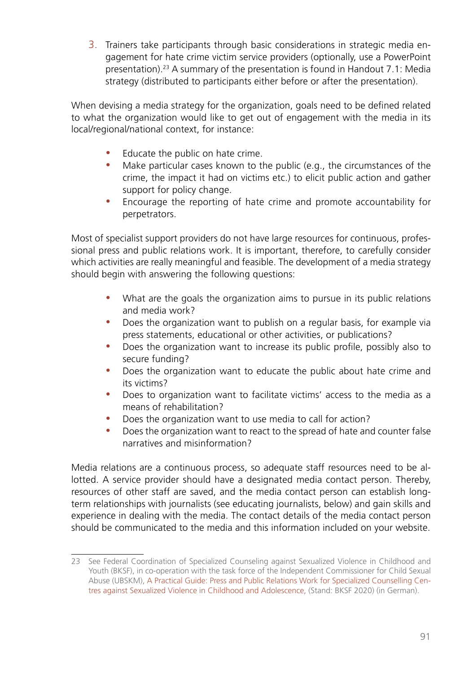3. Trainers take participants through basic considerations in strategic media engagement for hate crime victim service providers (optionally, use a PowerPoint presentation).23 A summary of the presentation is found in Handout 7.1: Media strategy (distributed to participants either before or after the presentation).

When devising a media strategy for the organization, goals need to be defined related to what the organization would like to get out of engagement with the media in its local/regional/national context, for instance:

- Educate the public on hate crime.
- Make particular cases known to the public (e.g., the circumstances of the crime, the impact it had on victims etc.) to elicit public action and gather support for policy change.
- Encourage the reporting of hate crime and promote accountability for perpetrators.

Most of specialist support providers do not have large resources for continuous, professional press and public relations work. It is important, therefore, to carefully consider which activities are really meaningful and feasible. The development of a media strategy should begin with answering the following questions:

- What are the goals the organization aims to pursue in its public relations and media work?
- Does the organization want to publish on a regular basis, for example via press statements, educational or other activities, or publications?
- Does the organization want to increase its public profile, possibly also to secure funding?
- Does the organization want to educate the public about hate crime and its victims?
- Does to organization want to facilitate victims' access to the media as a means of rehabilitation?
- Does the organization want to use media to call for action?
- Does the organization want to react to the spread of hate and counter false narratives and misinformation?

Media relations are a continuous process, so adequate staff resources need to be allotted. A service provider should have a designated media contact person. Thereby, resources of other staff are saved, and the media contact person can establish longterm relationships with journalists (see educating journalists, below) and gain skills and experience in dealing with the media. The contact details of the media contact person should be communicated to the media and this information included on your website.

<sup>23</sup> See Federal Coordination of Specialized Counseling against Sexualized Violence in Childhood and Youth (BKSF), in co-operation with the task force of the Independent Commissioner for Child Sexual Abuse (UBSKM), A Practical Guide: Press and Public Relations Work for Specialized Counselling Centres against Sexualized Violence in Childhood and Adolescence, (Stand: BKSF 2020) (in German).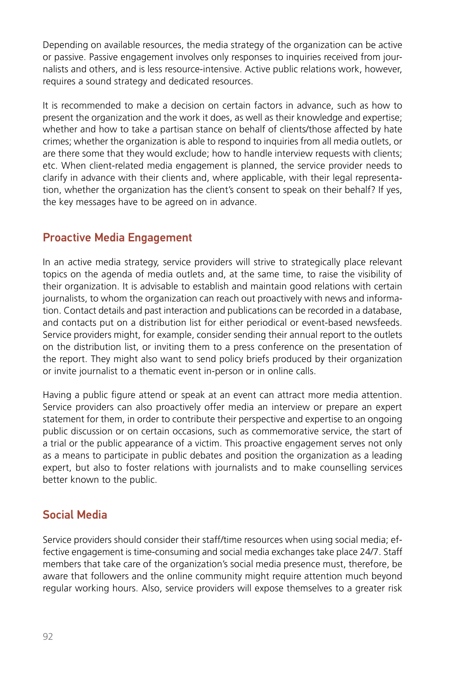Depending on available resources, the media strategy of the organization can be active or passive. Passive engagement involves only responses to inquiries received from journalists and others, and is less resource-intensive. Active public relations work, however, requires a sound strategy and dedicated resources.

It is recommended to make a decision on certain factors in advance, such as how to present the organization and the work it does, as well as their knowledge and expertise; whether and how to take a partisan stance on behalf of clients/those affected by hate crimes; whether the organization is able to respond to inquiries from all media outlets, or are there some that they would exclude; how to handle interview requests with clients; etc. When client-related media engagement is planned, the service provider needs to clarify in advance with their clients and, where applicable, with their legal representation, whether the organization has the client's consent to speak on their behalf? If yes, the key messages have to be agreed on in advance.

# Proactive Media Engagement

In an active media strategy, service providers will strive to strategically place relevant topics on the agenda of media outlets and, at the same time, to raise the visibility of their organization. It is advisable to establish and maintain good relations with certain journalists, to whom the organization can reach out proactively with news and information. Contact details and past interaction and publications can be recorded in a database, and contacts put on a distribution list for either periodical or event-based newsfeeds. Service providers might, for example, consider sending their annual report to the outlets on the distribution list, or inviting them to a press conference on the presentation of the report. They might also want to send policy briefs produced by their organization or invite journalist to a thematic event in-person or in online calls.

Having a public figure attend or speak at an event can attract more media attention. Service providers can also proactively offer media an interview or prepare an expert statement for them, in order to contribute their perspective and expertise to an ongoing public discussion or on certain occasions, such as commemorative service, the start of a trial or the public appearance of a victim. This proactive engagement serves not only as a means to participate in public debates and position the organization as a leading expert, but also to foster relations with journalists and to make counselling services better known to the public.

# Social Media

Service providers should consider their staff/time resources when using social media; effective engagement is time-consuming and social media exchanges take place 24/7. Staff members that take care of the organization's social media presence must, therefore, be aware that followers and the online community might require attention much beyond regular working hours. Also, service providers will expose themselves to a greater risk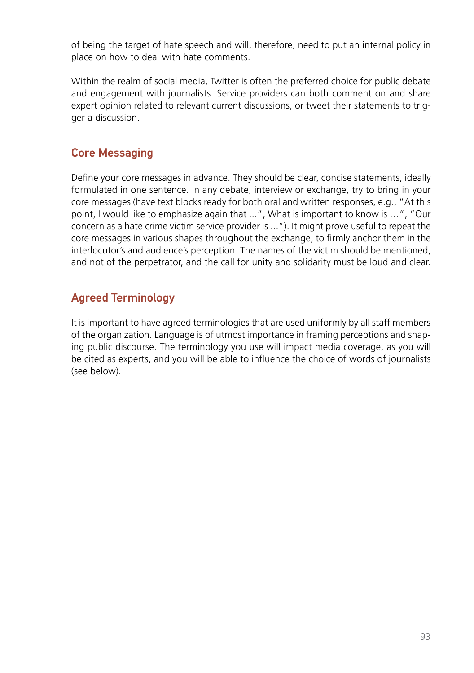of being the target of hate speech and will, therefore, need to put an internal policy in place on how to deal with hate comments.

Within the realm of social media, Twitter is often the preferred choice for public debate and engagement with journalists. Service providers can both comment on and share expert opinion related to relevant current discussions, or tweet their statements to trigger a discussion.

# Core Messaging

Define your core messages in advance. They should be clear, concise statements, ideally formulated in one sentence. In any debate, interview or exchange, try to bring in your core messages (have text blocks ready for both oral and written responses, e.g., "At this point, I would like to emphasize again that ...", What is important to know is …", "Our concern as a hate crime victim service provider is ..."). It might prove useful to repeat the core messages in various shapes throughout the exchange, to firmly anchor them in the interlocutor's and audience's perception. The names of the victim should be mentioned, and not of the perpetrator, and the call for unity and solidarity must be loud and clear.

# Agreed Terminology

It is important to have agreed terminologies that are used uniformly by all staff members of the organization. Language is of utmost importance in framing perceptions and shaping public discourse. The terminology you use will impact media coverage, as you will be cited as experts, and you will be able to influence the choice of words of journalists (see below).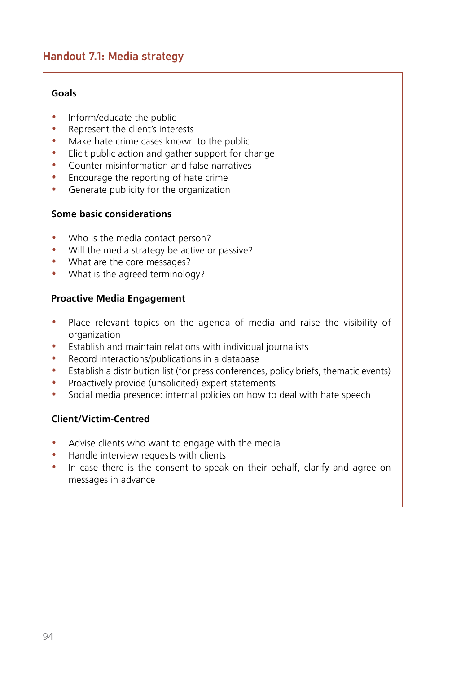# Handout 7.1: Media strategy

#### **Goals**

- Inform/educate the public
- Represent the client's interests
- Make hate crime cases known to the public
- Elicit public action and gather support for change
- Counter misinformation and false narratives
- Encourage the reporting of hate crime
- Generate publicity for the organization

#### **Some basic considerations**

- Who is the media contact person?
- Will the media strategy be active or passive?
- What are the core messages?
- What is the agreed terminology?

#### **Proactive Media Engagement**

- Place relevant topics on the agenda of media and raise the visibility of organization
- Establish and maintain relations with individual journalists
- Record interactions/publications in a database
- Establish a distribution list (for press conferences, policy briefs, thematic events)
- Proactively provide (unsolicited) expert statements
- Social media presence: internal policies on how to deal with hate speech

#### **Client/Victim-Centred**

- Advise clients who want to engage with the media
- Handle interview requests with clients
- In case there is the consent to speak on their behalf, clarify and agree on messages in advance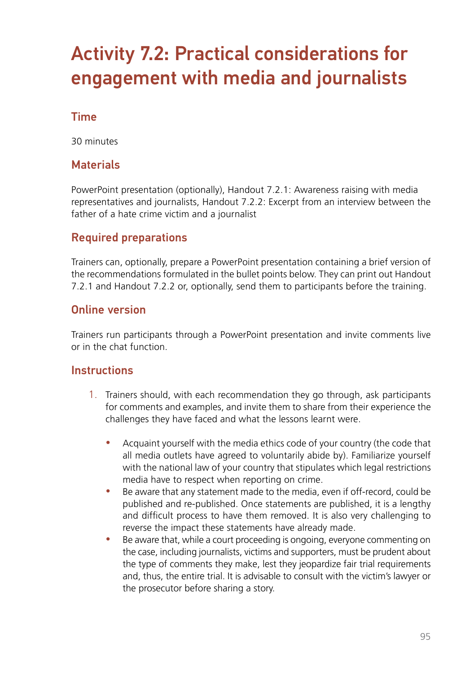# Activity 7.2: Practical considerations for engagement with media and journalists

## Time

30 minutes

## **Materials**

PowerPoint presentation (optionally), Handout 7.2.1: Awareness raising with media representatives and journalists, Handout 7.2.2: Excerpt from an interview between the father of a hate crime victim and a journalist

# Required preparations

Trainers can, optionally, prepare a PowerPoint presentation containing a brief version of the recommendations formulated in the bullet points below. They can print out Handout 7.2.1 and Handout 7.2.2 or, optionally, send them to participants before the training.

#### Online version

Trainers run participants through a PowerPoint presentation and invite comments live or in the chat function.

#### **Instructions**

- 1. Trainers should, with each recommendation they go through, ask participants for comments and examples, and invite them to share from their experience the challenges they have faced and what the lessons learnt were.
	- Acquaint yourself with the media ethics code of your country (the code that all media outlets have agreed to voluntarily abide by). Familiarize yourself with the national law of your country that stipulates which legal restrictions media have to respect when reporting on crime.
	- Be aware that any statement made to the media, even if off-record, could be published and re-published. Once statements are published, it is a lengthy and difficult process to have them removed. It is also very challenging to reverse the impact these statements have already made.
	- Be aware that, while a court proceeding is ongoing, everyone commenting on the case, including journalists, victims and supporters, must be prudent about the type of comments they make, lest they jeopardize fair trial requirements and, thus, the entire trial. It is advisable to consult with the victim's lawyer or the prosecutor before sharing a story.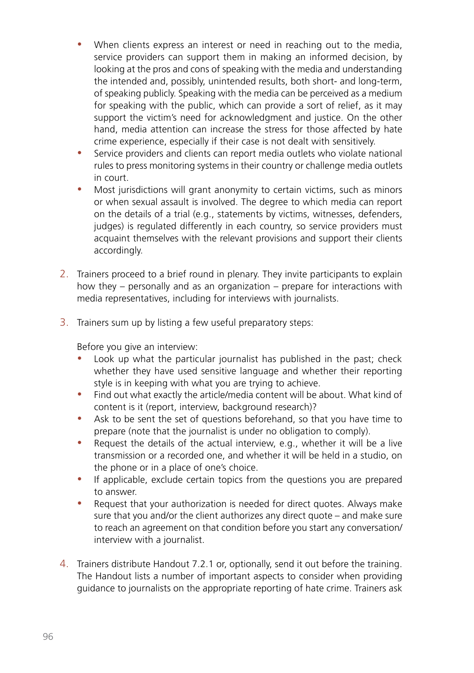- When clients express an interest or need in reaching out to the media, service providers can support them in making an informed decision, by looking at the pros and cons of speaking with the media and understanding the intended and, possibly, unintended results, both short- and long-term, of speaking publicly. Speaking with the media can be perceived as a medium for speaking with the public, which can provide a sort of relief, as it may support the victim's need for acknowledgment and justice. On the other hand, media attention can increase the stress for those affected by hate crime experience, especially if their case is not dealt with sensitively.
- Service providers and clients can report media outlets who violate national rules to press monitoring systems in their country or challenge media outlets in court.
- Most jurisdictions will grant anonymity to certain victims, such as minors or when sexual assault is involved. The degree to which media can report on the details of a trial (e.g., statements by victims, witnesses, defenders, judges) is regulated differently in each country, so service providers must acquaint themselves with the relevant provisions and support their clients accordingly.
- 2. Trainers proceed to a brief round in plenary. They invite participants to explain how they – personally and as an organization – prepare for interactions with media representatives, including for interviews with journalists.
- 3. Trainers sum up by listing a few useful preparatory steps:

Before you give an interview:

- Look up what the particular journalist has published in the past; check whether they have used sensitive language and whether their reporting style is in keeping with what you are trying to achieve.
- Find out what exactly the article/media content will be about. What kind of content is it (report, interview, background research)?
- Ask to be sent the set of questions beforehand, so that you have time to prepare (note that the journalist is under no obligation to comply).
- Request the details of the actual interview, e.g., whether it will be a live transmission or a recorded one, and whether it will be held in a studio, on the phone or in a place of one's choice.
- If applicable, exclude certain topics from the questions you are prepared to answer.
- Request that your authorization is needed for direct quotes. Always make sure that you and/or the client authorizes any direct quote – and make sure to reach an agreement on that condition before you start any conversation/ interview with a journalist.
- 4. Trainers distribute Handout 7.2.1 or, optionally, send it out before the training. The Handout lists a number of important aspects to consider when providing guidance to journalists on the appropriate reporting of hate crime. Trainers ask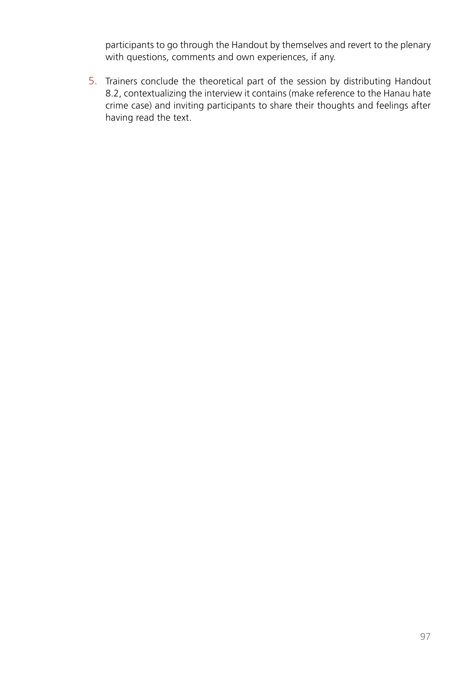participants to go through the Handout by themselves and revert to the plenary with questions, comments and own experiences, if any.

5. Trainers conclude the theoretical part of the session by distributing Handout 8.2, contextualizing the interview it contains (make reference to the Hanau hate crime case) and inviting participants to share their thoughts and feelings after having read the text.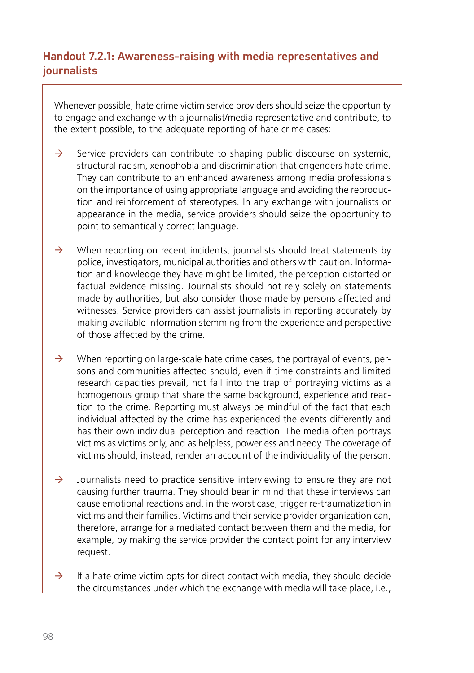# Handout 7.2.1: Awareness-raising with media representatives and journalists

Whenever possible, hate crime victim service providers should seize the opportunity to engage and exchange with a journalist/media representative and contribute, to the extent possible, to the adequate reporting of hate crime cases:

- $\rightarrow$  Service providers can contribute to shaping public discourse on systemic, structural racism, xenophobia and discrimination that engenders hate crime. They can contribute to an enhanced awareness among media professionals on the importance of using appropriate language and avoiding the reproduction and reinforcement of stereotypes. In any exchange with journalists or appearance in the media, service providers should seize the opportunity to point to semantically correct language.
- $\rightarrow$  When reporting on recent incidents, journalists should treat statements by police, investigators, municipal authorities and others with caution. Information and knowledge they have might be limited, the perception distorted or factual evidence missing. Journalists should not rely solely on statements made by authorities, but also consider those made by persons affected and witnesses. Service providers can assist journalists in reporting accurately by making available information stemming from the experience and perspective of those affected by the crime.
- $\rightarrow$  When reporting on large-scale hate crime cases, the portrayal of events, persons and communities affected should, even if time constraints and limited research capacities prevail, not fall into the trap of portraying victims as a homogenous group that share the same background, experience and reaction to the crime. Reporting must always be mindful of the fact that each individual affected by the crime has experienced the events differently and has their own individual perception and reaction. The media often portrays victims as victims only, and as helpless, powerless and needy. The coverage of victims should, instead, render an account of the individuality of the person.
- $\rightarrow$  Journalists need to practice sensitive interviewing to ensure they are not causing further trauma. They should bear in mind that these interviews can cause emotional reactions and, in the worst case, trigger re-traumatization in victims and their families. Victims and their service provider organization can, therefore, arrange for a mediated contact between them and the media, for example, by making the service provider the contact point for any interview request.
- $\rightarrow$  If a hate crime victim opts for direct contact with media, they should decide the circumstances under which the exchange with media will take place, i.e.,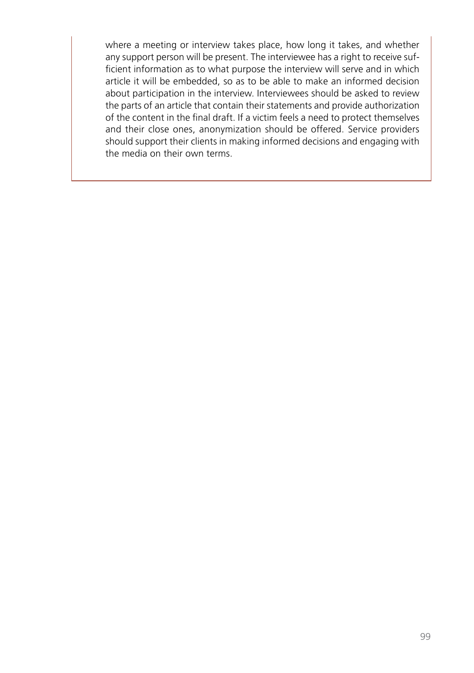where a meeting or interview takes place, how long it takes, and whether any support person will be present. The interviewee has a right to receive sufficient information as to what purpose the interview will serve and in which article it will be embedded, so as to be able to make an informed decision about participation in the interview. Interviewees should be asked to review the parts of an article that contain their statements and provide authorization of the content in the final draft. If a victim feels a need to protect themselves and their close ones, anonymization should be offered. Service providers should support their clients in making informed decisions and engaging with the media on their own terms.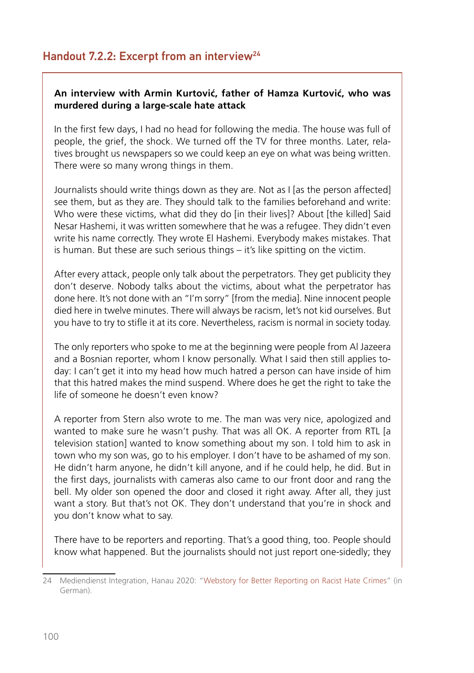#### **An interview with Armin Kurtović, father of Hamza Kurtović, who was murdered during a large-scale hate attack**

In the first few days, I had no head for following the media. The house was full of people, the grief, the shock. We turned off the TV for three months. Later, relatives brought us newspapers so we could keep an eye on what was being written. There were so many wrong things in them.

Journalists should write things down as they are. Not as I [as the person affected] see them, but as they are. They should talk to the families beforehand and write: Who were these victims, what did they do [in their lives]? About [the killed] Said Nesar Hashemi, it was written somewhere that he was a refugee. They didn't even write his name correctly. They wrote El Hashemi. Everybody makes mistakes. That is human. But these are such serious things – it's like spitting on the victim.

After every attack, people only talk about the perpetrators. They get publicity they don't deserve. Nobody talks about the victims, about what the perpetrator has done here. It's not done with an "I'm sorry" [from the media]. Nine innocent people died here in twelve minutes. There will always be racism, let's not kid ourselves. But you have to try to stifle it at its core. Nevertheless, racism is normal in society today.

The only reporters who spoke to me at the beginning were people from Al Jazeera and a Bosnian reporter, whom I know personally. What I said then still applies today: I can't get it into my head how much hatred a person can have inside of him that this hatred makes the mind suspend. Where does he get the right to take the life of someone he doesn't even know?

A reporter from Stern also wrote to me. The man was very nice, apologized and wanted to make sure he wasn't pushy. That was all OK. A reporter from RTL [a television station] wanted to know something about my son. I told him to ask in town who my son was, go to his employer. I don't have to be ashamed of my son. He didn't harm anyone, he didn't kill anyone, and if he could help, he did. But in the first days, journalists with cameras also came to our front door and rang the bell. My older son opened the door and closed it right away. After all, they just want a story. But that's not OK. They don't understand that you're in shock and you don't know what to say.

There have to be reporters and reporting. That's a good thing, too. People should know what happened. But the journalists should not just report one-sidedly; they

<sup>24</sup> Mediendienst Integration, Hanau 2020: ["Webstory for Better Reporting on Racist Hate Crimes](https://webstories.mediendienst-integration.de/imgespraech/2020-hanau)" (in German).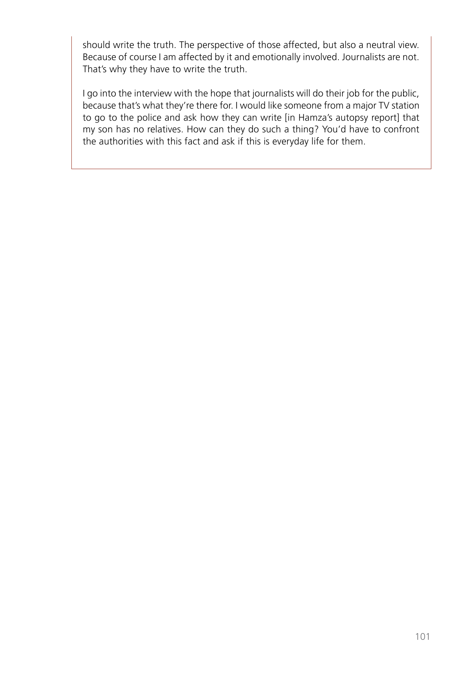should write the truth. The perspective of those affected, but also a neutral view. Because of course I am affected by it and emotionally involved. Journalists are not. That's why they have to write the truth.

I go into the interview with the hope that journalists will do their job for the public, because that's what they're there for. I would like someone from a major TV station to go to the police and ask how they can write [in Hamza's autopsy report] that my son has no relatives. How can they do such a thing? You'd have to confront the authorities with this fact and ask if this is everyday life for them.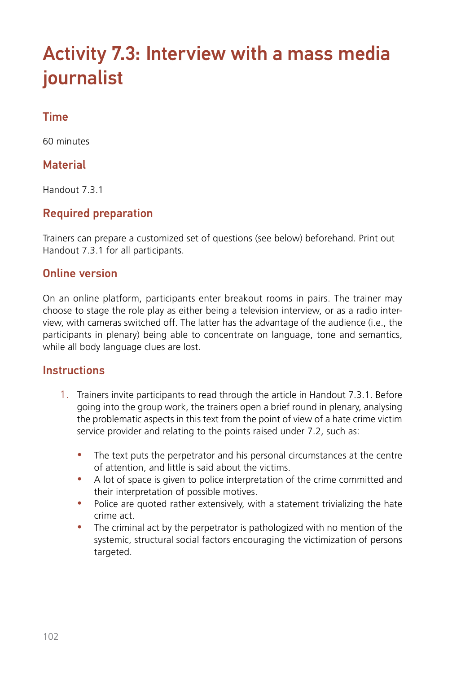# Activity 7.3: Interview with a mass media journalist

# Time

60 minutes

# **Material**

Handout 7.3.1

# Required preparation

Trainers can prepare a customized set of questions (see below) beforehand. Print out Handout 7.3.1 for all participants.

# Online version

On an online platform, participants enter breakout rooms in pairs. The trainer may choose to stage the role play as either being a television interview, or as a radio interview, with cameras switched off. The latter has the advantage of the audience (i.e., the participants in plenary) being able to concentrate on language, tone and semantics, while all body language clues are lost.

#### **Instructions**

- 1. Trainers invite participants to read through the article in Handout 7.3.1. Before going into the group work, the trainers open a brief round in plenary, analysing the problematic aspects in this text from the point of view of a hate crime victim service provider and relating to the points raised under 7.2, such as:
	- The text puts the perpetrator and his personal circumstances at the centre of attention, and little is said about the victims.
	- A lot of space is given to police interpretation of the crime committed and their interpretation of possible motives.
	- Police are quoted rather extensively, with a statement trivializing the hate crime act.
	- The criminal act by the perpetrator is pathologized with no mention of the systemic, structural social factors encouraging the victimization of persons targeted.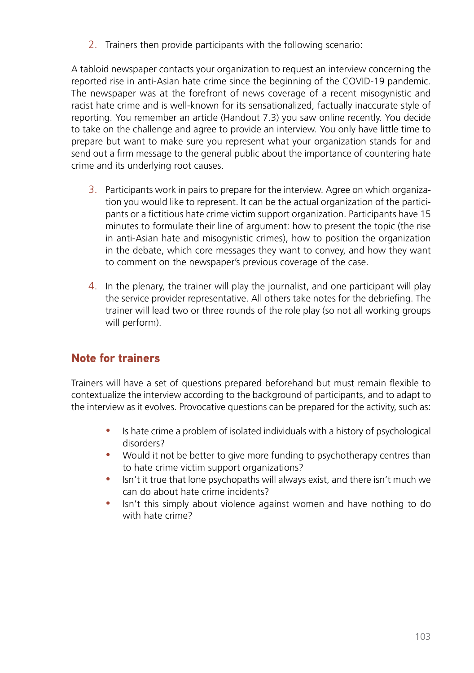2. Trainers then provide participants with the following scenario:

A tabloid newspaper contacts your organization to request an interview concerning the reported rise in anti-Asian hate crime since the beginning of the COVID-19 pandemic. The newspaper was at the forefront of news coverage of a recent misogynistic and racist hate crime and is well-known for its sensationalized, factually inaccurate style of reporting. You remember an article (Handout 7.3) you saw online recently. You decide to take on the challenge and agree to provide an interview. You only have little time to prepare but want to make sure you represent what your organization stands for and send out a firm message to the general public about the importance of countering hate crime and its underlying root causes.

- 3. Participants work in pairs to prepare for the interview. Agree on which organization you would like to represent. It can be the actual organization of the participants or a fictitious hate crime victim support organization. Participants have 15 minutes to formulate their line of argument: how to present the topic (the rise in anti-Asian hate and misogynistic crimes), how to position the organization in the debate, which core messages they want to convey, and how they want to comment on the newspaper's previous coverage of the case.
- 4. In the plenary, the trainer will play the journalist, and one participant will play the service provider representative. All others take notes for the debriefing. The trainer will lead two or three rounds of the role play (so not all working groups will perform).

# **Note for trainers**

Trainers will have a set of questions prepared beforehand but must remain flexible to contextualize the interview according to the background of participants, and to adapt to the interview as it evolves. Provocative questions can be prepared for the activity, such as:

- Is hate crime a problem of isolated individuals with a history of psychological disorders?
- Would it not be better to give more funding to psychotherapy centres than to hate crime victim support organizations?
- Isn't it true that lone psychopaths will always exist, and there isn't much we can do about hate crime incidents?
- Isn't this simply about violence against women and have nothing to do with hate crime?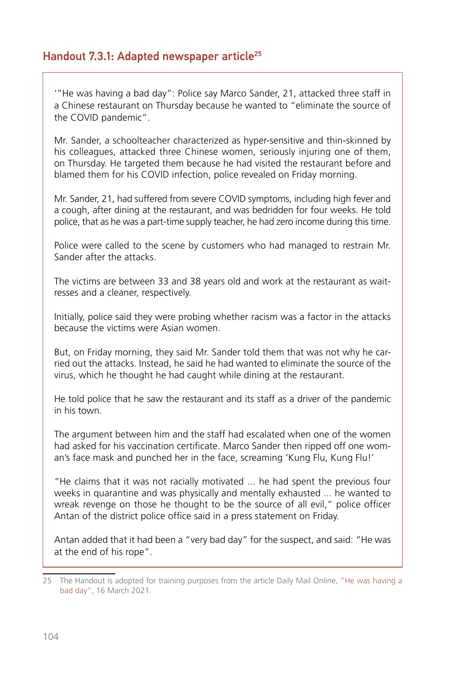# Handout 7.3.1: Adapted newspaper article<sup>25</sup>

'"He was having a bad day": Police say Marco Sander, 21, attacked three staff in a Chinese restaurant on Thursday because he wanted to "eliminate the source of the COVID pandemic".

Mr. Sander, a schoolteacher characterized as hyper-sensitive and thin-skinned by his colleagues, attacked three Chinese women, seriously injuring one of them, on Thursday. He targeted them because he had visited the restaurant before and blamed them for his COVID infection, police revealed on Friday morning.

Mr. Sander, 21, had suffered from severe COVID symptoms, including high fever and a cough, after dining at the restaurant, and was bedridden for four weeks. He told police, that as he was a part-time supply teacher, he had zero income during this time.

Police were called to the scene by customers who had managed to restrain Mr. Sander after the attacks.

The victims are between 33 and 38 years old and work at the restaurant as waitresses and a cleaner, respectively.

Initially, police said they were probing whether racism was a factor in the attacks because the victims were Asian women.

But, on Friday morning, they said Mr. Sander told them that was not why he carried out the attacks. Instead, he said he had wanted to eliminate the source of the virus, which he thought he had caught while dining at the restaurant.

He told police that he saw the restaurant and its staff as a driver of the pandemic in his town.

The argument between him and the staff had escalated when one of the women had asked for his vaccination certificate. Marco Sander then ripped off one woman's face mask and punched her in the face, screaming 'Kung Flu, Kung Flu!'

"He claims that it was not racially motivated ... he had spent the previous four weeks in quarantine and was physically and mentally exhausted ... he wanted to wreak revenge on those he thought to be the source of all evil," police officer Antan of the district police office said in a press statement on Friday.

Antan added that it had been a "very bad day" for the suspect, and said: "He was at the end of his rope".

<sup>25</sup> The Handout is adopted for training purposes from the article Daily Mail Online, "He was having a [bad day"](https://www.dailymail.co.uk/news/article-9369859/Four-people-shot-dead-two-spas-Atlanta-hours-three-killed-massage-parlor.html), 16 March 2021.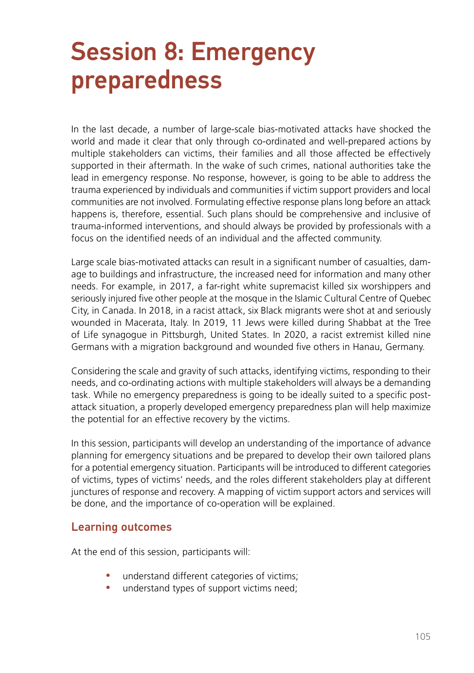# Session 8: Emergency preparedness

In the last decade, a number of large-scale bias-motivated attacks have shocked the world and made it clear that only through co-ordinated and well-prepared actions by multiple stakeholders can victims, their families and all those affected be effectively supported in their aftermath. In the wake of such crimes, national authorities take the lead in emergency response. No response, however, is going to be able to address the trauma experienced by individuals and communities if victim support providers and local communities are not involved. Formulating effective response plans long before an attack happens is, therefore, essential. Such plans should be comprehensive and inclusive of trauma-informed interventions, and should always be provided by professionals with a focus on the identified needs of an individual and the affected community.

Large scale bias-motivated attacks can result in a significant number of casualties, damage to buildings and infrastructure, the increased need for information and many other needs. For example, in 2017, a far-right white supremacist killed six worshippers and seriously injured five other people at the mosque in the Islamic Cultural Centre of Quebec City, in Canada. In 2018, in a racist attack, six Black migrants were shot at and seriously wounded in Macerata, Italy. In 2019, 11 Jews were killed during Shabbat at the Tree of Life synagogue in Pittsburgh, United States. In 2020, a racist extremist killed nine Germans with a migration background and wounded five others in Hanau, Germany.

Considering the scale and gravity of such attacks, identifying victims, responding to their needs, and co-ordinating actions with multiple stakeholders will always be a demanding task. While no emergency preparedness is going to be ideally suited to a specific postattack situation, a properly developed emergency preparedness plan will help maximize the potential for an effective recovery by the victims.

In this session, participants will develop an understanding of the importance of advance planning for emergency situations and be prepared to develop their own tailored plans for a potential emergency situation. Participants will be introduced to different categories of victims, types of victims' needs, and the roles different stakeholders play at different junctures of response and recovery. A mapping of victim support actors and services will be done, and the importance of co-operation will be explained.

#### Learning outcomes

At the end of this session, participants will:

- understand different categories of victims;
- understand types of support victims need;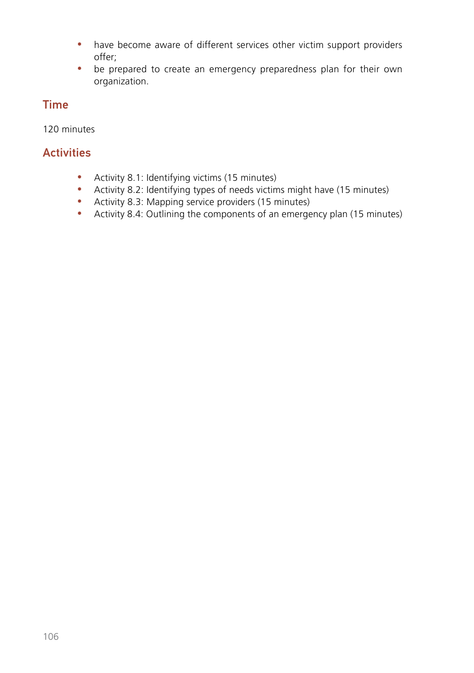- have become aware of different services other victim support providers offer;
- be prepared to create an emergency preparedness plan for their own organization.

# Time

120 minutes

# **Activities**

- Activity 8.1: Identifying victims (15 minutes)
- Activity 8.2: Identifying types of needs victims might have (15 minutes)
- Activity 8.3: Mapping service providers (15 minutes)
- Activity 8.4: Outlining the components of an emergency plan (15 minutes)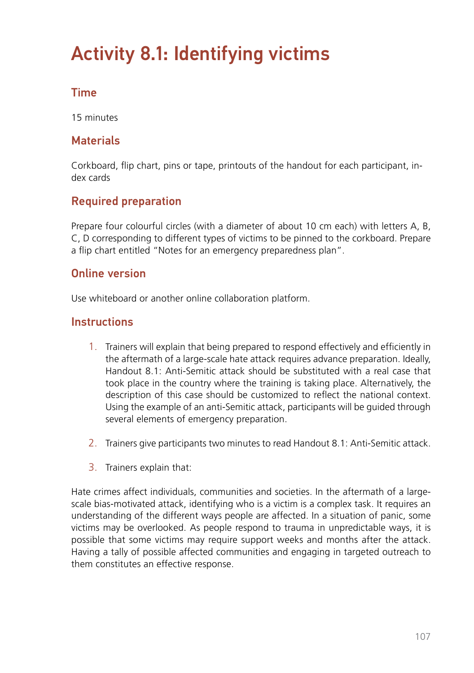# Activity 8.1: Identifying victims

# Time

15 minutes

# **Materials**

Corkboard, flip chart, pins or tape, printouts of the handout for each participant, index cards

# Required preparation

Prepare four colourful circles (with a diameter of about 10 cm each) with letters A, B, C, D corresponding to different types of victims to be pinned to the corkboard. Prepare a flip chart entitled "Notes for an emergency preparedness plan".

### Online version

Use whiteboard or another online collaboration platform.

### **Instructions**

- 1. Trainers will explain that being prepared to respond effectively and efficiently in the aftermath of a large-scale hate attack requires advance preparation. Ideally, Handout 8.1: Anti-Semitic attack should be substituted with a real case that took place in the country where the training is taking place. Alternatively, the description of this case should be customized to reflect the national context. Using the example of an anti-Semitic attack, participants will be guided through several elements of emergency preparation.
- 2. Trainers give participants two minutes to read Handout 8.1: Anti-Semitic attack.
- 3. Trainers explain that:

Hate crimes affect individuals, communities and societies. In the aftermath of a largescale bias-motivated attack, identifying who is a victim is a complex task. It requires an understanding of the different ways people are affected. In a situation of panic, some victims may be overlooked. As people respond to trauma in unpredictable ways, it is possible that some victims may require support weeks and months after the attack. Having a tally of possible affected communities and engaging in targeted outreach to them constitutes an effective response.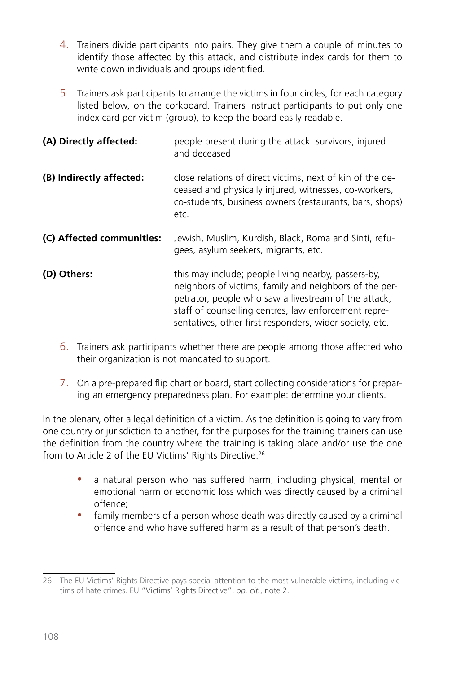- 4. Trainers divide participants into pairs. They give them a couple of minutes to identify those affected by this attack, and distribute index cards for them to write down individuals and groups identified.
- 5. Trainers ask participants to arrange the victims in four circles, for each category listed below, on the corkboard. Trainers instruct participants to put only one index card per victim (group), to keep the board easily readable.

| (A) Directly affected:    | people present during the attack: survivors, injured<br>and deceased                                                                                                                                                                                                                     |
|---------------------------|------------------------------------------------------------------------------------------------------------------------------------------------------------------------------------------------------------------------------------------------------------------------------------------|
| (B) Indirectly affected:  | close relations of direct victims, next of kin of the de-<br>ceased and physically injured, witnesses, co-workers,<br>co-students, business owners (restaurants, bars, shops)<br>etc.                                                                                                    |
| (C) Affected communities: | Jewish, Muslim, Kurdish, Black, Roma and Sinti, refu-<br>gees, asylum seekers, migrants, etc.                                                                                                                                                                                            |
| (D) Others:               | this may include; people living nearby, passers-by,<br>neighbors of victims, family and neighbors of the per-<br>petrator, people who saw a livestream of the attack,<br>staff of counselling centres, law enforcement repre-<br>sentatives, other first responders, wider society, etc. |

- 6. Trainers ask participants whether there are people among those affected who their organization is not mandated to support.
- 7. On a pre-prepared flip chart or board, start collecting considerations for preparing an emergency preparedness plan. For example: determine your clients.

In the plenary, offer a legal definition of a victim. As the definition is going to vary from one country or jurisdiction to another, for the purposes for the training trainers can use the definition from the country where the training is taking place and/or use the one from to Article 2 of the EU Victims' Rights Directive:26

- a natural person who has suffered harm, including physical, mental or emotional harm or economic loss which was directly caused by a criminal offence;
- family members of a person whose death was directly caused by a criminal offence and who have suffered harm as a result of that person's death.

<sup>26</sup> The EU Victims' Rights Directive pays special attention to the most vulnerable victims, including victims of hate crimes. EU "Victims' Rights Directive", *op. cit.*, note 2.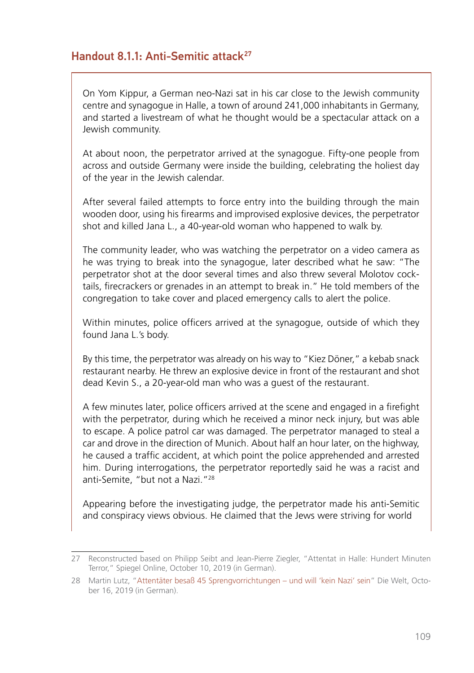#### Handout 8.1.1: Anti-Semitic attack<sup>27</sup>

On Yom Kippur, a German neo-Nazi sat in his car close to the Jewish community centre and synagogue in Halle, a town of around 241,000 inhabitants in Germany, and started a livestream of what he thought would be a spectacular attack on a Jewish community.

At about noon, the perpetrator arrived at the synagogue. Fifty-one people from across and outside Germany were inside the building, celebrating the holiest day of the year in the Jewish calendar.

After several failed attempts to force entry into the building through the main wooden door, using his firearms and improvised explosive devices, the perpetrator shot and killed Jana L., a 40-year-old woman who happened to walk by.

The community leader, who was watching the perpetrator on a video camera as he was trying to break into the synagogue, later described what he saw: "The perpetrator shot at the door several times and also threw several Molotov cocktails, firecrackers or grenades in an attempt to break in." He told members of the congregation to take cover and placed emergency calls to alert the police.

Within minutes, police officers arrived at the synagogue, outside of which they found Jana L.'s body.

By this time, the perpetrator was already on his way to "Kiez Döner," a kebab snack restaurant nearby. He threw an explosive device in front of the restaurant and shot dead Kevin S., a 20-year-old man who was a guest of the restaurant.

A few minutes later, police officers arrived at the scene and engaged in a firefight with the perpetrator, during which he received a minor neck injury, but was able to escape. A police patrol car was damaged. The perpetrator managed to steal a car and drove in the direction of Munich. About half an hour later, on the highway, he caused a traffic accident, at which point the police apprehended and arrested him. During interrogations, the perpetrator reportedly said he was a racist and anti-Semite, "but not a Nazi."28

Appearing before the investigating judge, the perpetrator made his anti-Semitic and conspiracy views obvious. He claimed that the Jews were striving for world

<sup>27</sup> Reconstructed based on Philipp Seibt and Jean-Pierre Ziegler, "Attentat in Halle: Hundert Minuten Terror," Spiegel Online, October 10, 2019 (in German).

<sup>28</sup> [Martin Lutz, "Attentäter besaß 45 Sprengvorrichtungen – und will 'kein Nazi' sein"](https://www.welt.de/politik/deutschland/article201977492/Stephan-Balliet-Attentaeter-besass-45-Sprengvorrichtungen-und-will-kein-Nazi-sein.html) Die Welt, October 16, 2019 (in German).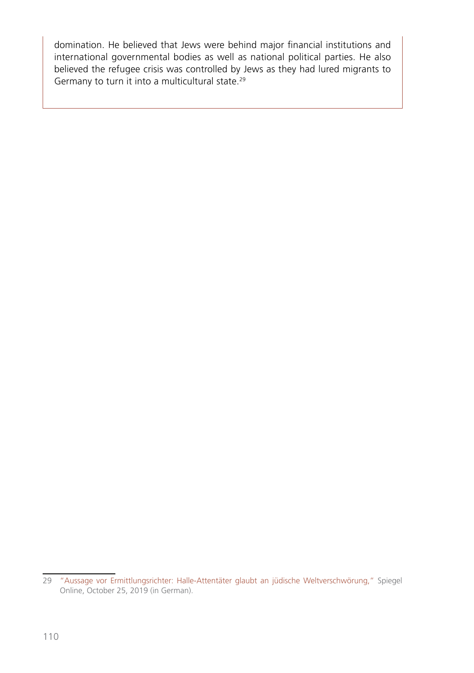domination. He believed that Jews were behind major financial institutions and international governmental bodies as well as national political parties. He also believed the refugee crisis was controlled by Jews as they had lured migrants to Germany to turn it into a multicultural state.29

<sup>29</sup> ["Aussage vor Ermittlungsrichter: Halle-Attentäter glaubt an jüdische Weltverschwörung,"](https://www.spiegel.de/panorama/justiz/halle-attentaeter-stephan-balliet-glaubt-an-juedische-weltverschwoerung-a-1293330.html) Spiegel Online, October 25, 2019 (in German).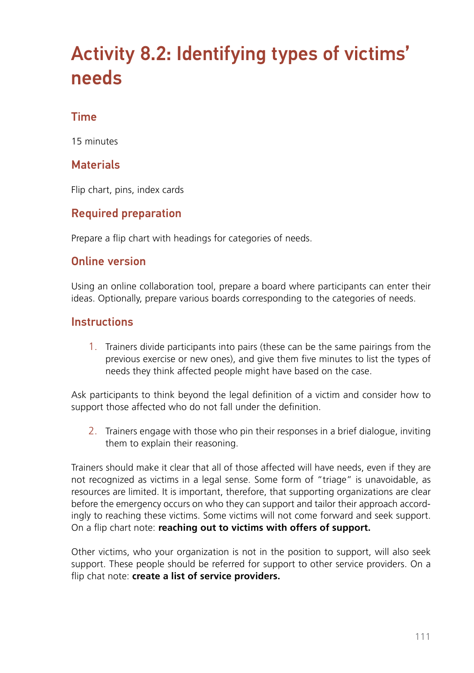# Activity 8.2: Identifying types of victims' needs

#### Time

15 minutes

#### **Materials**

Flip chart, pins, index cards

#### Required preparation

Prepare a flip chart with headings for categories of needs.

#### Online version

Using an online collaboration tool, prepare a board where participants can enter their ideas. Optionally, prepare various boards corresponding to the categories of needs.

#### **Instructions**

1. Trainers divide participants into pairs (these can be the same pairings from the previous exercise or new ones), and give them five minutes to list the types of needs they think affected people might have based on the case.

Ask participants to think beyond the legal definition of a victim and consider how to support those affected who do not fall under the definition.

2. Trainers engage with those who pin their responses in a brief dialogue, inviting them to explain their reasoning.

Trainers should make it clear that all of those affected will have needs, even if they are not recognized as victims in a legal sense. Some form of "triage" is unavoidable, as resources are limited. It is important, therefore, that supporting organizations are clear before the emergency occurs on who they can support and tailor their approach accordingly to reaching these victims. Some victims will not come forward and seek support. On a flip chart note: **reaching out to victims with offers of support.** 

Other victims, who your organization is not in the position to support, will also seek support. These people should be referred for support to other service providers. On a flip chat note: **create a list of service providers.**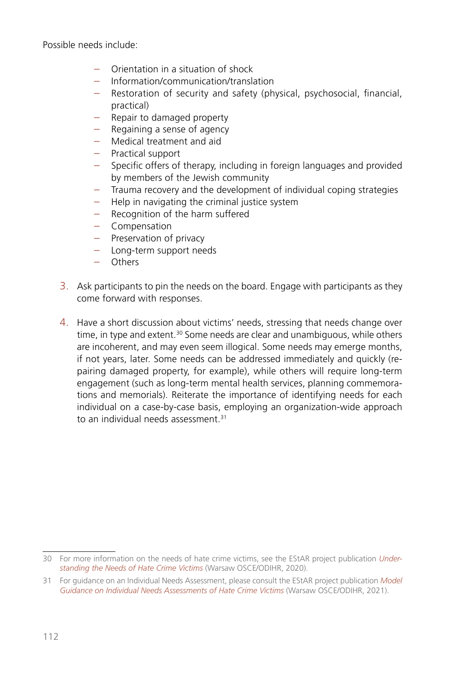Possible needs include:

- Orientation in a situation of shock
- Information/communication/translation
- Restoration of security and safety (physical, psychosocial, financial, practical)
- Repair to damaged property
- $-$  Regaining a sense of agency
- Medical treatment and aid
- Practical support
- Specific offers of therapy, including in foreign languages and provided by members of the Jewish community
- Trauma recovery and the development of individual coping strategies
- Help in navigating the criminal justice system
- Recognition of the harm suffered
- Compensation
- Preservation of privacy
- Long-term support needs
- Others
- 3. Ask participants to pin the needs on the board. Engage with participants as they come forward with responses.
- 4. Have a short discussion about victims' needs, stressing that needs change over time, in type and extent.<sup>30</sup> Some needs are clear and unambiguous, while others are incoherent, and may even seem illogical. Some needs may emerge months, if not years, later. Some needs can be addressed immediately and quickly (repairing damaged property, for example), while others will require long-term engagement (such as long-term mental health services, planning commemorations and memorials). Reiterate the importance of identifying needs for each individual on a case-by-case basis, employing an organization-wide approach to an individual needs assessment.<sup>31</sup>

<sup>30</sup> For more information on the needs of hate crime victims, see the EStAR project publication *[Under](https://www.osce.org/odihr/463011)[standing the Needs of Hate Crime Victims](https://www.osce.org/odihr/463011)* (Warsaw OSCE/ODIHR, 2020).

<sup>31</sup> For guidance on an Individual Needs Assessment, please consult the EStAR project publication *[Model](https://www.osce.org/odihr/489782)  Guidance on [Individual Needs Assessments of Hate Crime Victims](https://www.osce.org/odihr/489782)* (Warsaw OSCE/ODIHR, 2021).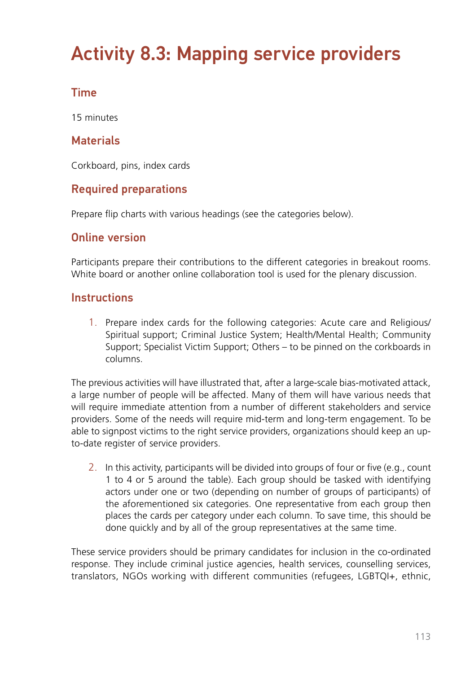# Activity 8.3: Mapping service providers

### Time

15 minutes

#### **Materials**

Corkboard, pins, index cards

#### Required preparations

Prepare flip charts with various headings (see the categories below).

#### Online version

Participants prepare their contributions to the different categories in breakout rooms. White board or another online collaboration tool is used for the plenary discussion.

#### **Instructions**

1. Prepare index cards for the following categories: Acute care and Religious/ Spiritual support; Criminal Justice System; Health/Mental Health; Community Support; Specialist Victim Support; Others – to be pinned on the corkboards in columns.

The previous activities will have illustrated that, after a large-scale bias-motivated attack, a large number of people will be affected. Many of them will have various needs that will require immediate attention from a number of different stakeholders and service providers. Some of the needs will require mid-term and long-term engagement. To be able to signpost victims to the right service providers, organizations should keep an upto-date register of service providers.

2. In this activity, participants will be divided into groups of four or five (e.g., count 1 to 4 or 5 around the table). Each group should be tasked with identifying actors under one or two (depending on number of groups of participants) of the aforementioned six categories. One representative from each group then places the cards per category under each column. To save time, this should be done quickly and by all of the group representatives at the same time.

These service providers should be primary candidates for inclusion in the co-ordinated response. They include criminal justice agencies, health services, counselling services, translators, NGOs working with different communities (refugees, LGBTQI+, ethnic,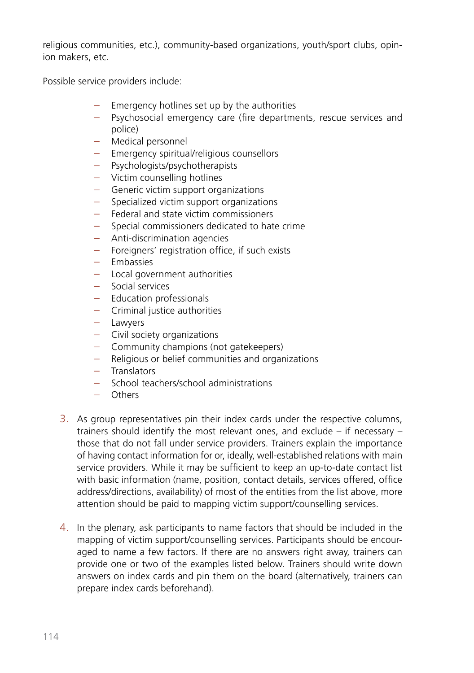religious communities, etc.), community-based organizations, youth/sport clubs, opinion makers, etc.

Possible service providers include:

- Emergency hotlines set up by the authorities
- Psychosocial emergency care (fire departments, rescue services and police)
- Medical personnel
- Emergency spiritual/religious counsellors
- Psychologists/psychotherapists
- Victim counselling hotlines
- Generic victim support organizations
- Specialized victim support organizations
- Federal and state victim commissioners
- Special commissioners dedicated to hate crime
- Anti-discrimination agencies
- Foreigners' registration office, if such exists
- Embassies
- Local government authorities
- Social services
- Education professionals
- Criminal justice authorities
- Lawyers
- Civil society organizations
- Community champions (not gatekeepers)
- Religious or belief communities and organizations
- Translators
- School teachers/school administrations
- Others
- 3. As group representatives pin their index cards under the respective columns, trainers should identify the most relevant ones, and exclude – if necessary – those that do not fall under service providers. Trainers explain the importance of having contact information for or, ideally, well-established relations with main service providers. While it may be sufficient to keep an up-to-date contact list with basic information (name, position, contact details, services offered, office address/directions, availability) of most of the entities from the list above, more attention should be paid to mapping victim support/counselling services.
- 4. In the plenary, ask participants to name factors that should be included in the mapping of victim support/counselling services. Participants should be encouraged to name a few factors. If there are no answers right away, trainers can provide one or two of the examples listed below. Trainers should write down answers on index cards and pin them on the board (alternatively, trainers can prepare index cards beforehand).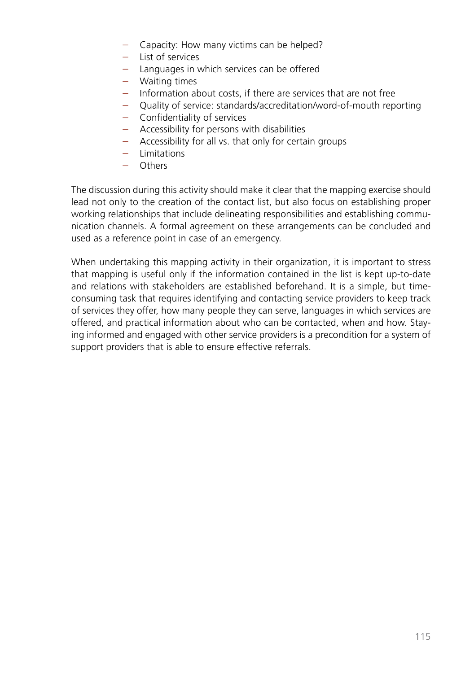- Capacity: How many victims can be helped?
- List of services
- Languages in which services can be offered
- Waiting times
- Information about costs, if there are services that are not free
- Quality of service: standards/accreditation/word-of-mouth reporting
- Confidentiality of services
- Accessibility for persons with disabilities
- Accessibility for all vs. that only for certain groups
- Limitations
- Others

The discussion during this activity should make it clear that the mapping exercise should lead not only to the creation of the contact list, but also focus on establishing proper working relationships that include delineating responsibilities and establishing communication channels. A formal agreement on these arrangements can be concluded and used as a reference point in case of an emergency.

When undertaking this mapping activity in their organization, it is important to stress that mapping is useful only if the information contained in the list is kept up-to-date and relations with stakeholders are established beforehand. It is a simple, but timeconsuming task that requires identifying and contacting service providers to keep track of services they offer, how many people they can serve, languages in which services are offered, and practical information about who can be contacted, when and how. Staying informed and engaged with other service providers is a precondition for a system of support providers that is able to ensure effective referrals.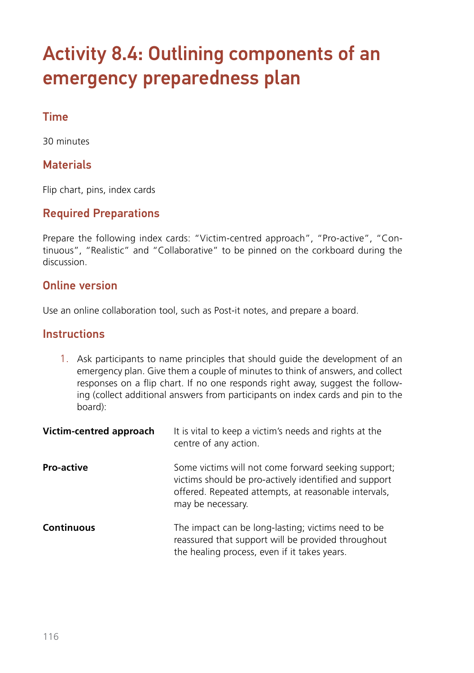# Activity 8.4: Outlining components of an emergency preparedness plan

#### Time

30 minutes

#### **Materials**

Flip chart, pins, index cards

#### Required Preparations

Prepare the following index cards: "Victim-centred approach", "Pro-active", "Continuous", "Realistic" and "Collaborative" to be pinned on the corkboard during the discussion.

#### Online version

Use an online collaboration tool, such as Post-it notes, and prepare a board.

#### **Instructions**

1. Ask participants to name principles that should guide the development of an emergency plan. Give them a couple of minutes to think of answers, and collect responses on a flip chart. If no one responds right away, suggest the following (collect additional answers from participants on index cards and pin to the board):

| Victim-centred approach | It is vital to keep a victim's needs and rights at the<br>centre of any action.                                                                                                           |
|-------------------------|-------------------------------------------------------------------------------------------------------------------------------------------------------------------------------------------|
| <b>Pro-active</b>       | Some victims will not come forward seeking support;<br>victims should be pro-actively identified and support<br>offered. Repeated attempts, at reasonable intervals,<br>may be necessary. |
| <b>Continuous</b>       | The impact can be long-lasting; victims need to be<br>reassured that support will be provided throughout<br>the healing process, even if it takes years.                                  |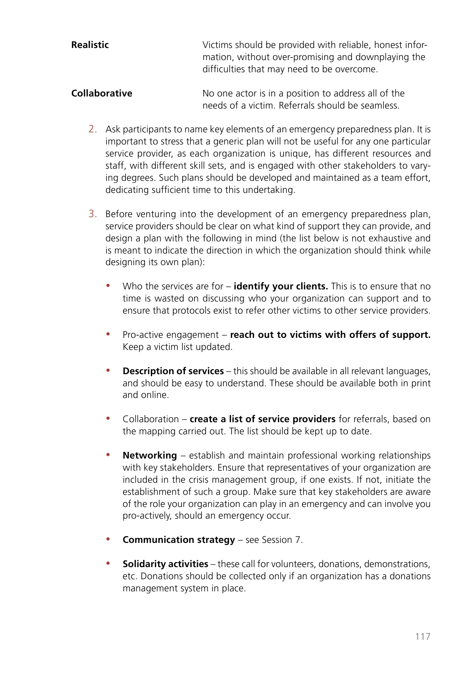| Realistic | Victims should be provided with reliable, honest infor- |
|-----------|---------------------------------------------------------|
|           | mation, without over-promising and downplaying the      |
|           | difficulties that may need to be overcome.              |
|           |                                                         |

**Collaborative** No one actor is in a position to address all of the needs of a victim. Referrals should be seamless.

- 2. Ask participants to name key elements of an emergency preparedness plan. It is important to stress that a generic plan will not be useful for any one particular service provider, as each organization is unique, has different resources and staff, with different skill sets, and is engaged with other stakeholders to varying degrees. Such plans should be developed and maintained as a team effort, dedicating sufficient time to this undertaking.
- 3. Before venturing into the development of an emergency preparedness plan, service providers should be clear on what kind of support they can provide, and design a plan with the following in mind (the list below is not exhaustive and is meant to indicate the direction in which the organization should think while designing its own plan):
	- Who the services are for **identify your clients.** This is to ensure that no time is wasted on discussing who your organization can support and to ensure that protocols exist to refer other victims to other service providers.
	- Pro-active engagement **reach out to victims with offers of support.** Keep a victim list updated.
	- **Description of services** this should be available in all relevant languages, and should be easy to understand. These should be available both in print and online.
	- y Collaboration **create a list of service providers** for referrals, based on the mapping carried out. The list should be kept up to date.
	- **Networking** establish and maintain professional working relationships with key stakeholders. Ensure that representatives of your organization are included in the crisis management group, if one exists. If not, initiate the establishment of such a group. Make sure that key stakeholders are aware of the role your organization can play in an emergency and can involve you pro-actively, should an emergency occur.
	- **Communication strategy** see Session 7.
	- **Solidarity activities** these call for volunteers, donations, demonstrations, etc. Donations should be collected only if an organization has a donations management system in place.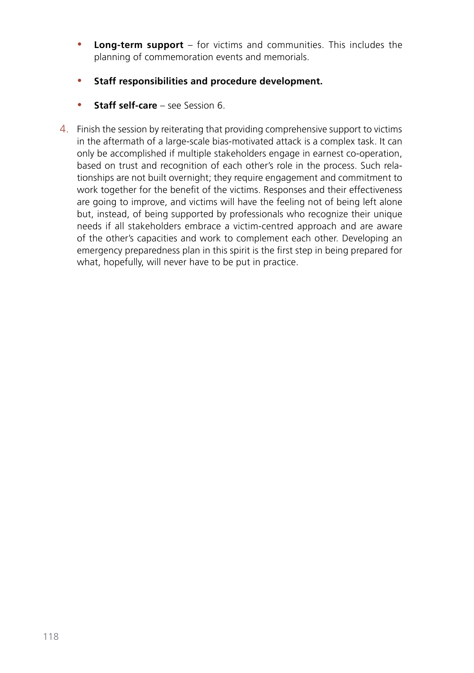- **Long-term support** for victims and communities. This includes the planning of commemoration events and memorials.
- **•** Staff responsibilities and procedure development.
- **Staff self-care** see Session 6.
- 4. Finish the session by reiterating that providing comprehensive support to victims in the aftermath of a large-scale bias-motivated attack is a complex task. It can only be accomplished if multiple stakeholders engage in earnest co-operation, based on trust and recognition of each other's role in the process. Such relationships are not built overnight; they require engagement and commitment to work together for the benefit of the victims. Responses and their effectiveness are going to improve, and victims will have the feeling not of being left alone but, instead, of being supported by professionals who recognize their unique needs if all stakeholders embrace a victim-centred approach and are aware of the other's capacities and work to complement each other. Developing an emergency preparedness plan in this spirit is the first step in being prepared for what, hopefully, will never have to be put in practice.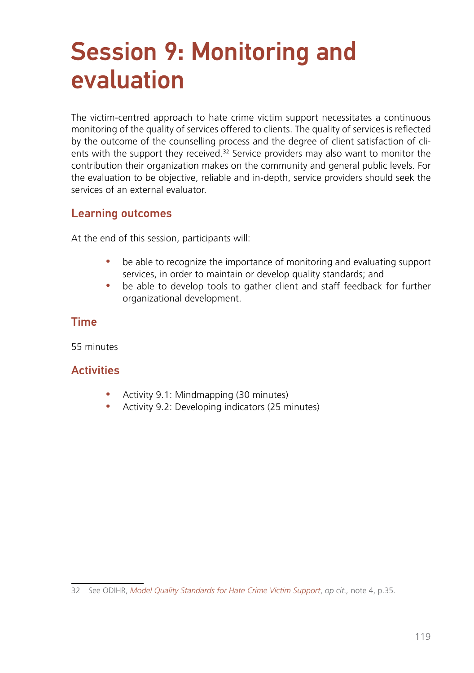# Session 9: Monitoring and evaluation

The victim-centred approach to hate crime victim support necessitates a continuous monitoring of the quality of services offered to clients. The quality of services is reflected by the outcome of the counselling process and the degree of client satisfaction of clients with the support they received.<sup>32</sup> Service providers may also want to monitor the contribution their organization makes on the community and general public levels. For the evaluation to be objective, reliable and in-depth, service providers should seek the services of an external evaluator.

#### Learning outcomes

At the end of this session, participants will:

- be able to recognize the importance of monitoring and evaluating support services, in order to maintain or develop quality standards; and
- be able to develop tools to gather client and staff feedback for further organizational development.

#### Time

55 minutes

#### **Activities**

- Activity 9.1: Mindmapping (30 minutes)
- Activity 9.2: Developing indicators (25 minutes)

<sup>32</sup> See ODIHR, *[Model Quality Standards for Hate Crime Victim Support](https://www.osce.org/files/f/documents/1/0/485273_0.pdf)*, *op cit.,* note 4, p.35.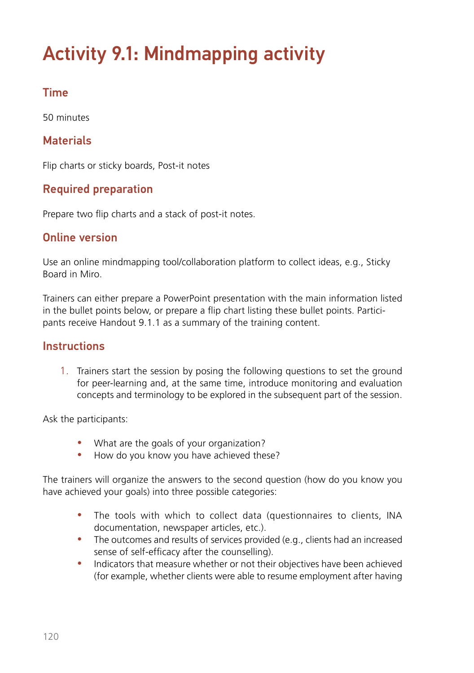# Activity 9.1: Mindmapping activity

### Time

50 minutes

### **Materials**

Flip charts or sticky boards, Post-it notes

### Required preparation

Prepare two flip charts and a stack of post-it notes.

#### Online version

Use an online mindmapping tool/collaboration platform to collect ideas, e.g., Sticky Board in Miro.

Trainers can either prepare a PowerPoint presentation with the main information listed in the bullet points below, or prepare a flip chart listing these bullet points. Participants receive Handout 9.1.1 as a summary of the training content.

#### **Instructions**

1. Trainers start the session by posing the following questions to set the ground for peer-learning and, at the same time, introduce monitoring and evaluation concepts and terminology to be explored in the subsequent part of the session.

Ask the participants:

- What are the goals of your organization?
- How do you know you have achieved these?

The trainers will organize the answers to the second question (how do you know you have achieved your goals) into three possible categories:

- The tools with which to collect data (questionnaires to clients, INA documentation, newspaper articles, etc.).
- The outcomes and results of services provided (e.g., clients had an increased sense of self-efficacy after the counselling).
- Indicators that measure whether or not their objectives have been achieved (for example, whether clients were able to resume employment after having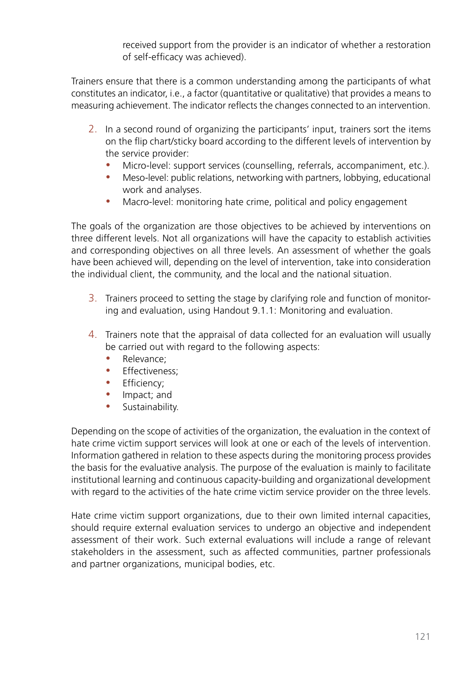received support from the provider is an indicator of whether a restoration of self-efficacy was achieved).

Trainers ensure that there is a common understanding among the participants of what constitutes an indicator, i.e., a factor (quantitative or qualitative) that provides a means to measuring achievement. The indicator reflects the changes connected to an intervention.

- 2. In a second round of organizing the participants' input, trainers sort the items on the flip chart/sticky board according to the different levels of intervention by the service provider:
	- Micro-level: support services (counselling, referrals, accompaniment, etc.).
	- Meso-level: public relations, networking with partners, lobbying, educational work and analyses.
	- Macro-level: monitoring hate crime, political and policy engagement

The goals of the organization are those objectives to be achieved by interventions on three different levels. Not all organizations will have the capacity to establish activities and corresponding objectives on all three levels. An assessment of whether the goals have been achieved will, depending on the level of intervention, take into consideration the individual client, the community, and the local and the national situation.

- 3. Trainers proceed to setting the stage by clarifying role and function of monitoring and evaluation, using Handout 9.1.1: Monitoring and evaluation.
- 4. Trainers note that the appraisal of data collected for an evaluation will usually be carried out with regard to the following aspects:
	- Relevance:
	- Effectiveness:
	- Efficiency:
	- Impact; and
	- Sustainability.

Depending on the scope of activities of the organization, the evaluation in the context of hate crime victim support services will look at one or each of the levels of intervention. Information gathered in relation to these aspects during the monitoring process provides the basis for the evaluative analysis. The purpose of the evaluation is mainly to facilitate institutional learning and continuous capacity-building and organizational development with regard to the activities of the hate crime victim service provider on the three levels.

Hate crime victim support organizations, due to their own limited internal capacities, should require external evaluation services to undergo an objective and independent assessment of their work. Such external evaluations will include a range of relevant stakeholders in the assessment, such as affected communities, partner professionals and partner organizations, municipal bodies, etc.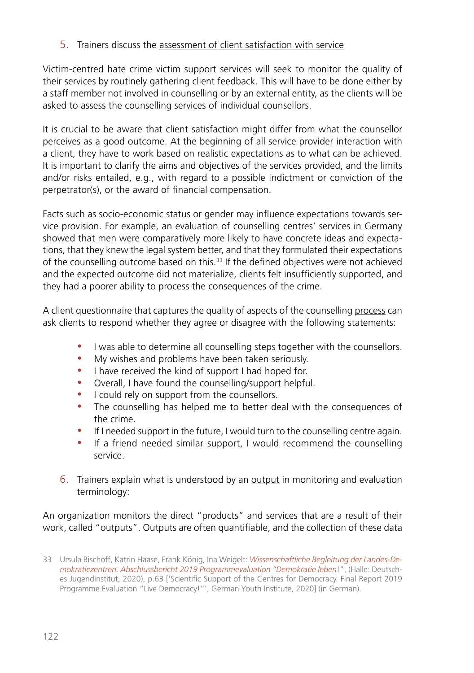#### 5. Trainers discuss the assessment of client satisfaction with service

Victim-centred hate crime victim support services will seek to monitor the quality of their services by routinely gathering client feedback. This will have to be done either by a staff member not involved in counselling or by an external entity, as the clients will be asked to assess the counselling services of individual counsellors.

It is crucial to be aware that client satisfaction might differ from what the counsellor perceives as a good outcome. At the beginning of all service provider interaction with a client, they have to work based on realistic expectations as to what can be achieved. It is important to clarify the aims and objectives of the services provided, and the limits and/or risks entailed, e.g., with regard to a possible indictment or conviction of the perpetrator(s), or the award of financial compensation.

Facts such as socio-economic status or gender may influence expectations towards service provision. For example, an evaluation of counselling centres' services in Germany showed that men were comparatively more likely to have concrete ideas and expectations, that they knew the legal system better, and that they formulated their expectations of the counselling outcome based on this.33 If the defined objectives were not achieved and the expected outcome did not materialize, clients felt insufficiently supported, and they had a poorer ability to process the consequences of the crime.

A client questionnaire that captures the quality of aspects of the counselling process can ask clients to respond whether they agree or disagree with the following statements:

- I was able to determine all counselling steps together with the counsellors.
- My wishes and problems have been taken seriously.
- I have received the kind of support I had hoped for.
- Overall, I have found the counselling/support helpful.
- I could rely on support from the counsellors.
- The counselling has helped me to better deal with the consequences of the crime.
- If I needed support in the future, I would turn to the counselling centre again.
- If a friend needed similar support, I would recommend the counselling service.
- 6. Trainers explain what is understood by an output in monitoring and evaluation terminology:

An organization monitors the direct "products" and services that are a result of their work, called "outputs". Outputs are often quantifiable, and the collection of these data

<sup>33</sup> Ursula Bischoff, Katrin Haase, Frank König, Ina Weigelt: *[Wissenschaftliche Begleitung der Landes-De](https://www.dji.de/fileadmin/user_upload/DemokratieLeben/Abschlussbericht_LDZ_2019.pdf)[mokratiezentren. Abschlussbericht 2019 Programmevaluation "Demokratie leben](https://www.dji.de/fileadmin/user_upload/DemokratieLeben/Abschlussbericht_LDZ_2019.pdf)*!", (Halle: Deutsches Jugendinstitut, 2020), p.63 ['Scientific Support of the Centres for Democracy. Final Report 2019 Programme Evaluation "Live Democracy!"', German Youth Institute, 2020] (in German).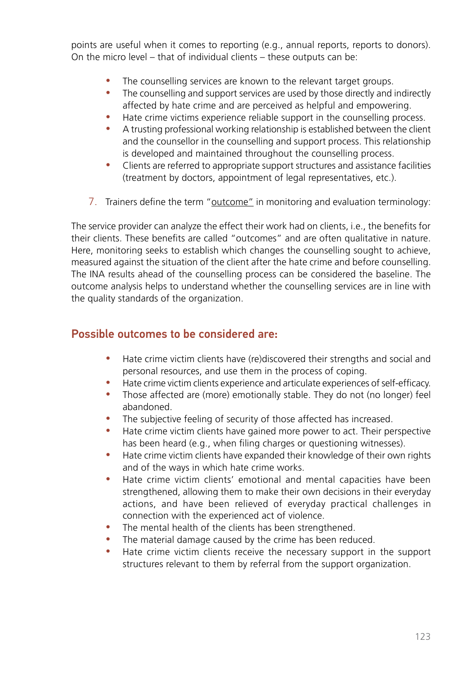points are useful when it comes to reporting (e.g., annual reports, reports to donors). On the micro level – that of individual clients – these outputs can be:

- The counselling services are known to the relevant target groups.
- The counselling and support services are used by those directly and indirectly affected by hate crime and are perceived as helpful and empowering.
- Hate crime victims experience reliable support in the counselling process.
- A trusting professional working relationship is established between the client and the counsellor in the counselling and support process. This relationship is developed and maintained throughout the counselling process.
- Clients are referred to appropriate support structures and assistance facilities (treatment by doctors, appointment of legal representatives, etc.).
- 7. Trainers define the term "outcome" in monitoring and evaluation terminology:

The service provider can analyze the effect their work had on clients, i.e., the benefits for their clients. These benefits are called "outcomes" and are often qualitative in nature. Here, monitoring seeks to establish which changes the counselling sought to achieve, measured against the situation of the client after the hate crime and before counselling. The INA results ahead of the counselling process can be considered the baseline. The outcome analysis helps to understand whether the counselling services are in line with the quality standards of the organization.

#### Possible outcomes to be considered are:

- Hate crime victim clients have (re)discovered their strengths and social and personal resources, and use them in the process of coping.
- Hate crime victim clients experience and articulate experiences of self-efficacy.
- Those affected are (more) emotionally stable. They do not (no longer) feel abandoned.
- The subjective feeling of security of those affected has increased.
- Hate crime victim clients have gained more power to act. Their perspective has been heard (e.g., when filing charges or questioning witnesses).
- Hate crime victim clients have expanded their knowledge of their own rights and of the ways in which hate crime works.
- Hate crime victim clients' emotional and mental capacities have been strengthened, allowing them to make their own decisions in their everyday actions, and have been relieved of everyday practical challenges in connection with the experienced act of violence.
- The mental health of the clients has been strengthened.
- The material damage caused by the crime has been reduced.
- Hate crime victim clients receive the necessary support in the support structures relevant to them by referral from the support organization.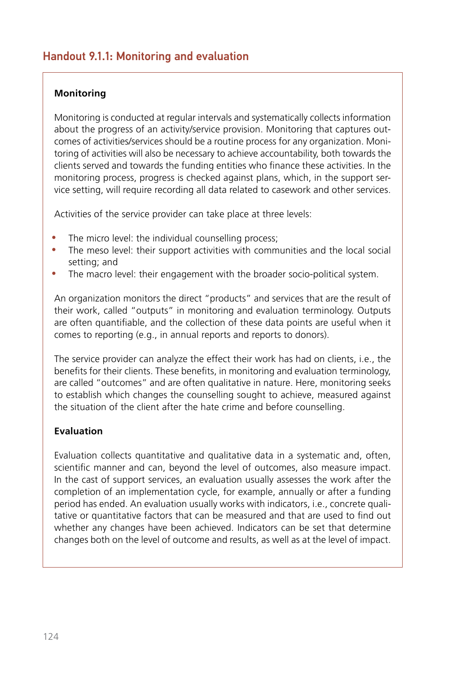#### Handout 9.1.1: Monitoring and evaluation

#### **Monitoring**

Monitoring is conducted at regular intervals and systematically collects information about the progress of an activity/service provision. Monitoring that captures outcomes of activities/services should be a routine process for any organization. Monitoring of activities will also be necessary to achieve accountability, both towards the clients served and towards the funding entities who finance these activities. In the monitoring process, progress is checked against plans, which, in the support service setting, will require recording all data related to casework and other services.

Activities of the service provider can take place at three levels:

- The micro level: the individual counselling process;
- The meso level: their support activities with communities and the local social setting; and
- The macro level: their engagement with the broader socio-political system.

An organization monitors the direct "products" and services that are the result of their work, called "outputs" in monitoring and evaluation terminology. Outputs are often quantifiable, and the collection of these data points are useful when it comes to reporting (e.g., in annual reports and reports to donors).

The service provider can analyze the effect their work has had on clients, i.e., the benefits for their clients. These benefits, in monitoring and evaluation terminology, are called "outcomes" and are often qualitative in nature. Here, monitoring seeks to establish which changes the counselling sought to achieve, measured against the situation of the client after the hate crime and before counselling.

#### **Evaluation**

Evaluation collects quantitative and qualitative data in a systematic and, often, scientific manner and can, beyond the level of outcomes, also measure impact. In the cast of support services, an evaluation usually assesses the work after the completion of an implementation cycle, for example, annually or after a funding period has ended. An evaluation usually works with indicators, i.e., concrete qualitative or quantitative factors that can be measured and that are used to find out whether any changes have been achieved. Indicators can be set that determine changes both on the level of outcome and results, as well as at the level of impact.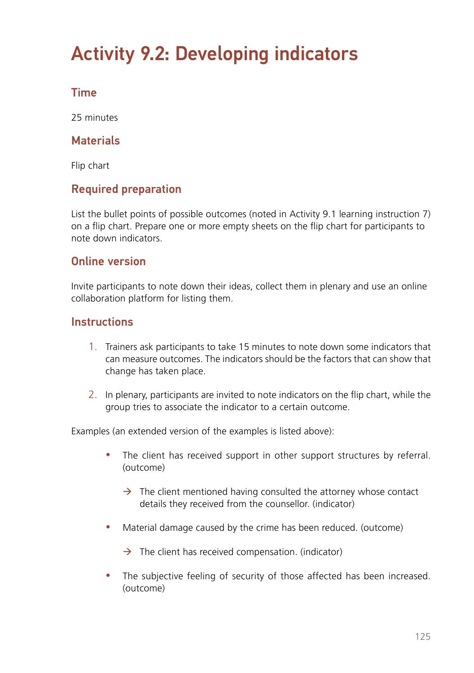# Activity 9.2: Developing indicators

#### Time

25 minutes

#### **Materials**

Flip chart

#### Required preparation

List the bullet points of possible outcomes (noted in Activity 9.1 learning instruction 7) on a flip chart. Prepare one or more empty sheets on the flip chart for participants to note down indicators.

#### Online version

Invite participants to note down their ideas, collect them in plenary and use an online collaboration platform for listing them.

#### **Instructions**

- 1. Trainers ask participants to take 15 minutes to note down some indicators that can measure outcomes. The indicators should be the factors that can show that change has taken place.
- 2. In plenary, participants are invited to note indicators on the flip chart, while the group tries to associate the indicator to a certain outcome.

Examples (an extended version of the examples is listed above):

- The client has received support in other support structures by referral. (outcome)
	- $\rightarrow$  The client mentioned having consulted the attorney whose contact details they received from the counsellor. (indicator)
- Material damage caused by the crime has been reduced. (outcome)

 $\rightarrow$  The client has received compensation. (indicator)

• The subjective feeling of security of those affected has been increased. (outcome)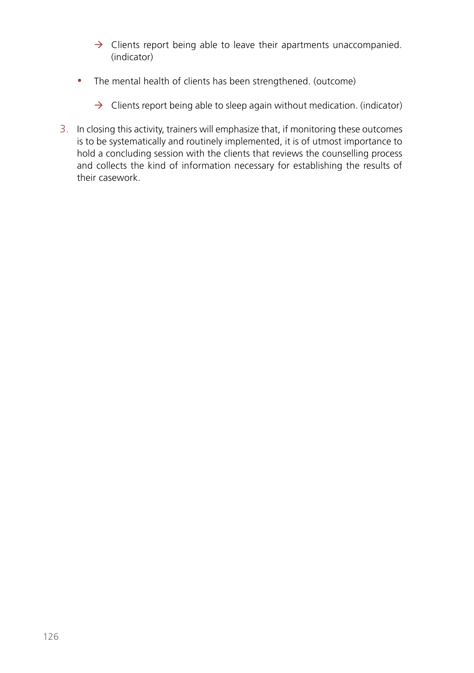- $\rightarrow$  Clients report being able to leave their apartments unaccompanied. (indicator)
- The mental health of clients has been strengthened. (outcome)
	- $\rightarrow$  Clients report being able to sleep again without medication. (indicator)
- 3. In closing this activity, trainers will emphasize that, if monitoring these outcomes is to be systematically and routinely implemented, it is of utmost importance to hold a concluding session with the clients that reviews the counselling process and collects the kind of information necessary for establishing the results of their casework.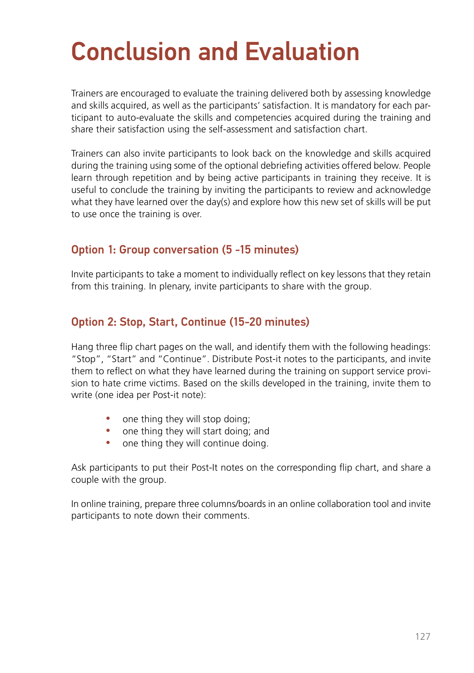# Conclusion and Evaluation

Trainers are encouraged to evaluate the training delivered both by assessing knowledge and skills acquired, as well as the participants' satisfaction. It is mandatory for each participant to auto-evaluate the skills and competencies acquired during the training and share their satisfaction using the self-assessment and satisfaction chart.

Trainers can also invite participants to look back on the knowledge and skills acquired during the training using some of the optional debriefing activities offered below. People learn through repetition and by being active participants in training they receive. It is useful to conclude the training by inviting the participants to review and acknowledge what they have learned over the day(s) and explore how this new set of skills will be put to use once the training is over.

#### Option 1: Group conversation (5 -15 minutes)

Invite participants to take a moment to individually reflect on key lessons that they retain from this training. In plenary, invite participants to share with the group.

#### Option 2: Stop, Start, Continue (15-20 minutes)

Hang three flip chart pages on the wall, and identify them with the following headings: "Stop", "Start" and "Continue". Distribute Post-it notes to the participants, and invite them to reflect on what they have learned during the training on support service provision to hate crime victims. Based on the skills developed in the training, invite them to write (one idea per Post-it note):

- one thing they will stop doing;
- one thing they will start doing; and
- one thing they will continue doing.

Ask participants to put their Post-It notes on the corresponding flip chart, and share a couple with the group.

In online training, prepare three columns/boards in an online collaboration tool and invite participants to note down their comments.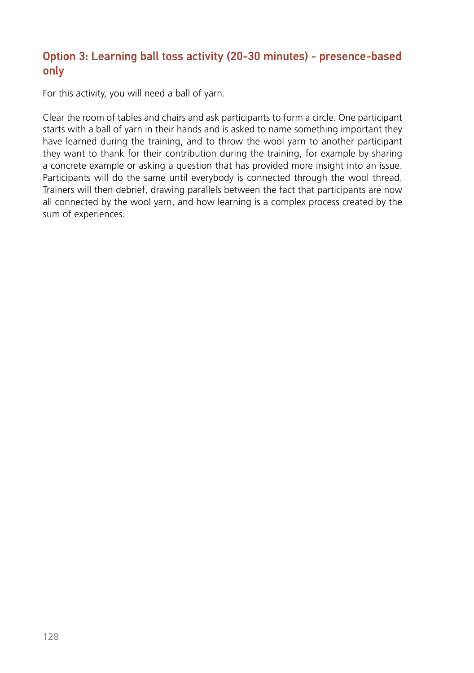#### Option 3: Learning ball toss activity (20-30 minutes) - presence-based only

For this activity, you will need a ball of yarn.

Clear the room of tables and chairs and ask participants to form a circle. One participant starts with a ball of yarn in their hands and is asked to name something important they have learned during the training, and to throw the wool yarn to another participant they want to thank for their contribution during the training, for example by sharing a concrete example or asking a question that has provided more insight into an issue. Participants will do the same until everybody is connected through the wool thread. Trainers will then debrief, drawing parallels between the fact that participants are now all connected by the wool yarn, and how learning is a complex process created by the sum of experiences.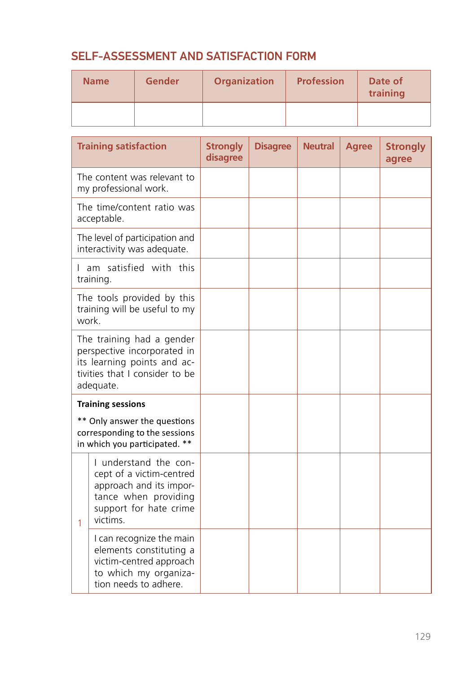### SELF-ASSESSMENT AND SATISFACTION FORM

| <b>Name</b> | <b>Gender</b> | <b>Organization</b> | <b>Profession</b> | Date of<br>training |  |
|-------------|---------------|---------------------|-------------------|---------------------|--|
|             |               |                     |                   |                     |  |

|                                                                                                                                        | <b>Training satisfaction</b>                                                                                                               | <b>Strongly</b><br>disagree | <b>Disagree</b> | <b>Neutral</b> | <b>Agree</b> | <b>Strongly</b><br>agree |
|----------------------------------------------------------------------------------------------------------------------------------------|--------------------------------------------------------------------------------------------------------------------------------------------|-----------------------------|-----------------|----------------|--------------|--------------------------|
| The content was relevant to<br>my professional work.                                                                                   |                                                                                                                                            |                             |                 |                |              |                          |
| The time/content ratio was<br>acceptable.                                                                                              |                                                                                                                                            |                             |                 |                |              |                          |
| The level of participation and<br>interactivity was adequate.                                                                          |                                                                                                                                            |                             |                 |                |              |                          |
| I am satisfied with this<br>training.                                                                                                  |                                                                                                                                            |                             |                 |                |              |                          |
| The tools provided by this<br>training will be useful to my<br>work.                                                                   |                                                                                                                                            |                             |                 |                |              |                          |
| The training had a gender<br>perspective incorporated in<br>its learning points and ac-<br>tivities that I consider to be<br>adequate. |                                                                                                                                            |                             |                 |                |              |                          |
| <b>Training sessions</b>                                                                                                               |                                                                                                                                            |                             |                 |                |              |                          |
| ** Only answer the questions<br>corresponding to the sessions<br>in which you participated. **                                         |                                                                                                                                            |                             |                 |                |              |                          |
| 1                                                                                                                                      | I understand the con-<br>cept of a victim-centred<br>approach and its impor-<br>tance when providing<br>support for hate crime<br>victims. |                             |                 |                |              |                          |
|                                                                                                                                        | I can recognize the main<br>elements constituting a<br>victim-centred approach<br>to which my organiza-<br>tion needs to adhere.           |                             |                 |                |              |                          |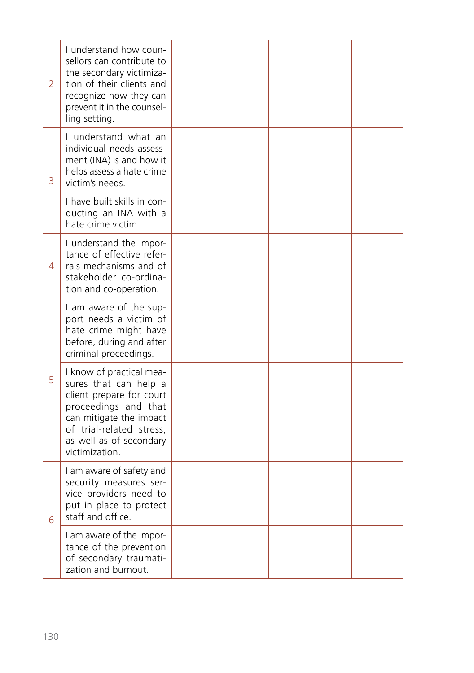| 2 | I understand how coun-<br>sellors can contribute to<br>the secondary victimiza-<br>tion of their clients and<br>recognize how they can<br>prevent it in the counsel-<br>ling setting.                     |  |  |  |
|---|-----------------------------------------------------------------------------------------------------------------------------------------------------------------------------------------------------------|--|--|--|
| 3 | I understand what an<br>individual needs assess-<br>ment (INA) is and how it<br>helps assess a hate crime<br>victim's needs.                                                                              |  |  |  |
|   | I have built skills in con-<br>ducting an INA with a<br>hate crime victim.                                                                                                                                |  |  |  |
| 4 | I understand the impor-<br>tance of effective refer-<br>rals mechanisms and of<br>stakeholder co-ordina-<br>tion and co-operation.                                                                        |  |  |  |
|   | I am aware of the sup-<br>port needs a victim of<br>hate crime might have<br>before, during and after<br>criminal proceedings.                                                                            |  |  |  |
| 5 | I know of practical mea-<br>sures that can help a<br>client prepare for court<br>proceedings and that<br>can mitigate the impact<br>of trial-related stress,<br>as well as of secondary<br>victimization. |  |  |  |
| 6 | I am aware of safety and<br>security measures ser-<br>vice providers need to<br>put in place to protect<br>staff and office.                                                                              |  |  |  |
|   | I am aware of the impor-<br>tance of the prevention<br>of secondary traumati-<br>zation and burnout.                                                                                                      |  |  |  |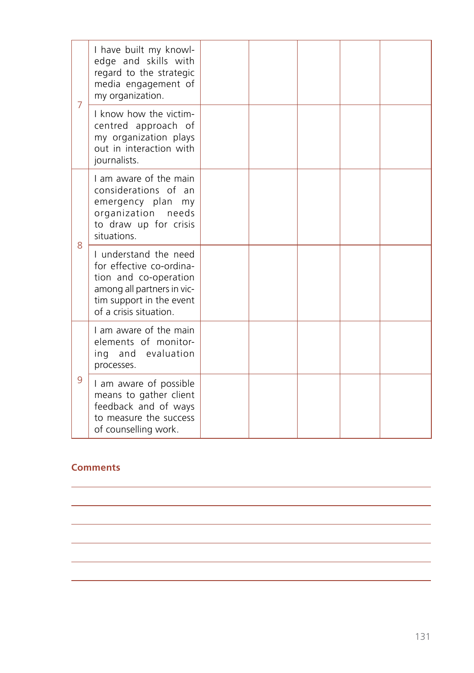| 7 | I have built my knowl-<br>edge and skills with<br>regard to the strategic<br>media engagement of<br>my organization.                                           |  |  |  |
|---|----------------------------------------------------------------------------------------------------------------------------------------------------------------|--|--|--|
|   | I know how the victim-<br>centred approach of<br>my organization plays<br>out in interaction with<br>journalists.                                              |  |  |  |
| 8 | I am aware of the main<br>considerations of an<br>emergency plan<br>my<br>organization needs<br>to draw up for crisis<br>situations.                           |  |  |  |
|   | I understand the need<br>for effective co-ordina-<br>tion and co-operation<br>among all partners in vic-<br>tim support in the event<br>of a crisis situation. |  |  |  |
| 9 | I am aware of the main<br>elements of monitor-<br>ing and evaluation<br>processes.                                                                             |  |  |  |
|   | I am aware of possible<br>means to gather client<br>feedback and of ways<br>to measure the success<br>of counselling work.                                     |  |  |  |

<u> 1989 - Johann Stoff, amerikansk politiker (d. 1989)</u> <u> 1989 - Johann Stoff, deutscher Stoff, der Stoff, der Stoff, der Stoff, der Stoff, der Stoff, der Stoff, der S</u> <u> 1989 - Johann Stoff, deutscher Stoffen und der Stoffen und der Stoffen und der Stoffen und der Stoffen und der</u> <u> 1989 - Johann Harry Harry Harry Harry Harry Harry Harry Harry Harry Harry Harry Harry Harry Harry Harry Harry</u>

#### **Comments**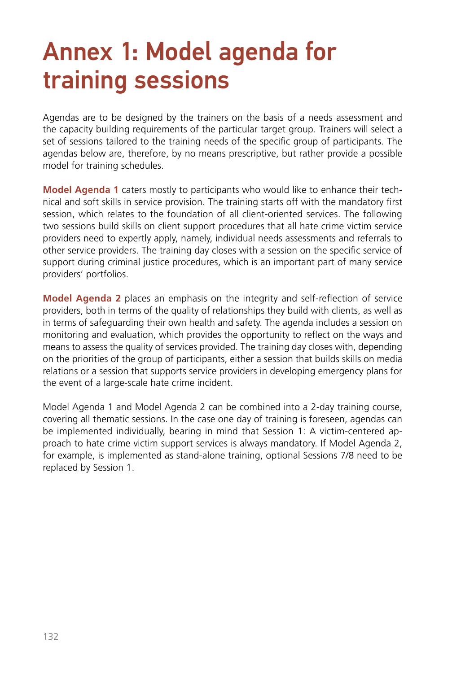# Annex 1: Model agenda for training sessions

Agendas are to be designed by the trainers on the basis of a needs assessment and the capacity building requirements of the particular target group. Trainers will select a set of sessions tailored to the training needs of the specific group of participants. The agendas below are, therefore, by no means prescriptive, but rather provide a possible model for training schedules.

**Model Agenda 1** caters mostly to participants who would like to enhance their technical and soft skills in service provision. The training starts off with the mandatory first session, which relates to the foundation of all client-oriented services. The following two sessions build skills on client support procedures that all hate crime victim service providers need to expertly apply, namely, individual needs assessments and referrals to other service providers. The training day closes with a session on the specific service of support during criminal justice procedures, which is an important part of many service providers' portfolios.

**Model Agenda 2** places an emphasis on the integrity and self-reflection of service providers, both in terms of the quality of relationships they build with clients, as well as in terms of safeguarding their own health and safety. The agenda includes a session on monitoring and evaluation, which provides the opportunity to reflect on the ways and means to assess the quality of services provided. The training day closes with, depending on the priorities of the group of participants, either a session that builds skills on media relations or a session that supports service providers in developing emergency plans for the event of a large-scale hate crime incident.

Model Agenda 1 and Model Agenda 2 can be combined into a 2-day training course, covering all thematic sessions. In the case one day of training is foreseen, agendas can be implemented individually, bearing in mind that Session 1: A victim-centered approach to hate crime victim support services is always mandatory. If Model Agenda 2, for example, is implemented as stand-alone training, optional Sessions 7/8 need to be replaced by Session 1.